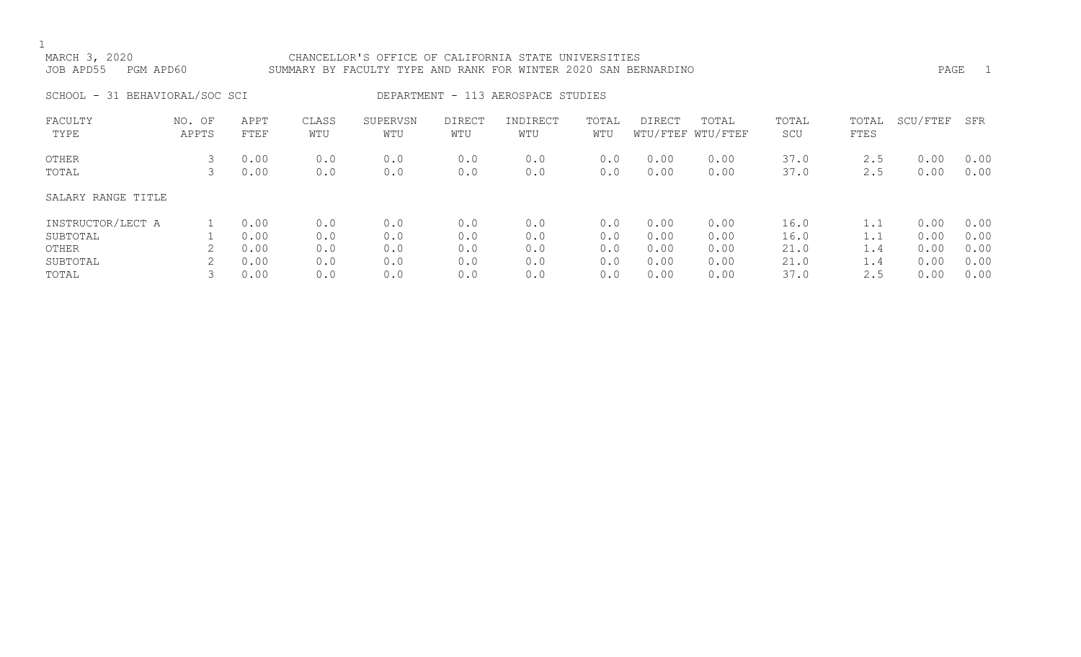### MARCH 3, 2020 CHANCELLOR'S OFFICE OF CALIFORNIA STATE UNIVERSITIES JOB APD55 PGM APD60 SUMMARY BY FACULTY TYPE AND RANK FOR WINTER 2020 SAN BERNARDINO PAGE 1

SCHOOL - 31 BEHAVIORAL/SOC SCI DEPARTMENT - 113 AEROSPACE STUDIES

| FACULTY<br>TYPE    | NO. OF<br>APPTS | APPT<br>FTEF | CLASS<br>WTU | SUPERVSN<br>WTU | DIRECT<br>WTU | INDIRECT<br>WTU | TOTAL<br>WTU | DIRECT       | TOTAL<br>WTU/FTEF WTU/FTEF | TOTAL<br>SCU | TOTAL<br>FTES | SCU/FTEF     | SFR          |
|--------------------|-----------------|--------------|--------------|-----------------|---------------|-----------------|--------------|--------------|----------------------------|--------------|---------------|--------------|--------------|
| OTHER<br>TOTAL     |                 | 0.00<br>0.00 | 0.0<br>0.0   | 0.0<br>0.0      | 0.0<br>0.0    | 0.0<br>0.0      | 0.0<br>0.0   | 0.00<br>0.00 | 0.00<br>0.00               | 37.0<br>37.0 | 2.5<br>2.5    | 0.00<br>0.00 | 0.00<br>0.00 |
| SALARY RANGE TITLE |                 |              |              |                 |               |                 |              |              |                            |              |               |              |              |
| INSTRUCTOR/LECT A  |                 | 0.00         | 0.0          | 0.0             | 0.0           | 0.0             | 0.0          | 0.00         | 0.00                       | 16.0         | 1.1           | 0.00         | 0.00         |
| SUBTOTAL           |                 | 0.00         | 0.0          | 0.0             | 0.0           | 0.0             | 0.0          | 0.00         | 0.00                       | 16.0         | 1.1           | 0.00         | 0.00         |
| OTHER              |                 | 0.00         | 0.0          | 0.0             | 0.0           | 0.0             | 0.0          | 0.00         | 0.00                       | 21.0         | 1.4           | 0.00         | 0.00         |
| SUBTOTAL           |                 | 0.00         | 0.0          | 0.0             | 0.0           | 0.0             | 0.0          | 0.00         | 0.00                       | 21.0         | 1.4           | 0.00         | 0.00         |
| TOTAL              |                 | 0.00         | 0.0          | 0.0             | 0.0           | 0.0             | 0.0          | 0.00         | 0.00                       | 37.0         | 2.5           | 0.00         | 0.00         |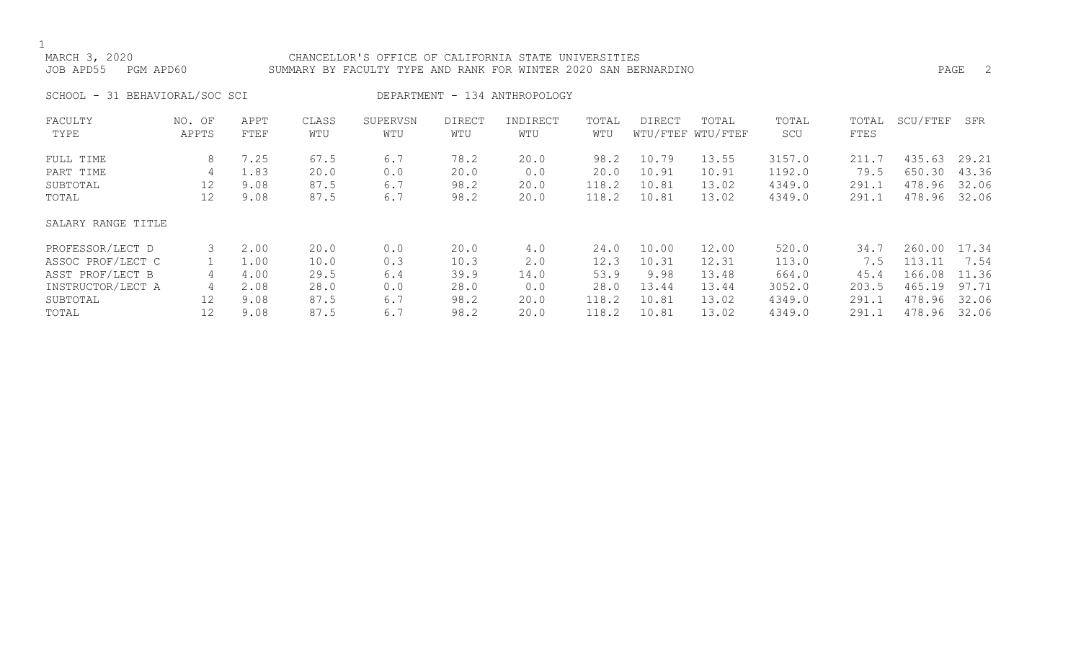### MARCH 3, 2020 CHANCELLOR'S OFFICE OF CALIFORNIA STATE UNIVERSITIES JOB APD55 PGM APD60 SUMMARY BY FACULTY TYPE AND RANK FOR WINTER 2020 SAN BERNARDINO PAGE 2

SCHOOL - 31 BEHAVIORAL/SOC SCI DEPARTMENT - 134 ANTHROPOLOGY

| FACULTY            | NO. OF | APPT | CLASS | SUPERVSN | <b>DIRECT</b> | INDIRECT | TOTAL | <b>DIRECT</b> | TOTAL             | TOTAL  | TOTAL | SCU/FTEF | SFR   |
|--------------------|--------|------|-------|----------|---------------|----------|-------|---------------|-------------------|--------|-------|----------|-------|
| TYPE               | APPTS  | FTEF | WTU   | WTU      | WTU           | WTU      | WTU   |               | WTU/FTEF WTU/FTEF | SCU    | FTES  |          |       |
| FULL TIME          | 8      | 7.25 | 67.5  | 6.7      | 78.2          | 20.0     | 98.2  | 10.79         | 13.55             | 3157.0 | 211.7 | 435.63   | 29.21 |
| PART TIME          | 4      | 1.83 | 20.0  | 0.0      | 20.0          | 0.0      | 20.0  | 10.91         | 10.91             | 1192.0 | 79.5  | 650.30   | 43.36 |
| SUBTOTAL           | 12     | 9.08 | 87.5  | 6.7      | 98.2          | 20.0     | 118.2 | 10.81         | 13.02             | 4349.0 | 291.1 | 478.96   | 32.06 |
| TOTAL              | 12     | 9.08 | 87.5  | 6.7      | 98.2          | 20.0     | 118.2 | 10.81         | 13.02             | 4349.0 | 291.1 | 478.96   | 32.06 |
| SALARY RANGE TITLE |        |      |       |          |               |          |       |               |                   |        |       |          |       |
| PROFESSOR/LECT D   |        | 2.00 | 20.0  | 0.0      | 20.0          | 4.0      | 24.0  | 10.00         | 12.00             | 520.0  | 34.7  | 260.00   | 17.34 |
| ASSOC PROF/LECT C  |        | 1.00 | 10.0  | 0.3      | 10.3          | 2.0      | 12.3  | 10.31         | 12.31             | 113.0  | 7.5   | 113.11   | 7.54  |
| ASST PROF/LECT B   | 4      | 4.00 | 29.5  | 6.4      | 39.9          | 14.0     | 53.9  | 9.98          | 13.48             | 664.0  | 45.4  | 166.08   | 11.36 |
| INSTRUCTOR/LECT A  | 4      | 2.08 | 28.0  | 0.0      | 28.0          | 0.0      | 28.0  | 13.44         | 13.44             | 3052.0 | 203.5 | 465.19   | 97.71 |
| SUBTOTAL           | 12     | 9.08 | 87.5  | 6.7      | 98.2          | 20.0     | 118.2 | 10.81         | 13.02             | 4349.0 | 291.1 | 478.96   | 32.06 |
| TOTAL              | 12     | 9.08 | 87.5  | 6.7      | 98.2          | 20.0     | 118.2 | 10.81         | 13.02             | 4349.0 | 291.1 | 478.96   | 32.06 |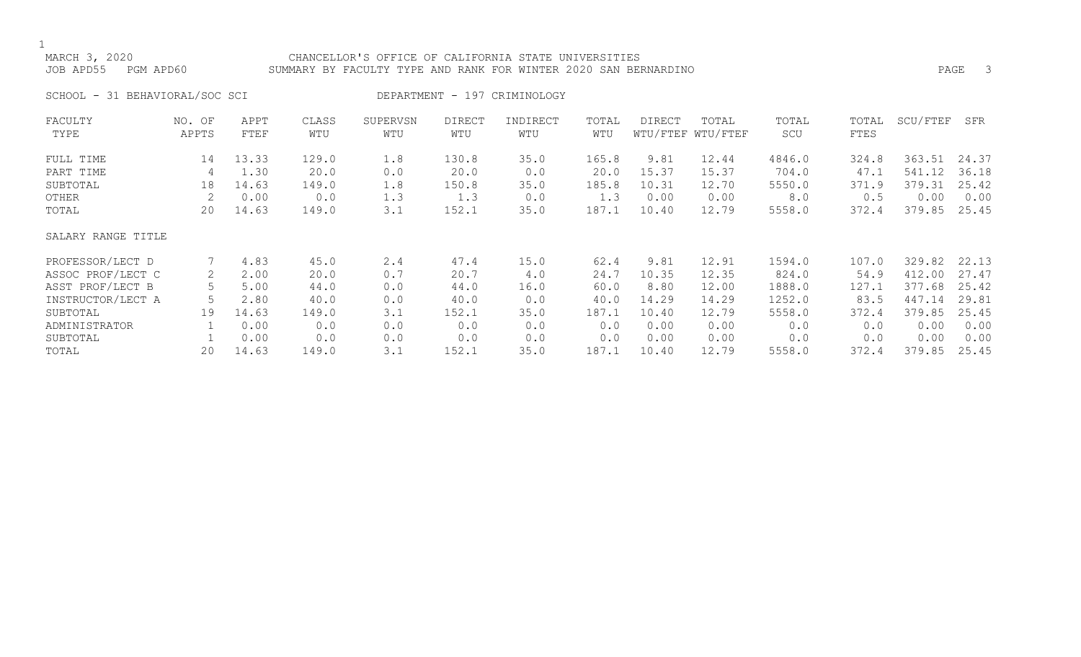### MARCH 3, 2020 CHANCELLOR'S OFFICE OF CALIFORNIA STATE UNIVERSITIES JOB APD55 PGM APD60 SUMMARY BY FACULTY TYPE AND RANK FOR WINTER 2020 SAN BERNARDINO PAGE 3

SCHOOL - 31 BEHAVIORAL/SOC SCI DEPARTMENT - 197 CRIMINOLOGY

| FACULTY            | NO. OF | APPT  | CLASS | SUPERVSN | <b>DIRECT</b> | INDIRECT | TOTAL | <b>DIRECT</b> | TOTAL             | TOTAL  | TOTAL | SCU/FTEF | SFR   |
|--------------------|--------|-------|-------|----------|---------------|----------|-------|---------------|-------------------|--------|-------|----------|-------|
| TYPE               | APPTS  | FTEF  | WTU   | WTU      | WTU           | WTU      | WTU   |               | WTU/FTEF WTU/FTEF | SCU    | FTES  |          |       |
| FULL TIME          | 14     | 13.33 | 129.0 | 1.8      | 130.8         | 35.0     | 165.8 | 9.81          | 12.44             | 4846.0 | 324.8 | 363.51   | 24.37 |
| PART TIME          | 4      | 1.30  | 20.0  | 0.0      | 20.0          | 0.0      | 20.0  | 15.37         | 15.37             | 704.0  | 47.1  | 541.12   | 36.18 |
| SUBTOTAL           | 18     | 14.63 | 149.0 | 1.8      | 150.8         | 35.0     | 185.8 | 10.31         | 12.70             | 5550.0 | 371.9 | 379.31   | 25.42 |
| OTHER              |        | 0.00  | 0.0   | 1.3      | 1.3           | 0.0      | 1.3   | 0.00          | 0.00              | 8.0    | 0.5   | 0.00     | 0.00  |
| TOTAL              | 20     | 14.63 | 149.0 | 3.1      | 152.1         | 35.0     | 187.1 | 10.40         | 12.79             | 5558.0 | 372.4 | 379.85   | 25.45 |
| SALARY RANGE TITLE |        |       |       |          |               |          |       |               |                   |        |       |          |       |
| PROFESSOR/LECT D   |        | 4.83  | 45.0  | 2.4      | 47.4          | 15.0     | 62.4  | 9.81          | 12.91             | 1594.0 | 107.0 | 329.82   | 22.13 |
| ASSOC PROF/LECT C  | 2      | 2.00  | 20.0  | 0.7      | 20.7          | 4.0      | 24.7  | 10.35         | 12.35             | 824.0  | 54.9  | 412.00   | 27.47 |
| ASST PROF/LECT B   |        | 5.00  | 44.0  | 0.0      | 44.0          | 16.0     | 60.0  | 8.80          | 12.00             | 1888.0 | 127.1 | 377.68   | 25.42 |
| INSTRUCTOR/LECT A  |        | 2.80  | 40.0  | 0.0      | 40.0          | 0.0      | 40.0  | 14.29         | 14.29             | 1252.0 | 83.5  | 447.14   | 29.81 |
| SUBTOTAL           | 19     | 14.63 | 149.0 | 3.1      | 152.1         | 35.0     | 187.1 | 10.40         | 12.79             | 5558.0 | 372.4 | 379.85   | 25.45 |
| ADMINISTRATOR      |        | 0.00  | 0.0   | 0.0      | 0.0           | 0.0      | 0.0   | 0.00          | 0.00              | 0.0    | 0.0   | 0.00     | 0.00  |
| SUBTOTAL           |        | 0.00  | 0.0   | 0.0      | 0.0           | 0.0      | 0.0   | 0.00          | 0.00              | 0.0    | 0.0   | 0.00     | 0.00  |
| TOTAL              | 20     | 14.63 | 149.0 | 3.1      | 152.1         | 35.0     | 187.1 | 10.40         | 12.79             | 5558.0 | 372.4 | 379.85   | 25.45 |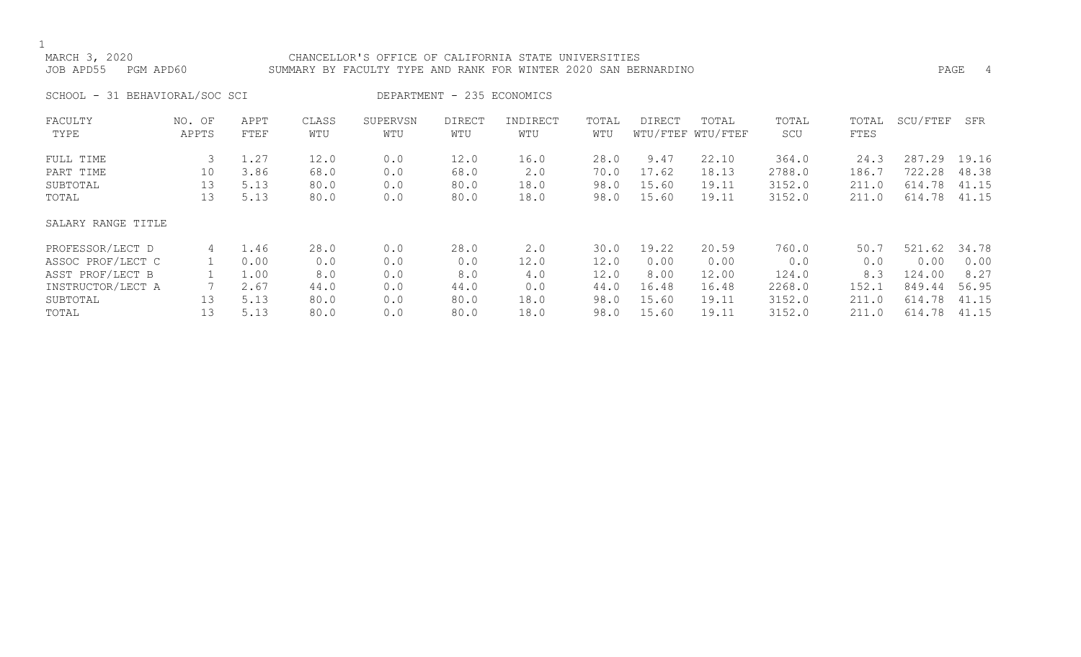### MARCH 3, 2020 CHANCELLOR'S OFFICE OF CALIFORNIA STATE UNIVERSITIES JOB APD55 PGM APD60 SUMMARY BY FACULTY TYPE AND RANK FOR WINTER 2020 SAN BERNARDINO PAGE 4

SCHOOL - 31 BEHAVIORAL/SOC SCI DEPARTMENT - 235 ECONOMICS

| FACULTY            | NO. OF | APPT | CLASS | SUPERVSN | <b>DIRECT</b> | INDIRECT    | TOTAL | DIRECT | TOTAL             | TOTAL  | TOTAL | SCU/FTEF | SFR   |
|--------------------|--------|------|-------|----------|---------------|-------------|-------|--------|-------------------|--------|-------|----------|-------|
| TYPE               | APPTS  | FTEF | WTU   | WTU      | WTU           | WTU         | WTU   |        | WTU/FTEF WTU/FTEF | SCU    | FTES  |          |       |
| FULL TIME          | 3      | 1.27 | 12.0  | 0.0      | 12.0          | 16.0        | 28.0  | 9.47   | 22.10             | 364.0  | 24.3  | 287.29   | 19.16 |
| PART TIME          | 10     | 3.86 | 68.0  | 0.0      | 68.0          | 2.0         | 70.0  | 17.62  | 18.13             | 2788.0 | 186.7 | 722.28   | 48.38 |
| SUBTOTAL           | 13     | 5.13 | 80.0  | 0.0      | 80.0          | 18.0        | 98.0  | 15.60  | 19.11             | 3152.0 | 211.0 | 614.78   | 41.15 |
| TOTAL              | 13     | 5.13 | 80.0  | 0.0      | 80.0          | 18.0        | 98.0  | 15.60  | 19.11             | 3152.0 | 211.0 | 614.78   | 41.15 |
| SALARY RANGE TITLE |        |      |       |          |               |             |       |        |                   |        |       |          |       |
| PROFESSOR/LECT D   | 4      | 1.46 | 28.0  | 0.0      | 28.0          | $2 \cdot 0$ | 30.0  | 19.22  | 20.59             | 760.0  | 50.7  | 521.62   | 34.78 |
| ASSOC PROF/LECT C  |        | 0.00 | 0.0   | 0.0      | 0.0           | 12.0        | 12.0  | 0.00   | 0.00              | 0.0    | 0.0   | 0.00     | 0.00  |
| ASST PROF/LECT B   |        | 1.00 | 8.0   | 0.0      | 8.0           | 4.0         | 12.0  | 8.00   | 12.00             | 124.0  | 8.3   | 124.00   | 8.27  |
| INSTRUCTOR/LECT A  |        | 2.67 | 44.0  | 0.0      | 44.0          | 0.0         | 44.0  | 16.48  | 16.48             | 2268.0 | 152.1 | 849.44   | 56.95 |
| SUBTOTAL           | 13     | 5.13 | 80.0  | 0.0      | 80.0          | 18.0        | 98.0  | 15.60  | 19.11             | 3152.0 | 211.0 | 614.78   | 41.15 |
| TOTAL              | 13     | 5.13 | 80.0  | 0.0      | 80.0          | 18.0        | 98.0  | 15.60  | 19.11             | 3152.0 | 211.0 | 614.78   | 41.15 |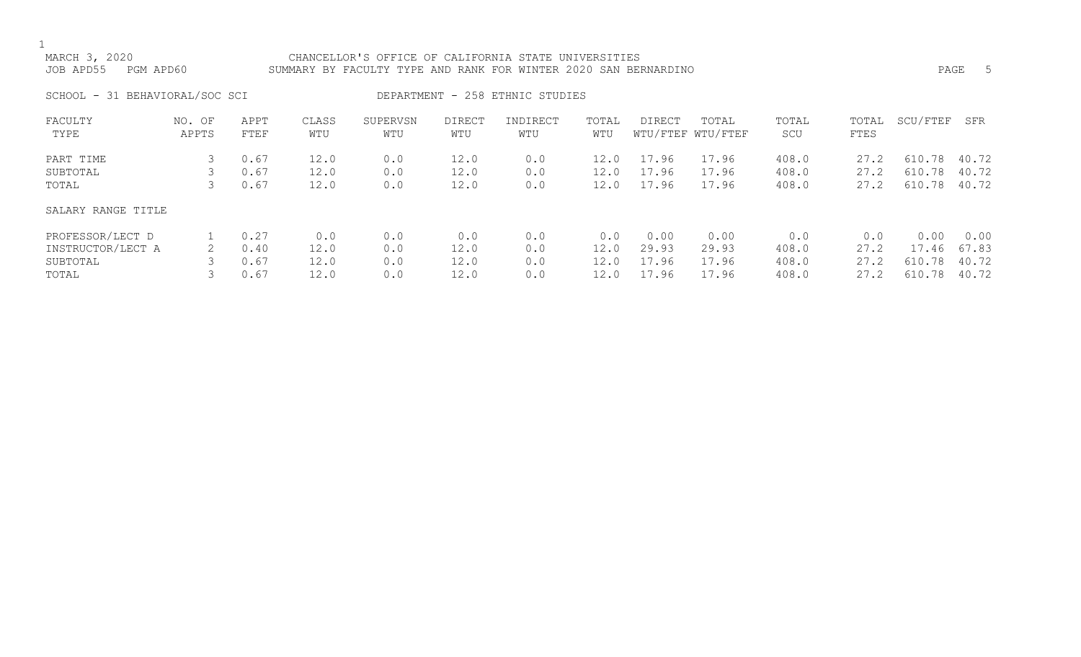### MARCH 3, 2020 CHANCELLOR'S OFFICE OF CALIFORNIA STATE UNIVERSITIES JOB APD55 PGM APD60 SUMMARY BY FACULTY TYPE AND RANK FOR WINTER 2020 SAN BERNARDINO PAGE 5

SCHOOL - 31 BEHAVIORAL/SOC SCI DEPARTMENT - 258 ETHNIC STUDIES

| FACULTY            | NO. OF | APPT | CLASS | SUPERVSN | <b>DIRECT</b> | INDIRECT | TOTAL           | <b>DIRECT</b> | TOTAL             | TOTAL | TOTAL | SCU/FTEF | SFR   |
|--------------------|--------|------|-------|----------|---------------|----------|-----------------|---------------|-------------------|-------|-------|----------|-------|
| TYPE               | APPTS  | FTEF | WTU   | WTU      | WTU           | WTU      | WTU             |               | WTU/FTEF WTU/FTEF | SCU   | FTES  |          |       |
| PART TIME          |        | 0.67 | 12.0  | 0.0      | 12.0          | 0.0      | 12.0            | 17.96         | 17.96             | 408.0 | 27.2  | 610.78   | 40.72 |
|                    |        |      |       |          |               |          |                 |               |                   |       |       |          |       |
| SUBTOTAL           |        | 0.67 | 12.0  | 0.0      | 12.0          | 0.0      | 12.0            | 17.96         | 17.96             | 408.0 | 27.2  | 610.78   | 40.72 |
| TOTAL              |        | 0.67 | 12.0  | 0.0      | 12.0          | 0.0      | $\mathsf{12.0}$ | 17.96         | 17.96             | 408.0 | 27.2  | 610.78   | 40.72 |
|                    |        |      |       |          |               |          |                 |               |                   |       |       |          |       |
| SALARY RANGE TITLE |        |      |       |          |               |          |                 |               |                   |       |       |          |       |
| PROFESSOR/LECT D   |        | 0.27 | 0.0   | 0.0      | 0.0           | 0.0      | 0.0             | 0.00          | 0.00              | 0.0   | 0.0   | 0.00     | 0.00  |
| INSTRUCTOR/LECT A  |        | 0.40 | 12.0  | 0.0      | 12.0          | 0.0      | 12.0            | 29.93         | 29.93             | 408.0 | 27.2  | 17.46    | 67.83 |
| SUBTOTAL           |        | 0.67 | 12.0  | 0.0      | 12.0          | 0.0      | 12.0            | 17.96         | 17.96             | 408.0 | 27.2  | 610.78   | 40.72 |
| TOTAL              |        | 0.67 | 12.0  | 0.0      | 12.0          | 0.0      | 12.0            | 17.96         | 17.96             | 408.0 | 27.2  | 610.78   | 40.72 |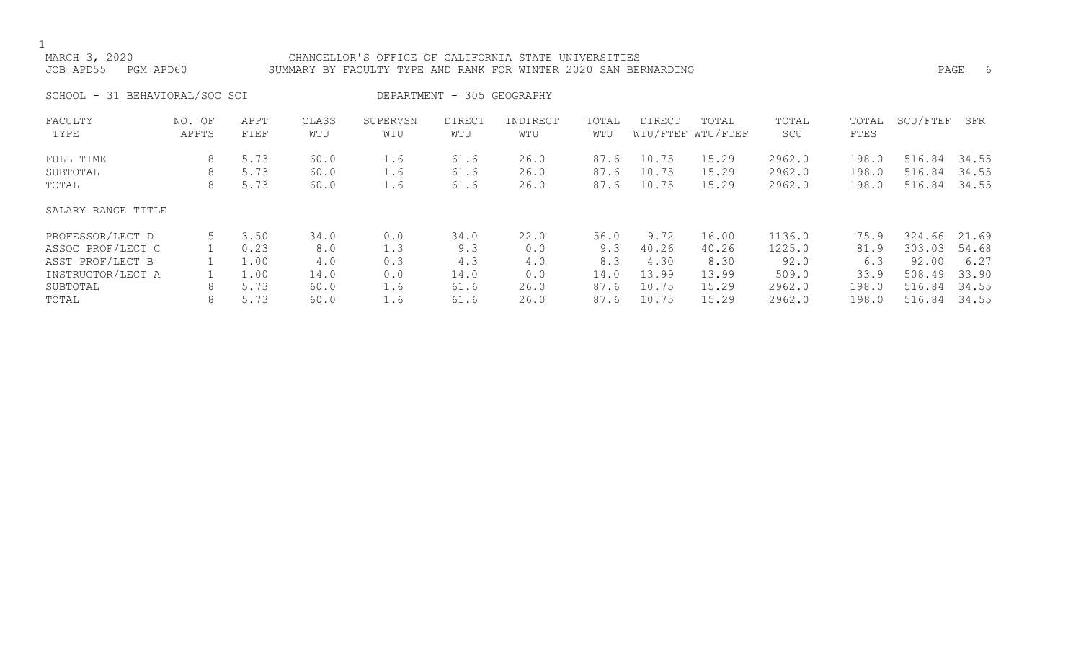### MARCH 3, 2020 CHANCELLOR'S OFFICE OF CALIFORNIA STATE UNIVERSITIES JOB APD55 PGM APD60 SUMMARY BY FACULTY TYPE AND RANK FOR WINTER 2020 SAN BERNARDINO PAGE 6

SCHOOL - 31 BEHAVIORAL/SOC SCI DEPARTMENT - 305 GEOGRAPHY

| FACULTY            | NO. OF | APPT | CLASS | SUPERVSN | <b>DIRECT</b> | INDIRECT | TOTAL | DIRECT | TOTAL             | TOTAL  | TOTAL | SCU/FTEF | SFR   |
|--------------------|--------|------|-------|----------|---------------|----------|-------|--------|-------------------|--------|-------|----------|-------|
| TYPE               | APPTS  | FTEF | WTU   | WTU      | WTU           | WTU      | WTU   |        | WTU/FTEF WTU/FTEF | SCU    | FTES  |          |       |
| FULL TIME          | 8      | 5.73 | 60.0  | 1.6      | 61.6          | 26.0     | 87.6  | 10.75  | 15.29             | 2962.0 | 198.0 | 516.84   | 34.55 |
| SUBTOTAL           | 8      | 5.73 | 60.0  | 1.6      | 61.6          | 26.0     | 87.6  | 10.75  | 15.29             | 2962.0 | 198.0 | 516.84   | 34.55 |
| TOTAL              | 8      | 5.73 | 60.0  | 1.6      | 61.6          | 26.0     | 87.6  | 10.75  | 15.29             | 2962.0 | 198.0 | 516.84   | 34.55 |
| SALARY RANGE TITLE |        |      |       |          |               |          |       |        |                   |        |       |          |       |
| PROFESSOR/LECT D   |        | 3.50 | 34.0  | 0.0      | 34.0          | 22.0     | 56.0  | 9.72   | 16.00             | 1136.0 | 75.9  | 324.66   | 21.69 |
| ASSOC PROF/LECT C  |        | 0.23 | 8.0   | 1.3      | 9.3           | 0.0      | 9.3   | 40.26  | 40.26             | 1225.0 | 81.9  | 303.03   | 54.68 |
| ASST PROF/LECT B   |        | 1.00 | 4.0   | 0.3      | 4.3           | 4.0      | 8.3   | 4.30   | 8.30              | 92.0   | 6.3   | 92.00    | 6.27  |
| INSTRUCTOR/LECT A  |        | 1.00 | 14.0  | 0.0      | 14.0          | 0.0      | 14.0  | 13.99  | 13.99             | 509.0  | 33.9  | 508.49   | 33.90 |
| SUBTOTAL           | 8      | 5.73 | 60.0  | 1.6      | 61.6          | 26.0     | 87.6  | 10.75  | 15.29             | 2962.0 | 198.0 | 516.84   | 34.55 |
| TOTAL              | 8      | 5.73 | 60.0  | 1.6      | 61.6          | 26.0     | 87.6  | 10.75  | 15.29             | 2962.0 | 198.0 | 516.84   | 34.55 |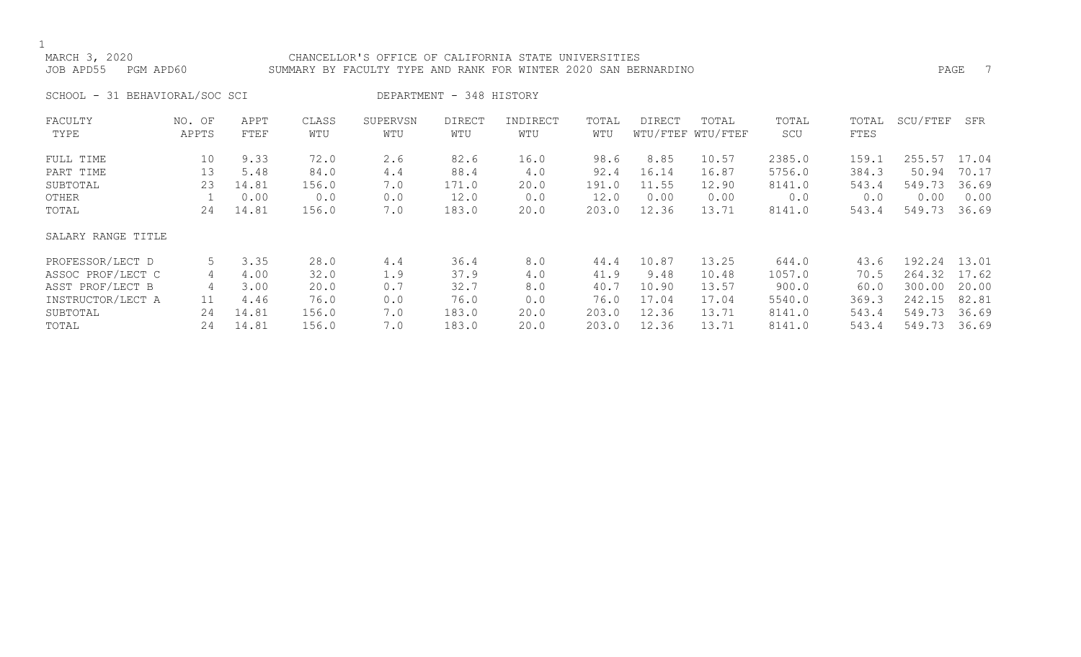### MARCH 3, 2020 CHANCELLOR'S OFFICE OF CALIFORNIA STATE UNIVERSITIES JOB APD55 PGM APD60 SUMMARY BY FACULTY TYPE AND RANK FOR WINTER 2020 SAN BERNARDINO

SCHOOL - 31 BEHAVIORAL/SOC SCI DEPARTMENT - 348 HISTORY

| FACULTY            | NO. OF | APPT  | CLASS | SUPERVSN | <b>DIRECT</b> | INDIRECT | TOTAL | <b>DIRECT</b> | TOTAL             | TOTAL  | TOTAL | SCU/FTEF | SFR   |
|--------------------|--------|-------|-------|----------|---------------|----------|-------|---------------|-------------------|--------|-------|----------|-------|
| TYPE               | APPTS  | FTEF  | WTU   | WTU      | WTU           | WTU      | WTU   |               | WTU/FTEF WTU/FTEF | SCU    | FTES  |          |       |
| FULL TIME          | 10     | 9.33  | 72.0  | 2.6      | 82.6          | 16.0     | 98.6  | 8.85          | 10.57             | 2385.0 | 159.1 | 255.57   | 17.04 |
| PART TIME          | 13     | 5.48  | 84.0  | 4.4      | 88.4          | 4.0      | 92.4  | 16.14         | 16.87             | 5756.0 | 384.3 | 50.94    | 70.17 |
| SUBTOTAL           | 23     | 14.81 | 156.0 | 7.0      | 171.0         | 20.0     | 191.0 | 11.55         | 12.90             | 8141.0 | 543.4 | 549.73   | 36.69 |
| OTHER              |        | 0.00  | 0.0   | 0.0      | 12.0          | 0.0      | 12.0  | 0.00          | 0.00              | 0.0    | 0.0   | 0.00     | 0.00  |
| TOTAL              | 24     | 14.81 | 156.0 | 7.0      | 183.0         | 20.0     | 203.0 | 12.36         | 13.71             | 8141.0 | 543.4 | 549.73   | 36.69 |
| SALARY RANGE TITLE |        |       |       |          |               |          |       |               |                   |        |       |          |       |
| PROFESSOR/LECT D   | 5      | 3.35  | 28.0  | 4.4      | 36.4          | 8.0      | 44.4  | 10.87         | 13.25             | 644.0  | 43.6  | 192.24   | 13.01 |
| ASSOC PROF/LECT C  | 4      | 4.00  | 32.0  | 1.9      | 37.9          | 4.0      | 41.9  | 9.48          | 10.48             | 1057.0 | 70.5  | 264.32   | 17.62 |
| ASST PROF/LECT B   | 4      | 3.00  | 20.0  | 0.7      | 32.7          | 8.0      | 40.7  | 10.90         | 13.57             | 900.0  | 60.0  | 300.00   | 20.00 |
| INSTRUCTOR/LECT A  | 11     | 4.46  | 76.0  | 0.0      | 76.0          | 0.0      | 76.0  | 17.04         | 17.04             | 5540.0 | 369.3 | 242.15   | 82.81 |
| SUBTOTAL           | 24     | 14.81 | 156.0 | 7.0      | 183.0         | 20.0     | 203.0 | 12.36         | 13.71             | 8141.0 | 543.4 | 549.73   | 36.69 |
| TOTAL              | 24     | 14.81 | 156.0 | 7.0      | 183.0         | 20.0     | 203.0 | 12.36         | 13.71             | 8141.0 | 543.4 | 549.73   | 36.69 |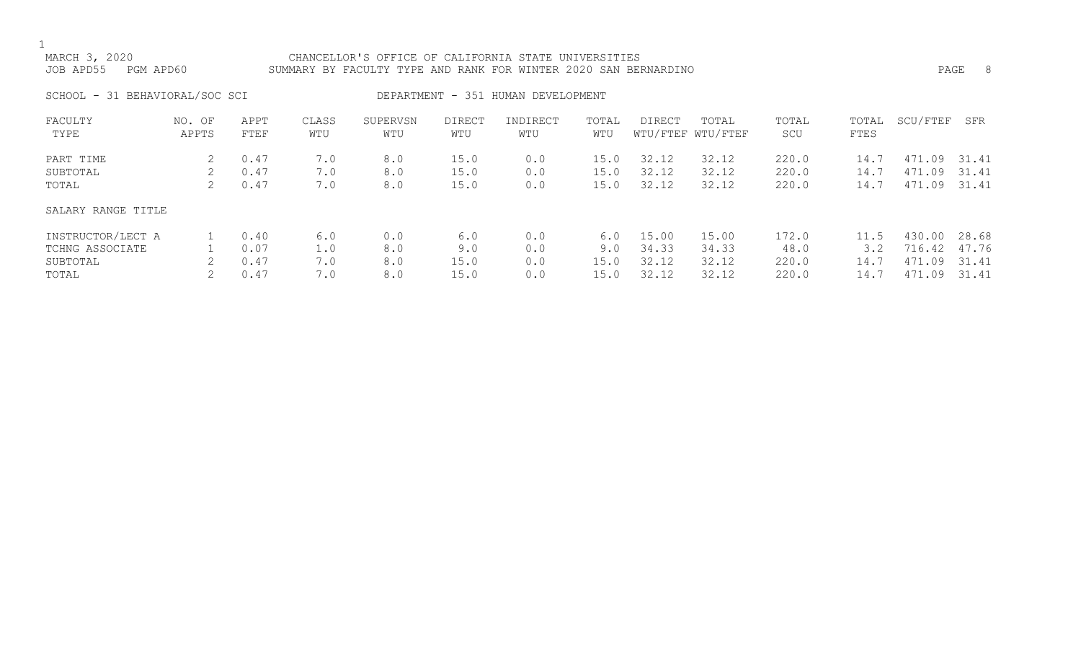### MARCH 3, 2020 CHANCELLOR'S OFFICE OF CALIFORNIA STATE UNIVERSITIES JOB APD55 PGM APD60 SUMMARY BY FACULTY TYPE AND RANK FOR WINTER 2020 SAN BERNARDINO PAGE 8

SCHOOL - 31 BEHAVIORAL/SOC SCI DEPARTMENT - 351 HUMAN DEVELOPMENT

| FACULTY<br>TYPE                                           | OF<br>NO.<br>APPTS | APPT<br>FTEF                 | CLASS<br>WTU             | SUPERVSN<br>WTU          | <b>DIRECT</b><br>WTU       | INDIRECT<br>WTU          | TOTAL<br>WTU               | <b>DIRECT</b>                    | TOTAL<br>WTU/FTEF WTU/FTEF       | TOTAL<br>SCU                    | TOTAL<br>FTES               | SCU/FTEF                                 | SFR                              |
|-----------------------------------------------------------|--------------------|------------------------------|--------------------------|--------------------------|----------------------------|--------------------------|----------------------------|----------------------------------|----------------------------------|---------------------------------|-----------------------------|------------------------------------------|----------------------------------|
| PART TIME<br>SUBTOTAL<br>TOTAL                            | 2.                 | 0.47<br>0.47<br>0.47         | 7.0<br>7.0<br>7.0        | 8.0<br>8.0<br>8.0        | 15.0<br>15.0<br>15.0       | 0.0<br>0.0<br>0.0        | 15.0<br>15.0<br>15.0       | 32.12<br>32.12<br>32.12          | 32.12<br>32.12<br>32.12          | 220.0<br>220.0<br>220.0         | 14.7<br>14.7<br>14.7        | 471.09<br>471<br>.09<br>471.09           | 31.41<br>31.41<br>31.41          |
| SALARY RANGE TITLE                                        |                    |                              |                          |                          |                            |                          |                            |                                  |                                  |                                 |                             |                                          |                                  |
| INSTRUCTOR/LECT A<br>TCHNG ASSOCIATE<br>SUBTOTAL<br>TOTAL |                    | 0.40<br>0.07<br>0.47<br>0.47 | 6.0<br>1.0<br>7.0<br>7.0 | 0.0<br>8.0<br>8.0<br>8.0 | 6.0<br>9.0<br>15.0<br>15.0 | 0.0<br>0.0<br>0.0<br>0.0 | 6.0<br>9.0<br>15.0<br>15.0 | 15.00<br>34.33<br>32.12<br>32.12 | 15.00<br>34.33<br>32.12<br>32.12 | 172.0<br>48.0<br>220.0<br>220.0 | 11.5<br>3.2<br>14.7<br>14.7 | 430.00<br>716.42<br>471<br>.09<br>471.09 | 28.68<br>47.76<br>31.41<br>31.41 |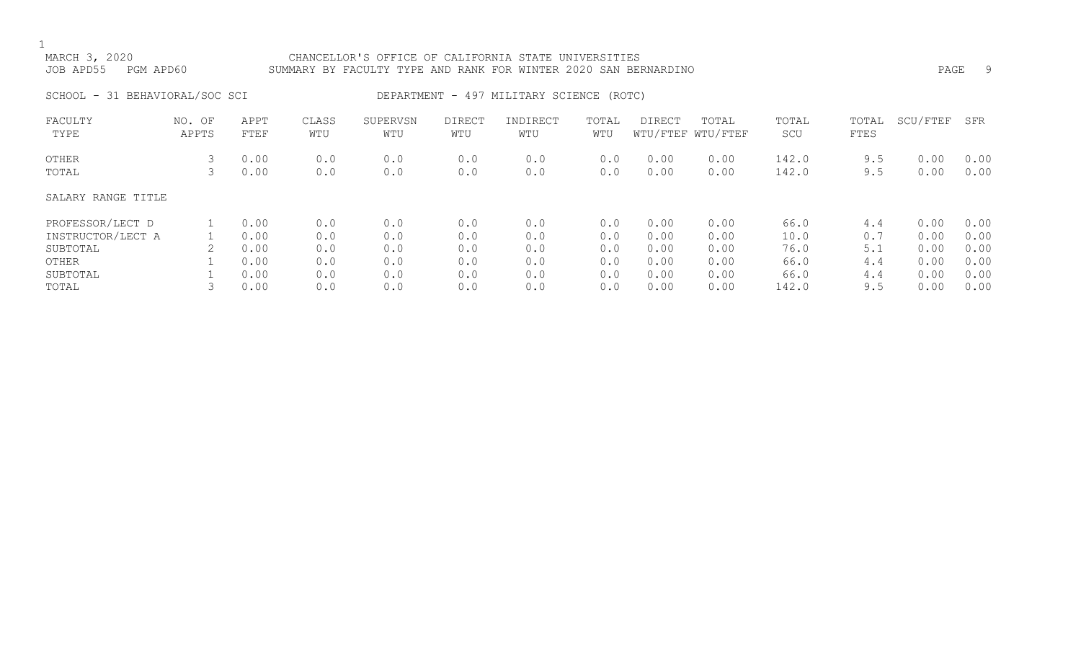### MARCH 3, 2020 CHANCELLOR'S OFFICE OF CALIFORNIA STATE UNIVERSITIES JOB APD55 PGM APD60 SUMMARY BY FACULTY TYPE AND RANK FOR WINTER 2020 SAN BERNARDINO PAGE 9

### SCHOOL - 31 BEHAVIORAL/SOC SCI DEPARTMENT - 497 MILITARY SCIENCE (ROTC)

| FACULTY<br>TYPE    | NO. OF<br>APPTS | APPT<br>FTEF | CLASS<br>WTU | SUPERVSN<br>WTU | <b>DIRECT</b><br>WTU | INDIRECT<br>WTU | TOTAL<br>WTU | <b>DIRECT</b> | TOTAL<br>WTU/FTEF WTU/FTEF | TOTAL<br>SCU | TOTAL<br>FTES | SCU/FTEF | SFR  |
|--------------------|-----------------|--------------|--------------|-----------------|----------------------|-----------------|--------------|---------------|----------------------------|--------------|---------------|----------|------|
|                    |                 |              |              |                 |                      |                 |              |               |                            |              |               |          |      |
| OTHER              |                 | 0.00         | 0.0          | 0.0             | 0.0                  | 0.0             | 0.0          | 0.00          | 0.00                       | 142.0        | 9.5           | 0.00     | 0.00 |
| TOTAL              | 3               | 0.00         | 0.0          | 0.0             | 0.0                  | 0.0             | 0.0          | 0.00          | 0.00                       | 142.0        | 9.5           | 0.00     | 0.00 |
| SALARY RANGE TITLE |                 |              |              |                 |                      |                 |              |               |                            |              |               |          |      |
| PROFESSOR/LECT D   |                 | 0.00         | 0.0          | 0.0             | 0.0                  | 0.0             | 0.0          | 0.00          | 0.00                       | 66.0         | 4.4           | 0.00     | 0.00 |
| INSTRUCTOR/LECT A  |                 | 0.00         | 0.0          | 0.0             | 0.0                  | 0.0             | 0.0          | 0.00          | 0.00                       | 10.0         | 0.7           | 0.00     | 0.00 |
| SUBTOTAL           |                 | 0.00         | 0.0          | 0.0             | 0.0                  | 0.0             | 0.0          | 0.00          | 0.00                       | 76.0         | 5.1           | 0.00     | 0.00 |
| OTHER              |                 | 0.00         | 0.0          | 0.0             | 0.0                  | 0.0             | 0.0          | 0.00          | 0.00                       | 66.0         | 4.4           | 0.00     | 0.00 |
| SUBTOTAL           |                 | 0.00         | 0.0          | 0.0             | 0.0                  | 0.0             | 0.0          | 0.00          | 0.00                       | 66.0         | 4.4           | 0.00     | 0.00 |
| TOTAL              |                 | 0.00         | 0.0          | 0.0             | 0.0                  | 0.0             | 0.0          | 0.00          | 0.00                       | 142.0        | 9.5           | 0.00     | 0.00 |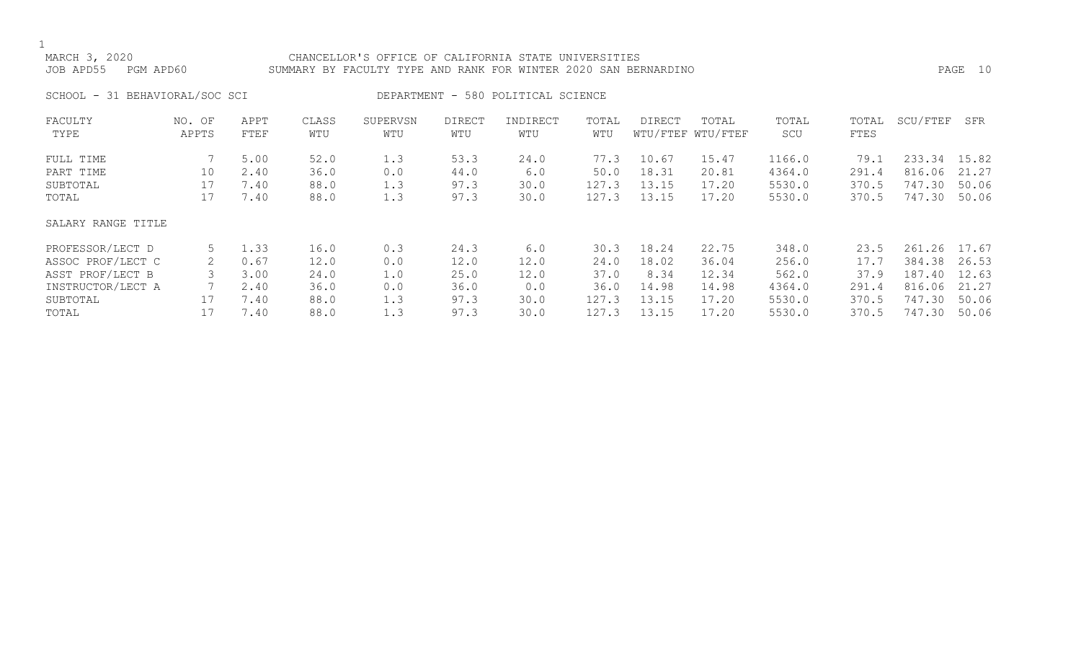### MARCH 3, 2020 CHANCELLOR'S OFFICE OF CALIFORNIA STATE UNIVERSITIES JOB APD55 PGM APD60 SUMMARY BY FACULTY TYPE AND RANK FOR WINTER 2020 SAN BERNARDINO PAGE 10

SCHOOL - 31 BEHAVIORAL/SOC SCI DEPARTMENT - 580 POLITICAL SCIENCE

| FACULTY            | NO. OF | APPT | CLASS | SUPERVSN | <b>DIRECT</b> | INDIRECT | TOTAL | DIRECT | TOTAL             | TOTAL  | TOTAL | SCU/FTEF   | SFR   |
|--------------------|--------|------|-------|----------|---------------|----------|-------|--------|-------------------|--------|-------|------------|-------|
| TYPE               | APPTS  | FTEF | WTU   | WTU      | WTU           | WTU      | WTU   |        | WTU/FTEF WTU/FTEF | SCU    | FTES  |            |       |
| FULL TIME          |        | 5.00 | 52.0  | 1.3      | 53.3          | 24.0     | 77.3  | 10.67  | 15.47             | 1166.0 | 79.1  | 233.34     | 15.82 |
| PART TIME          | 10     | 2.40 | 36.0  | 0.0      | 44.0          | 6.0      | 50.0  | 18.31  | 20.81             | 4364.0 | 291.4 | 816.06     | 21.27 |
| SUBTOTAL           | 17     | 7.40 | 88.0  | 1.3      | 97.3          | 30.0     | 127.3 | 13.15  | 17.20             | 5530.0 | 370.5 | 747.30     | 50.06 |
| TOTAL              | 17     | 7.40 | 88.0  | 1.3      | 97.3          | 30.0     | 127.3 | 13.15  | 17.20             | 5530.0 | 370.5 | 747.30     | 50.06 |
| SALARY RANGE TITLE |        |      |       |          |               |          |       |        |                   |        |       |            |       |
| PROFESSOR/LECT D   |        | 1.33 | 16.0  | 0.3      | 24.3          | 6.0      | 30.3  | 18.24  | 22.75             | 348.0  | 23.5  | .26<br>261 | 17.67 |
| ASSOC PROF/LECT C  | 2      | 0.67 | 12.0  | 0.0      | 12.0          | 12.0     | 24.0  | 18.02  | 36.04             | 256.0  | 17.7  | 384.38     | 26.53 |
| ASST PROF/LECT B   |        | 3.00 | 24.0  | 1.0      | 25.0          | 12.0     | 37.0  | 8.34   | 12.34             | 562.0  | 37.9  | 187.40     | 12.63 |
| INSTRUCTOR/LECT A  |        | 2.40 | 36.0  | 0.0      | 36.0          | 0.0      | 36.0  | 14.98  | 14.98             | 4364.0 | 291.4 | 816.06     | 21.27 |
| SUBTOTAL           | 17     | 7.40 | 88.0  | 1.3      | 97.3          | 30.0     | 127.3 | 13.15  | 17.20             | 5530.0 | 370.5 | 747.30     | 50.06 |
| TOTAL              |        | 7.40 | 88.0  | 1.3      | 97.3          | 30.0     | 127.3 | 13.15  | 17.20             | 5530.0 | 370.5 | 747.30     | 50.06 |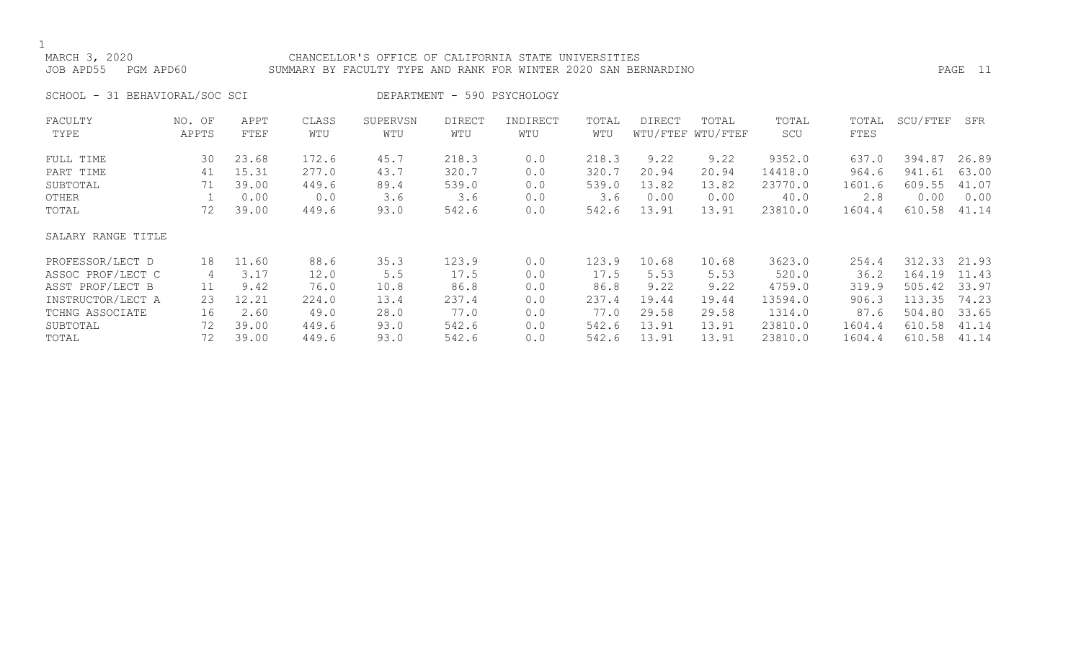### MARCH 3, 2020 CHANCELLOR'S OFFICE OF CALIFORNIA STATE UNIVERSITIES JOB APD55 PGM APD60 SUMMARY BY FACULTY TYPE AND RANK FOR WINTER 2020 SAN BERNARDINO PAGE 11

SCHOOL - 31 BEHAVIORAL/SOC SCI DEPARTMENT - 590 PSYCHOLOGY

| FACULTY            | NO. OF | APPT  | CLASS | SUPERVSN | <b>DIRECT</b> | INDIRECT | TOTAL | DIRECT | TOTAL             | TOTAL   | TOTAL  | SCU/FTEF | SFR   |
|--------------------|--------|-------|-------|----------|---------------|----------|-------|--------|-------------------|---------|--------|----------|-------|
| TYPE               | APPTS  | FTEF  | WTU   | WTU      | WTU           | WTU      | WTU   |        | WTU/FTEF WTU/FTEF | SCU     | FTES   |          |       |
| FULL TIME          | 30     | 23.68 | 172.6 | 45.7     | 218.3         | 0.0      | 218.3 | 9.22   | 9.22              | 9352.0  | 637.0  | 394.87   | 26.89 |
| PART TIME          | 41     | 15.31 | 277.0 | 43.7     | 320.7         | 0.0      | 320.7 | 20.94  | 20.94             | 14418.0 | 964.6  | 941.61   | 63.00 |
| SUBTOTAL           | 71     | 39.00 | 449.6 | 89.4     | 539.0         | 0.0      | 539.0 | 13.82  | 13.82             | 23770.0 | 1601.6 | 609.55   | 41.07 |
| OTHER              |        | 0.00  | 0.0   | 3.6      | 3.6           | 0.0      | 3.6   | 0.00   | 0.00              | 40.0    | 2.8    | 0.00     | 0.00  |
| TOTAL              | 72     | 39.00 | 449.6 | 93.0     | 542.6         | 0.0      | 542.6 | 13.91  | 13.91             | 23810.0 | 1604.4 | 610.58   | 41.14 |
| SALARY RANGE TITLE |        |       |       |          |               |          |       |        |                   |         |        |          |       |
| PROFESSOR/LECT D   | 18     | 11.60 | 88.6  | 35.3     | 123.9         | 0.0      | 123.9 | 10.68  | 10.68             | 3623.0  | 254.4  | 312.33   | 21.93 |
| ASSOC PROF/LECT C  | 4      | 3.17  | 12.0  | 5.5      | 17.5          | 0.0      | 17.5  | 5.53   | 5.53              | 520.0   | 36.2   | 164.19   | 11.43 |
| ASST PROF/LECT B   | 11     | 9.42  | 76.0  | 10.8     | 86.8          | 0.0      | 86.8  | 9.22   | 9.22              | 4759.0  | 319.9  | 505.42   | 33.97 |
| INSTRUCTOR/LECT A  | 23     | 12.21 | 224.0 | 13.4     | 237.4         | 0.0      | 237.4 | 19.44  | 19.44             | 13594.0 | 906.3  | 113.35   | 74.23 |
| TCHNG ASSOCIATE    | 16     | 2.60  | 49.0  | 28.0     | 77.0          | 0.0      | 77.0  | 29.58  | 29.58             | 1314.0  | 87.6   | 504.80   | 33.65 |
| SUBTOTAL           | 72     | 39.00 | 449.6 | 93.0     | 542.6         | 0.0      | 542.6 | 13.91  | 13.91             | 23810.0 | 1604.4 | 610.58   | 41.14 |
| TOTAL              | 72     | 39.00 | 449.6 | 93.0     | 542.6         | 0.0      | 542.6 | 13.91  | 13.91             | 23810.0 | 1604.4 | 610.58   | 41.14 |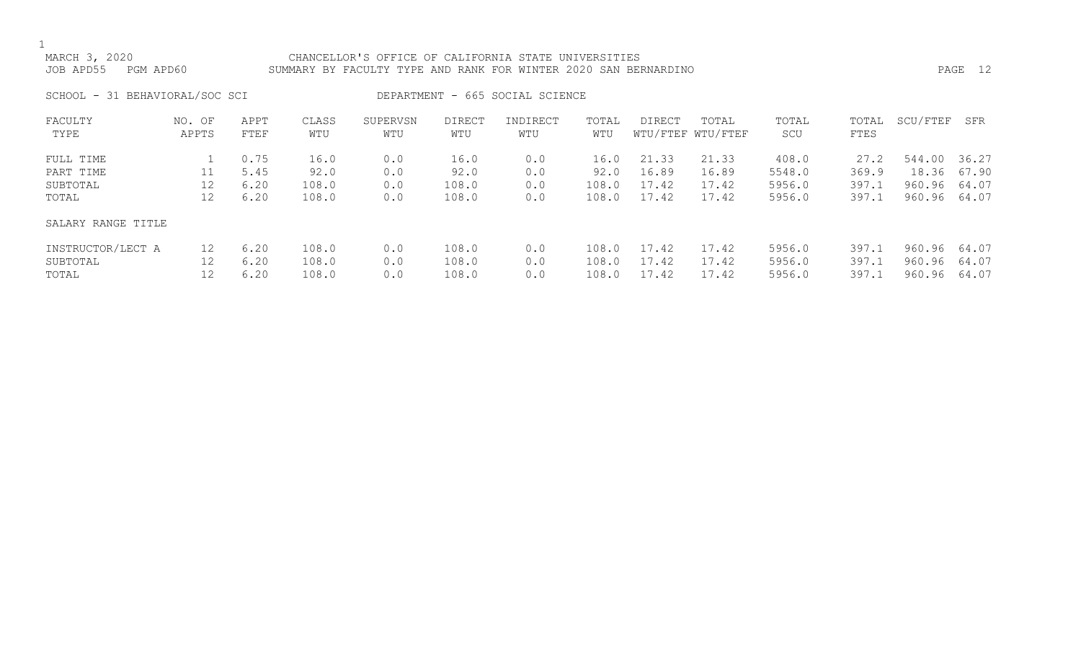MARCH 3, 2020 CHANCELLOR'S OFFICE OF CALIFORNIA STATE UNIVERSITIES JOB APD55 PGM APD60 SUMMARY BY FACULTY TYPE AND RANK FOR WINTER 2020 SAN BERNARDINO PAGE 12

SCHOOL - 31 BEHAVIORAL/SOC SCI DEPARTMENT - 665 SOCIAL SCIENCE

| FACULTY<br>TYPE                             | NO. OF<br>APPTS | APPT<br>FTEF                 | CLASS<br>WTU                   | SUPERVSN<br>WTU          | <b>DIRECT</b><br>WTU           | INDIRECT<br>WTU          | TOTAL<br>WTU                   | DIRECT                           | TOTAL<br>WTU/FTEF WTU/FTEF       | TOTAL<br>SCU                        | TOTAL<br>FTES                   | SCU/FTEF                            | SFR                              |
|---------------------------------------------|-----------------|------------------------------|--------------------------------|--------------------------|--------------------------------|--------------------------|--------------------------------|----------------------------------|----------------------------------|-------------------------------------|---------------------------------|-------------------------------------|----------------------------------|
| FULL TIME<br>PART TIME<br>SUBTOTAL<br>TOTAL | 11<br>12<br>12  | 0.75<br>5.45<br>6.20<br>6.20 | 16.0<br>92.0<br>108.0<br>108.0 | 0.0<br>0.0<br>0.0<br>0.0 | 16.0<br>92.0<br>108.0<br>108.0 | 0.0<br>0.0<br>0.0<br>0.0 | 16.0<br>92.0<br>108.0<br>108.0 | 21.33<br>16.89<br>17.42<br>17.42 | 21.33<br>16.89<br>17.42<br>17.42 | 408.0<br>5548.0<br>5956.0<br>5956.0 | 27.2<br>369.9<br>397.1<br>397.1 | 544.00<br>18.36<br>960.96<br>960.96 | 36.27<br>67.90<br>64.07<br>64.07 |
| SALARY RANGE TITLE                          |                 |                              |                                |                          |                                |                          |                                |                                  |                                  |                                     |                                 |                                     |                                  |
| INSTRUCTOR/LECT A<br>SUBTOTAL<br>TOTAL      | 12<br>12<br>12  | 6.20<br>6.20<br>6.20         | 108.0<br>108.0<br>108.0        | 0.0<br>0.0<br>0.0        | 108.0<br>108.0<br>108.0        | 0.0<br>0.0<br>0.0        | 108.0<br>108.0<br>108.0        | 17.42<br>17.42<br>17.42          | 17.42<br>17.42<br>17.42          | 5956.0<br>5956.0<br>5956.0          | 397.1<br>397.1<br>397.1         | 960.96<br>960.96<br>960.96          | 64.07<br>64.07<br>64.07          |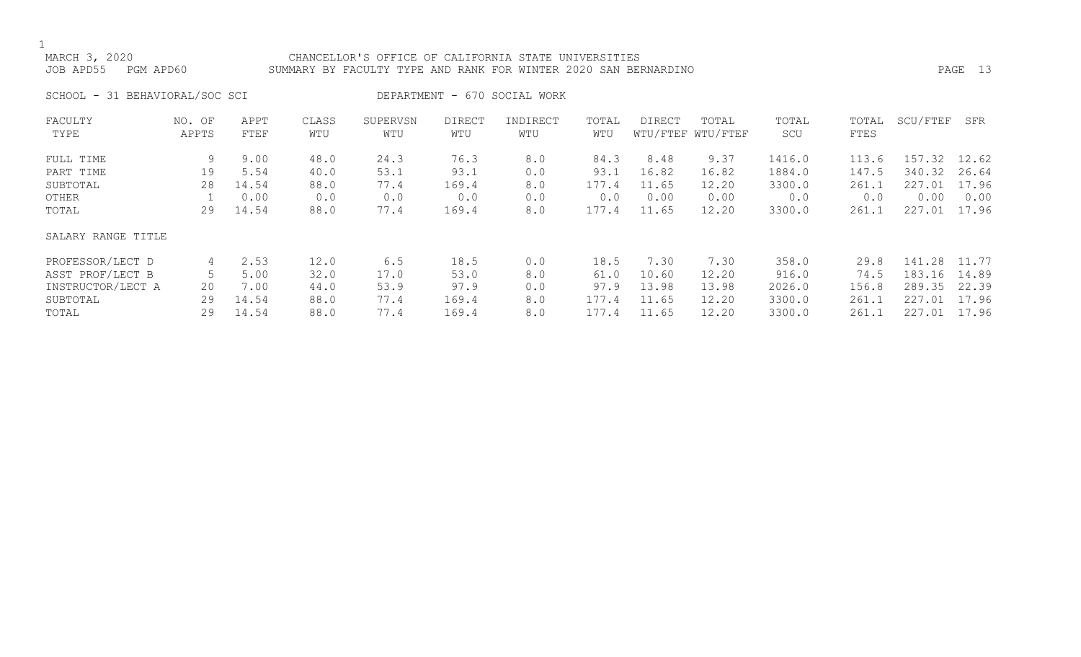### MARCH 3, 2020 CHANCELLOR'S OFFICE OF CALIFORNIA STATE UNIVERSITIES JOB APD55 PGM APD60 SUMMARY BY FACULTY TYPE AND RANK FOR WINTER 2020 SAN BERNARDINO PAGE 13

SCHOOL - 31 BEHAVIORAL/SOC SCI DEPARTMENT - 670 SOCIAL WORK

| FACULTY            | NO. OF | APPT  | CLASS | SUPERVSN | <b>DIRECT</b> | INDIRECT | TOTAL | DIRECT | TOTAL             | TOTAL  | TOTAL | SCU/FTEF | SFR   |
|--------------------|--------|-------|-------|----------|---------------|----------|-------|--------|-------------------|--------|-------|----------|-------|
| TYPE               | APPTS  | FTEF  | WTU   | WTU      | WTU           | WTU      | WTU   |        | WTU/FTEF WTU/FTEF | SCU    | FTES  |          |       |
| FULL TIME          | 9      | 9.00  | 48.0  | 24.3     | 76.3          | 8.0      | 84.3  | 8.48   | 9.37              | 1416.0 | 113.6 | 157.32   | 12.62 |
| PART TIME          | 19     | 5.54  | 40.0  | 53.1     | 93.1          | 0.0      | 93.1  | 16.82  | 16.82             | 1884.0 | 147.5 | 340.32   | 26.64 |
| SUBTOTAL           | 28     | 14.54 | 88.0  | 77.4     | 169.4         | 8.0      | 177.4 | 11.65  | 12.20             | 3300.0 | 261.1 | 227.01   | 17.96 |
| OTHER              |        | 0.00  | 0.0   | 0.0      | 0.0           | 0.0      | 0.0   | 0.00   | 0.00              | 0.0    | 0.0   | 0.00     | 0.00  |
| TOTAL              | 29     | 14.54 | 88.0  | 77.4     | 169.4         | 8.0      | 177.4 | 11.65  | 12.20             | 3300.0 | 261.1 | 227.01   | 17.96 |
| SALARY RANGE TITLE |        |       |       |          |               |          |       |        |                   |        |       |          |       |
| PROFESSOR/LECT D   | 4      | 2.53  | 12.0  | 6.5      | 18.5          | 0.0      | 18.5  | 7.30   | 7.30              | 358.0  | 29.8  | 141.28   | 11.77 |
| ASST PROF/LECT B   |        | 5.00  | 32.0  | 17.0     | 53.0          | 8.0      | 61.0  | 10.60  | 12.20             | 916.0  | 74.5  | 183.16   | 14.89 |
| INSTRUCTOR/LECT A  | 20     | 7.00  | 44.0  | 53.9     | 97.9          | 0.0      | 97.9  | 13.98  | 13.98             | 2026.0 | 156.8 | 289.35   | 22.39 |
| SUBTOTAL           | 29     | 14.54 | 88.0  | 77.4     | 169.4         | 8.0      | 177.4 | 11.65  | 12.20             | 3300.0 | 261.1 | 227.01   | 17.96 |
| TOTAL              | 29     | 14.54 | 88.0  | 77.4     | 169.4         | 8.0      | 177.4 | 11.65  | 12.20             | 3300.0 | 261.1 | 227.01   | 17.96 |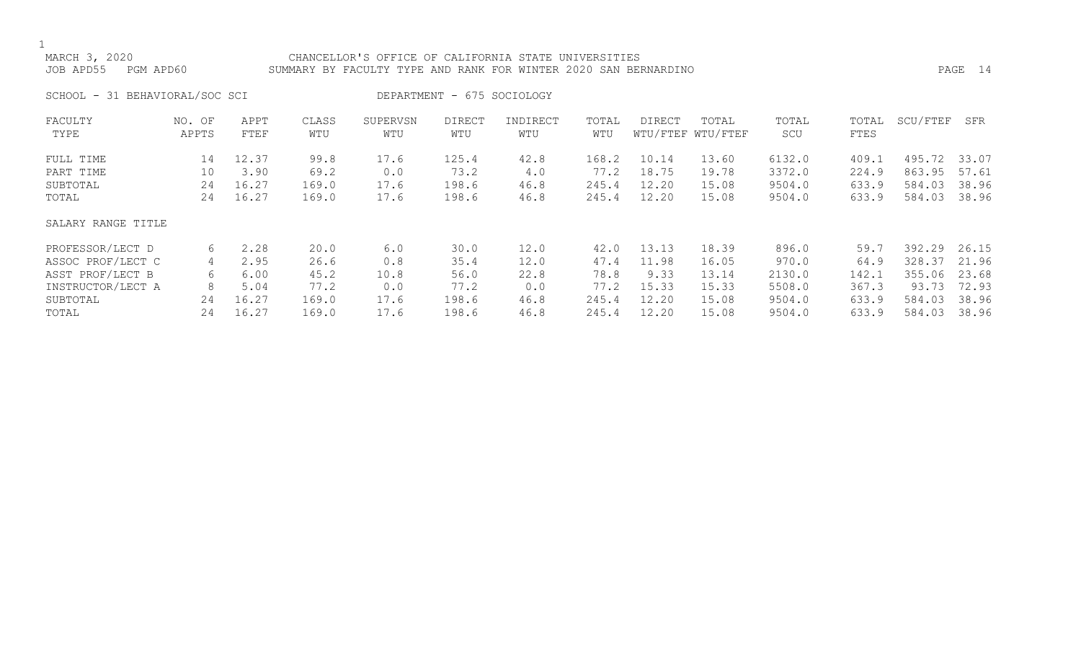### MARCH 3, 2020 CHANCELLOR'S OFFICE OF CALIFORNIA STATE UNIVERSITIES JOB APD55 PGM APD60 SUMMARY BY FACULTY TYPE AND RANK FOR WINTER 2020 SAN BERNARDINO PAGE 14

SCHOOL - 31 BEHAVIORAL/SOC SCI DEPARTMENT - 675 SOCIOLOGY

| FACULTY            | NO. OF | APPT  | CLASS | SUPERVSN | <b>DIRECT</b> | INDIRECT | TOTAL | DIRECT | TOTAL             | TOTAL  | TOTAL | SCU/FTEF | SFR   |
|--------------------|--------|-------|-------|----------|---------------|----------|-------|--------|-------------------|--------|-------|----------|-------|
| TYPE               | APPTS  | FTEF  | WTU   | WTU      | WTU           | WTU      | WTU   |        | WTU/FTEF WTU/FTEF | SCU    | FTES  |          |       |
| FULL TIME          | 14     | 12.37 | 99.8  | 17.6     | 125.4         | 42.8     | 168.2 | 10.14  | 13.60             | 6132.0 | 409.1 | 495.72   | 33.07 |
| PART TIME          | 10     | 3.90  | 69.2  | 0.0      | 73.2          | 4.0      | 77.2  | 18.75  | 19.78             | 3372.0 | 224.9 | 863.95   | 57.61 |
| SUBTOTAL           | 24     | 16.27 | 169.0 | 17.6     | 198.6         | 46.8     | 245.4 | 12.20  | 15.08             | 9504.0 | 633.9 | 584.03   | 38.96 |
| TOTAL              | 24     | 16.27 | 169.0 | 17.6     | 198.6         | 46.8     | 245.4 | 12.20  | 15.08             | 9504.0 | 633.9 | 584.03   | 38.96 |
| SALARY RANGE TITLE |        |       |       |          |               |          |       |        |                   |        |       |          |       |
| PROFESSOR/LECT D   | 6      | 2.28  | 20.0  | 6.0      | 30.0          | 12.0     | 42.0  | 13.13  | 18.39             | 896.0  | 59.7  | 392.29   | 26.15 |
| ASSOC PROF/LECT C  | 4      | 2.95  | 26.6  | 0.8      | 35.4          | 12.0     | 47.4  | 11.98  | 16.05             | 970.0  | 64.9  | 328.37   | 21.96 |
| ASST PROF/LECT B   | 6      | 6.00  | 45.2  | 10.8     | 56.0          | 22.8     | 78.8  | 9.33   | 13.14             | 2130.0 | 142.1 | 355.06   | 23.68 |
| INSTRUCTOR/LECT A  | 8      | 5.04  | 77.2  | 0.0      | 77.2          | 0.0      | 77.2  | 15.33  | 15.33             | 5508.0 | 367.3 | 93.73    | 72.93 |
| SUBTOTAL           | 24     | 16.27 | 169.0 | 17.6     | 198.6         | 46.8     | 245.4 | 12.20  | 15.08             | 9504.0 | 633.9 | 584.03   | 38.96 |
| TOTAL              | 24     | 16.27 | 169.0 | 17.6     | 198.6         | 46.8     | 245.4 | 12.20  | 15.08             | 9504.0 | 633.9 | 584.03   | 38.96 |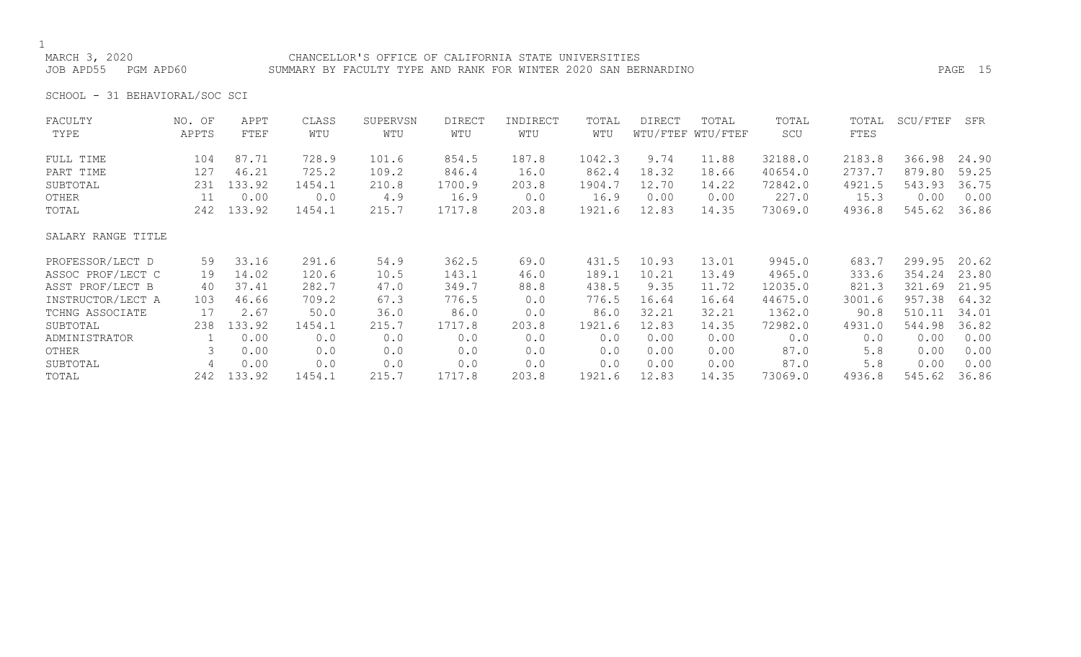## 1<br>MARCH 3, 2020

### CHANCELLOR'S OFFICE OF CALIFORNIA STATE UNIVERSITIES JOB APD55 PGM APD60 SUMMARY BY FACULTY TYPE AND RANK FOR WINTER 2020 SAN BERNARDINO PAGE 15

SCHOOL - 31 BEHAVIORAL/SOC SCI

| FACULTY            | NO. OF | APPT   | CLASS  | SUPERVSN | <b>DIRECT</b> | INDIRECT | TOTAL  | DIRECT | TOTAL             | TOTAL   | TOTAL  | SCU/FTEF | SFR   |
|--------------------|--------|--------|--------|----------|---------------|----------|--------|--------|-------------------|---------|--------|----------|-------|
| TYPE               | APPTS  | FTEF   | WTU    | WTU      | WTU           | WTU      | WTU    |        | WTU/FTEF WTU/FTEF | SCU     | FTES   |          |       |
| FULL TIME          | 104    | 87.71  | 728.9  | 101.6    | 854.5         | 187.8    | 1042.3 | 9.74   | 11.88             | 32188.0 | 2183.8 | 366.98   | 24.90 |
| PART TIME          | 127    | 46.21  | 725.2  | 109.2    | 846.4         | 16.0     | 862.4  | 18.32  | 18.66             | 40654.0 | 2737.7 | 879.80   | 59.25 |
| SUBTOTAL           | 231    | 133.92 | 1454.1 | 210.8    | 1700.9        | 203.8    | 1904.7 | 12.70  | 14.22             | 72842.0 | 4921.5 | 543.93   | 36.75 |
| OTHER              | 11     | 0.00   | 0.0    | 4.9      | 16.9          | 0.0      | 16.9   | 0.00   | 0.00              | 227.0   | 15.3   | 0.00     | 0.00  |
| TOTAL              | 242    | 133.92 | 1454.1 | 215.7    | 1717.8        | 203.8    | 1921.6 | 12.83  | 14.35             | 73069.0 | 4936.8 | 545.62   | 36.86 |
| SALARY RANGE TITLE |        |        |        |          |               |          |        |        |                   |         |        |          |       |
| PROFESSOR/LECT D   | 59     | 33.16  | 291.6  | 54.9     | 362.5         | 69.0     | 431.5  | 10.93  | 13.01             | 9945.0  | 683.7  | 299.95   | 20.62 |
| ASSOC PROF/LECT C  | 19     | 14.02  | 120.6  | 10.5     | 143.1         | 46.0     | 189.1  | 10.21  | 13.49             | 4965.0  | 333.6  | 354.24   | 23.80 |
| ASST PROF/LECT B   | 40     | 37.41  | 282.7  | 47.0     | 349.7         | 88.8     | 438.5  | 9.35   | 11.72             | 12035.0 | 821.3  | 321.69   | 21.95 |
| INSTRUCTOR/LECT A  | 103    | 46.66  | 709.2  | 67.3     | 776.5         | 0.0      | 776.5  | 16.64  | 16.64             | 44675.0 | 3001.6 | 957.38   | 64.32 |
| TCHNG ASSOCIATE    | 17     | 2.67   | 50.0   | 36.0     | 86.0          | 0.0      | 86.0   | 32.21  | 32.21             | 1362.0  | 90.8   | 510.11   | 34.01 |
| SUBTOTAL           | 238    | 133.92 | 1454.1 | 215.7    | 1717.8        | 203.8    | 1921.6 | 12.83  | 14.35             | 72982.0 | 4931.0 | 544.98   | 36.82 |
| ADMINISTRATOR      |        | 0.00   | 0.0    | 0.0      | 0.0           | 0.0      | 0.0    | 0.00   | 0.00              | 0.0     | 0.0    | 0.00     | 0.00  |
| OTHER              | 3      | 0.00   | 0.0    | 0.0      | 0.0           | 0.0      | 0.0    | 0.00   | 0.00              | 87.0    | 5.8    | 0.00     | 0.00  |
| SUBTOTAL           | 4      | 0.00   | 0.0    | 0.0      | 0.0           | 0.0      | 0.0    | 0.00   | 0.00              | 87.0    | 5.8    | 0.00     | 0.00  |
| TOTAL              | 242    | 133.92 | 1454.1 | 215.7    | 1717.8        | 203.8    | 1921.6 | 12.83  | 14.35             | 73069.0 | 4936.8 | 545.62   | 36.86 |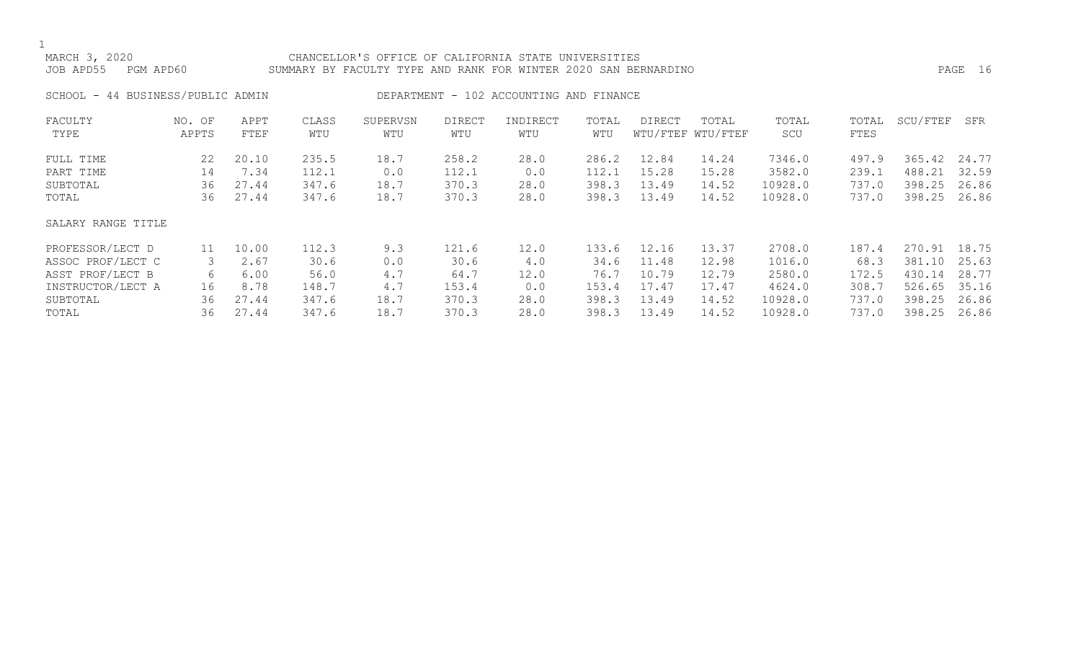### MARCH 3, 2020 CHANCELLOR'S OFFICE OF CALIFORNIA STATE UNIVERSITIES JOB APD55 PGM APD60 SUMMARY BY FACULTY TYPE AND RANK FOR WINTER 2020 SAN BERNARDINO PAGE 16

SCHOOL - 44 BUSINESS/PUBLIC ADMIN DEPARTMENT - 102 ACCOUNTING AND FINANCE

| FACULTY            | NO. OF | APPT  | CLASS | SUPERVSN | <b>DIRECT</b> | INDIRECT | TOTAL | DIRECT | TOTAL             | TOTAL   | TOTAL | SCU/FTEF | SFR   |
|--------------------|--------|-------|-------|----------|---------------|----------|-------|--------|-------------------|---------|-------|----------|-------|
| TYPE               | APPTS  | FTEF  | WTU   | WTU      | WTU           | WTU      | WTU   |        | WTU/FTEF WTU/FTEF | SCU     | FTES  |          |       |
| FULL TIME          | 22     | 20.10 | 235.5 | 18.7     | 258.2         | 28.0     | 286.2 | 12.84  | 14.24             | 7346.0  | 497.9 | 365.42   | 24.77 |
| PART TIME          | 14     | 7.34  | 112.1 | 0.0      | 112.1         | 0.0      | 112.1 | 15.28  | 15.28             | 3582.0  | 239.1 | 488.21   | 32.59 |
| SUBTOTAL           | 36     | 27.44 | 347.6 | 18.7     | 370.3         | 28.0     | 398.3 | 13.49  | 14.52             | 10928.0 | 737.0 | 398.25   | 26.86 |
| TOTAL              | 36     | 27.44 | 347.6 | 18.7     | 370.3         | 28.0     | 398.3 | 13.49  | 14.52             | 10928.0 | 737.0 | 398.25   | 26.86 |
| SALARY RANGE TITLE |        |       |       |          |               |          |       |        |                   |         |       |          |       |
| PROFESSOR/LECT D   | 11     | 10.00 | 112.3 | 9.3      | 121.6         | 12.0     | 133.6 | 12.16  | 13.37             | 2708.0  | 187.4 | 270.91   | 18.75 |
| ASSOC PROF/LECT C  | 3      | 2.67  | 30.6  | 0.0      | 30.6          | 4.0      | 34.6  | 11.48  | 12.98             | 1016.0  | 68.3  | 381.10   | 25.63 |
| ASST PROF/LECT B   | 6      | 6.00  | 56.0  | 4.7      | 64.7          | 12.0     | 76.7  | 10.79  | 12.79             | 2580.0  | 172.5 | 430.14   | 28.77 |
| INSTRUCTOR/LECT A  | 16     | 8.78  | 148.7 | 4.7      | 153.4         | 0.0      | 153.4 | 17.47  | 17.47             | 4624.0  | 308.7 | 526.65   | 35.16 |
| SUBTOTAL           | 36     | 27.44 | 347.6 | 18.7     | 370.3         | 28.0     | 398.3 | 13.49  | 14.52             | 10928.0 | 737.0 | 398.25   | 26.86 |
| TOTAL              | 36     | 27.44 | 347.6 | 18.7     | 370.3         | 28.0     | 398.3 | 13.49  | 14.52             | 10928.0 | 737.0 | 398.25   | 26.86 |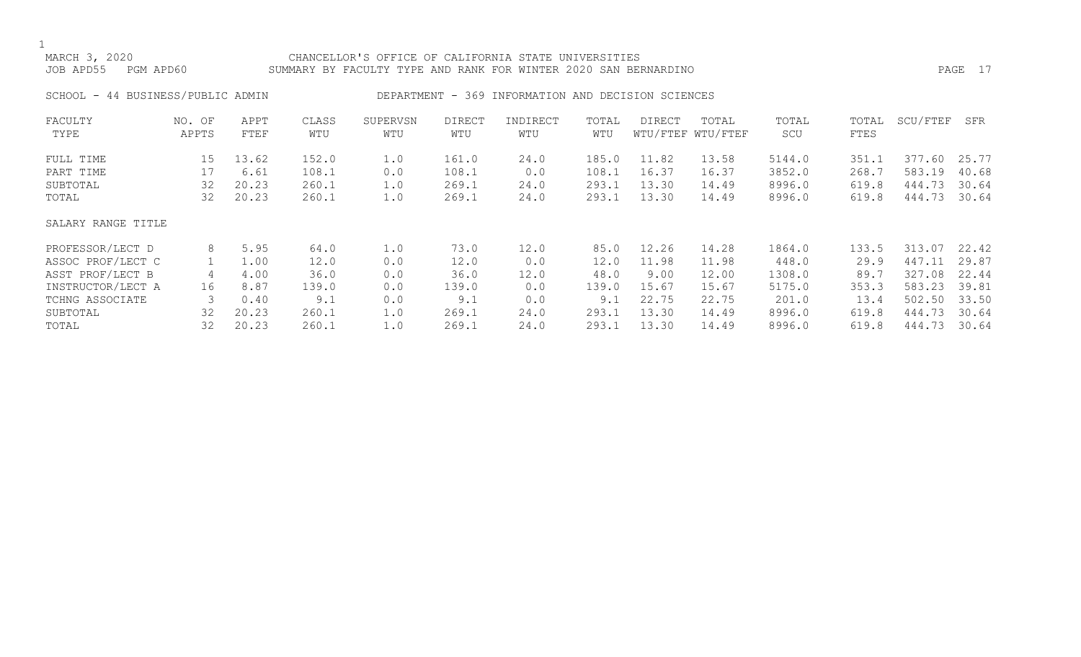### MARCH 3, 2020 CHANCELLOR'S OFFICE OF CALIFORNIA STATE UNIVERSITIES JOB APD55 PGM APD60 SUMMARY BY FACULTY TYPE AND RANK FOR WINTER 2020 SAN BERNARDINO PAGE 17

SCHOOL - 44 BUSINESS/PUBLIC ADMIN DEPARTMENT - 369 INFORMATION AND DECISION SCIENCES

| FACULTY            | NO. OF | APPT  | CLASS | SUPERVSN | DIRECT | INDIRECT | TOTAL | DIRECT | TOTAL             | TOTAL  | TOTAL | SCU/FTEF   | SFR   |
|--------------------|--------|-------|-------|----------|--------|----------|-------|--------|-------------------|--------|-------|------------|-------|
| TYPE               | APPTS  | FTEF  | WTU   | WTU      | WTU    | WTU      | WTU   |        | WTU/FTEF WTU/FTEF | SCU    | FTES  |            |       |
| FULL TIME          | 15     | 13.62 | 152.0 | 1.0      | 161.0  | 24.0     | 185.0 | 11.82  | 13.58             | 5144.0 | 351.1 | 377.60     | 25.77 |
| PART TIME          | 17     | 6.61  | 108.1 | 0.0      | 108.1  | 0.0      | 108.1 | 16.37  | 16.37             | 3852.0 | 268.7 | 583.19     | 40.68 |
| SUBTOTAL           | 32     | 20.23 | 260.1 | 1.0      | 269.1  | 24.0     | 293.1 | 13.30  | 14.49             | 8996.0 | 619.8 | 444.73     | 30.64 |
| TOTAL              | 32     | 20.23 | 260.1 | 1.0      | 269.1  | 24.0     | 293.1 | 13.30  | 14.49             | 8996.0 | 619.8 | 444.73     | 30.64 |
|                    |        |       |       |          |        |          |       |        |                   |        |       |            |       |
| SALARY RANGE TITLE |        |       |       |          |        |          |       |        |                   |        |       |            |       |
| PROFESSOR/LECT D   | 8      | 5.95  | 64.0  | 1.0      | 73.0   | 12.0     | 85.0  | 12.26  | 14.28             | 1864.0 | 133.5 | 313.07     | 22.42 |
| ASSOC PROF/LECT C  |        | 1.00  | 12.0  | 0.0      | 12.0   | 0.0      | 12.0  | 11.98  | 11.98             | 448.0  | 29.9  | 447<br>.11 | 29.87 |
| ASST PROF/LECT B   | 4      | 4.00  | 36.0  | 0.0      | 36.0   | 12.0     | 48.0  | 9.00   | 12.00             | 1308.0 | 89.7  | 327.08     | 22.44 |
| INSTRUCTOR/LECT A  | 16     | 8.87  | 139.0 | 0.0      | 139.0  | 0.0      | 139.0 | 15.67  | 15.67             | 5175.0 | 353.3 | 583.23     | 39.81 |
| TCHNG ASSOCIATE    | 3      | 0.40  | 9.1   | 0.0      | 9.1    | 0.0      | 9.1   | 22.75  | 22.75             | 201.0  | 13.4  | 502.50     | 33.50 |
| SUBTOTAL           | 32     | 20.23 | 260.1 | 1.0      | 269.1  | 24.0     | 293.1 | 13.30  | 14.49             | 8996.0 | 619.8 | 444.73     | 30.64 |
| TOTAL              | 32     | 20.23 | 260.1 | 1.0      | 269.1  | 24.0     | 293.1 | 13.30  | 14.49             | 8996.0 | 619.8 | 444.73     | 30.64 |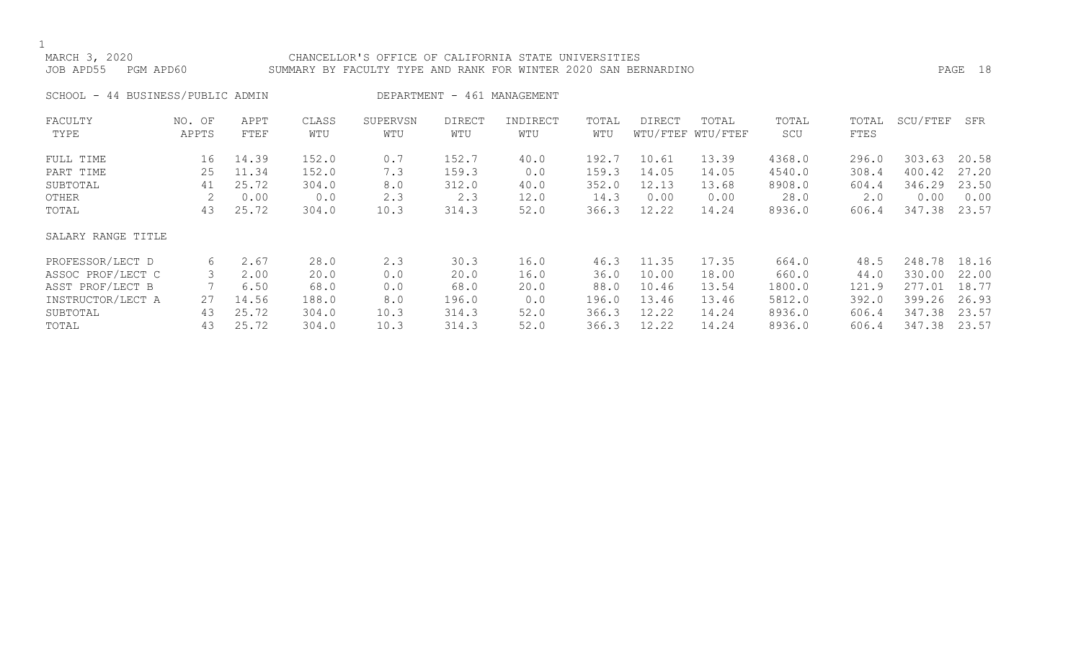### MARCH 3, 2020 CHANCELLOR'S OFFICE OF CALIFORNIA STATE UNIVERSITIES JOB APD55 PGM APD60 SUMMARY BY FACULTY TYPE AND RANK FOR WINTER 2020 SAN BERNARDINO PAGE 18

SCHOOL - 44 BUSINESS/PUBLIC ADMIN DEPARTMENT - 461 MANAGEMENT

| FACULTY            | NO. OF | APPT  | CLASS | SUPERVSN | <b>DIRECT</b> | INDIRECT | TOTAL | <b>DIRECT</b> | TOTAL             | TOTAL  | TOTAL | SCU/FTEF | SFR   |
|--------------------|--------|-------|-------|----------|---------------|----------|-------|---------------|-------------------|--------|-------|----------|-------|
| TYPE               | APPTS  | FTEF  | WTU   | WTU      | WTU           | WTU      | WTU   |               | WTU/FTEF WTU/FTEF | SCU    | FTES  |          |       |
| FULL TIME          | 16     | 14.39 | 152.0 | 0.7      | 152.7         | 40.0     | 192.7 | 10.61         | 13.39             | 4368.0 | 296.0 | 303.63   | 20.58 |
| PART TIME          | 25     | 11.34 | 152.0 | 7.3      | 159.3         | 0.0      | 159.3 | 14.05         | 14.05             | 4540.0 | 308.4 | 400.42   | 27.20 |
| SUBTOTAL           | 41     | 25.72 | 304.0 | 8.0      | 312.0         | 40.0     | 352.0 | 12.13         | 13.68             | 8908.0 | 604.4 | 346.29   | 23.50 |
| OTHER              |        | 0.00  | 0.0   | 2.3      | 2.3           | 12.0     | 14.3  | 0.00          | 0.00              | 28.0   | 2.0   | 0.00     | 0.00  |
| TOTAL              | 43     | 25.72 | 304.0 | 10.3     | 314.3         | 52.0     | 366.3 | 12.22         | 14.24             | 8936.0 | 606.4 | 347.38   | 23.57 |
| SALARY RANGE TITLE |        |       |       |          |               |          |       |               |                   |        |       |          |       |
| PROFESSOR/LECT D   | 6      | 2.67  | 28.0  | 2.3      | 30.3          | 16.0     | 46.3  | 11.35         | 17.35             | 664.0  | 48.5  | 248.78   | 18.16 |
| ASSOC PROF/LECT C  |        | 2.00  | 20.0  | 0.0      | 20.0          | 16.0     | 36.0  | 10.00         | 18.00             | 660.0  | 44.0  | 330.00   | 22.00 |
| ASST PROF/LECT B   |        | 6.50  | 68.0  | 0.0      | 68.0          | 20.0     | 88.0  | 10.46         | 13.54             | 1800.0 | 121.9 | 277.01   | 18.77 |
| INSTRUCTOR/LECT A  | 27     | 14.56 | 188.0 | 8.0      | 196.0         | 0.0      | 196.0 | 13.46         | 13.46             | 5812.0 | 392.0 | 399.26   | 26.93 |
| SUBTOTAL           | 43     | 25.72 | 304.0 | 10.3     | 314.3         | 52.0     | 366.3 | 12.22         | 14.24             | 8936.0 | 606.4 | 347.38   | 23.57 |
| TOTAL              | 43     | 25.72 | 304.0 | 10.3     | 314.3         | 52.0     | 366.3 | 12.22         | 14.24             | 8936.0 | 606.4 | 347.38   | 23.57 |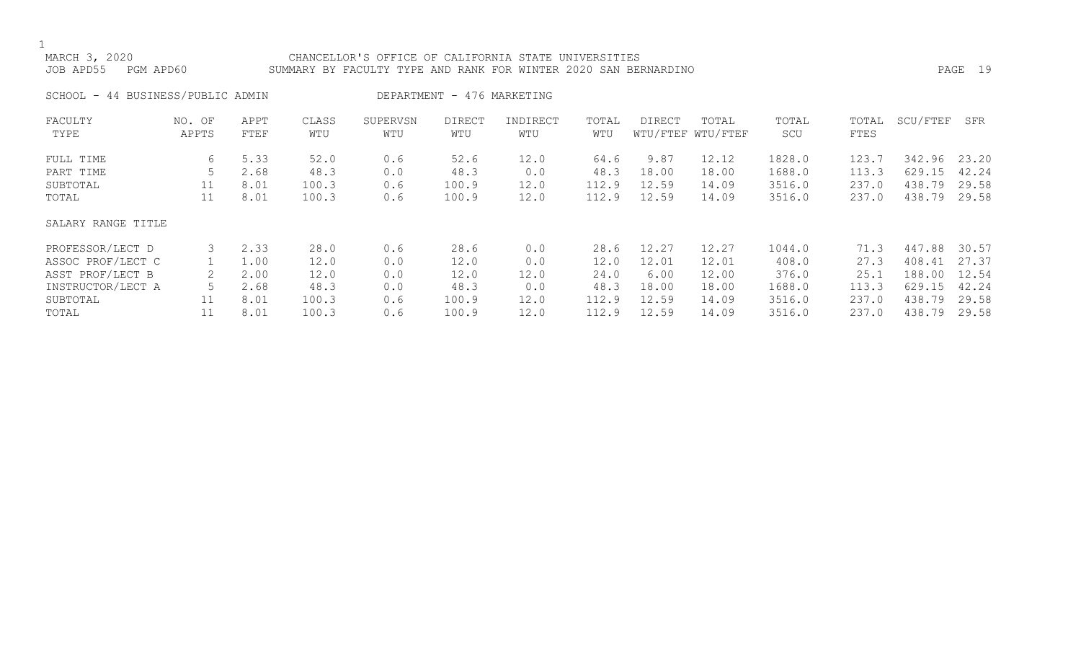### MARCH 3, 2020 CHANCELLOR'S OFFICE OF CALIFORNIA STATE UNIVERSITIES JOB APD55 PGM APD60 SUMMARY BY FACULTY TYPE AND RANK FOR WINTER 2020 SAN BERNARDINO PAGE 19

### SCHOOL - 44 BUSINESS/PUBLIC ADMIN DEPARTMENT - 476 MARKETING

| FACULTY<br>TYPE    | NO. OF<br>APPTS | APPT<br>FTEF | CLASS<br>WTU | SUPERVSN<br>WTU | DIRECT<br>WTU | INDIRECT<br>WTU | TOTAL<br>WTU | DIRECT | TOTAL<br>WTU/FTEF WTU/FTEF | TOTAL<br>SCU | TOTAL<br><b>FTES</b> | SCU/FTEF | SFR   |
|--------------------|-----------------|--------------|--------------|-----------------|---------------|-----------------|--------------|--------|----------------------------|--------------|----------------------|----------|-------|
| FULL TIME          | 6               | 5.33         | 52.0         | 0.6             | 52.6          | 12.0            | 64.6         | 9.87   | 12.12                      | 1828.0       | 123.7                | 342.96   | 23.20 |
| PART TIME          |                 | 2.68         | 48.3         | 0.0             | 48.3          | 0.0             | 48.3         | 18.00  | 18.00                      | 1688.0       | 113.3                | 629.15   | 42.24 |
| SUBTOTAL           | 11              | 8.01         | 100.3        | 0.6             | 100.9         | 12.0            | 112.9        | 12.59  | 14.09                      | 3516.0       | 237.0                | 438.79   | 29.58 |
| TOTAL              | 11              | 8.01         | 100.3        | 0.6             | 100.9         | 12.0            | 112.9        | 12.59  | 14.09                      | 3516.0       | 237.0                | 438.79   | 29.58 |
| SALARY RANGE TITLE |                 |              |              |                 |               |                 |              |        |                            |              |                      |          |       |
| PROFESSOR/LECT D   | 3               | 2.33         | 28.0         | 0.6             | 28.6          | 0.0             | 28.6         | 12.27  | 12.27                      | 1044.0       | 71.3                 | 447.88   | 30.57 |
| ASSOC PROF/LECT C  |                 | 1.00         | 12.0         | 0.0             | 12.0          | 0.0             | 12.0         | 12.01  | 12.01                      | 408.0        | 27.3                 | 408.41   | 27.37 |
| ASST PROF/LECT B   | 2               | 2.00         | 12.0         | 0.0             | 12.0          | 12.0            | 24.0         | 6.00   | 12.00                      | 376.0        | 25.1                 | 188.00   | 12.54 |
| INSTRUCTOR/LECT A  |                 | 2.68         | 48.3         | 0.0             | 48.3          | 0.0             | 48.3         | 18.00  | 18.00                      | 1688.0       | 113.3                | 629.15   | 42.24 |
| SUBTOTAL           | 11              | 8.01         | 100.3        | 0.6             | 100.9         | 12.0            | 112.9        | 12.59  | 14.09                      | 3516.0       | 237.0                | 438.79   | 29.58 |
| TOTAL              |                 | 8.01         | 100.3        | 0.6             | 100.9         | 12.0            | 112.9        | 12.59  | 14.09                      | 3516.0       | 237.0                | 438.79   | 29.58 |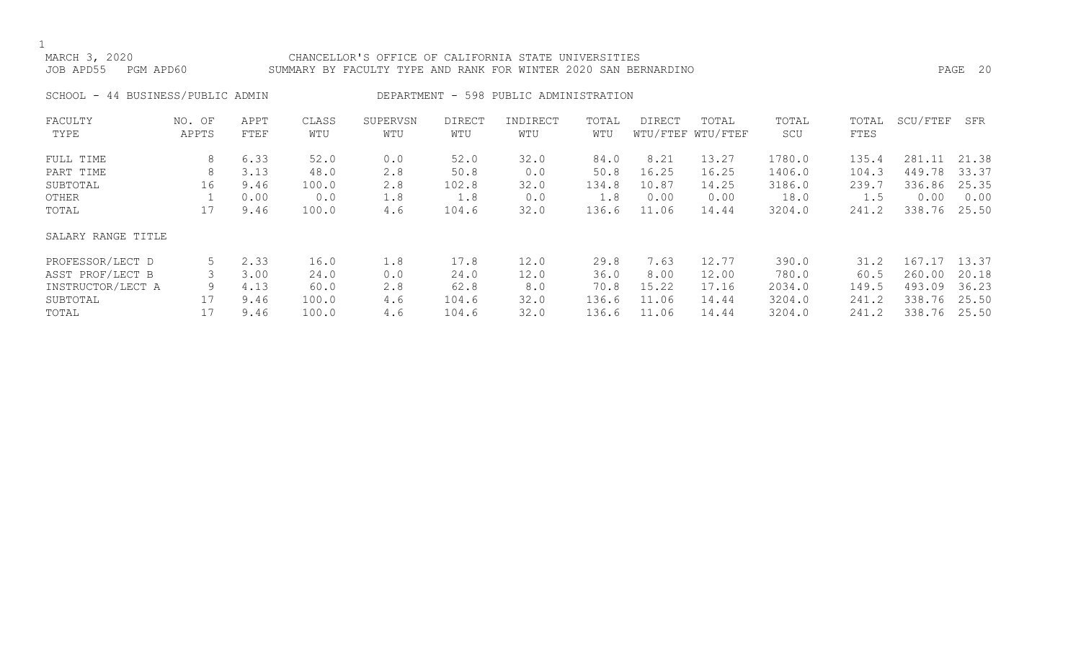### MARCH 3, 2020 CHANCELLOR'S OFFICE OF CALIFORNIA STATE UNIVERSITIES JOB APD55 PGM APD60 SUMMARY BY FACULTY TYPE AND RANK FOR WINTER 2020 SAN BERNARDINO PAGE 20

SCHOOL - 44 BUSINESS/PUBLIC ADMIN DEPARTMENT - 598 PUBLIC ADMINISTRATION

| FACULTY            | NO. OF | APPT | CLASS | SUPERVSN | <b>DIRECT</b> | INDIRECT | TOTAL | <b>DIRECT</b> | TOTAL             | TOTAL  | TOTAL | SCU/FTEF | SFR   |
|--------------------|--------|------|-------|----------|---------------|----------|-------|---------------|-------------------|--------|-------|----------|-------|
| TYPE               | APPTS  | FTEF | WTU   | WTU      | WTU           | WTU      | WTU   |               | WTU/FTEF WTU/FTEF | SCU    | FTES  |          |       |
| FULL TIME          | 8      | 6.33 | 52.0  | 0.0      | 52.0          | 32.0     | 84.0  | 8.21          | 13.27             | 1780.0 | 135.4 | 281.11   | 21.38 |
| PART TIME          | 8      | 3.13 | 48.0  | 2.8      | 50.8          | 0.0      | 50.8  | 16.25         | 16.25             | 1406.0 | 104.3 | 449.78   | 33.37 |
| SUBTOTAL           | 16     | 9.46 | 100.0 | 2.8      | 102.8         | 32.0     | 134.8 | 10.87         | 14.25             | 3186.0 | 239.7 | 336.86   | 25.35 |
| OTHER              |        | 0.00 | 0.0   | 1.8      | 1.8           | 0.0      | 1.8   | 0.00          | 0.00              | 18.0   | 1.5   | 0.00     | 0.00  |
| TOTAL              | 17     | 9.46 | 100.0 | 4.6      | 104.6         | 32.0     | 136.6 | 11.06         | 14.44             | 3204.0 | 241.2 | 338.76   | 25.50 |
| SALARY RANGE TITLE |        |      |       |          |               |          |       |               |                   |        |       |          |       |
| PROFESSOR/LECT D   |        | 2.33 | 16.0  | 1.8      | 17.8          | 12.0     | 29.8  | 7.63          | 12.77             | 390.0  | 31.2  | 167.17   | 13.37 |
| ASST PROF/LECT B   |        | 3.00 | 24.0  | 0.0      | 24.0          | 12.0     | 36.0  | 8.00          | 12.00             | 780.0  | 60.5  | 260.00   | 20.18 |
| INSTRUCTOR/LECT A  | 9      | 4.13 | 60.0  | 2.8      | 62.8          | 8.0      | 70.8  | 15.22         | 17.16             | 2034.0 | 149.5 | 493.09   | 36.23 |
| SUBTOTAL           | 17     | 9.46 | 100.0 | 4.6      | 104.6         | 32.0     | 136.6 | 11.06         | 14.44             | 3204.0 | 241.2 | 338.76   | 25.50 |
| TOTAL              | 17     | 9.46 | 100.0 | 4.6      | 104.6         | 32.0     | 136.6 | 11.06         | 14.44             | 3204.0 | 241.2 | 338.76   | 25.50 |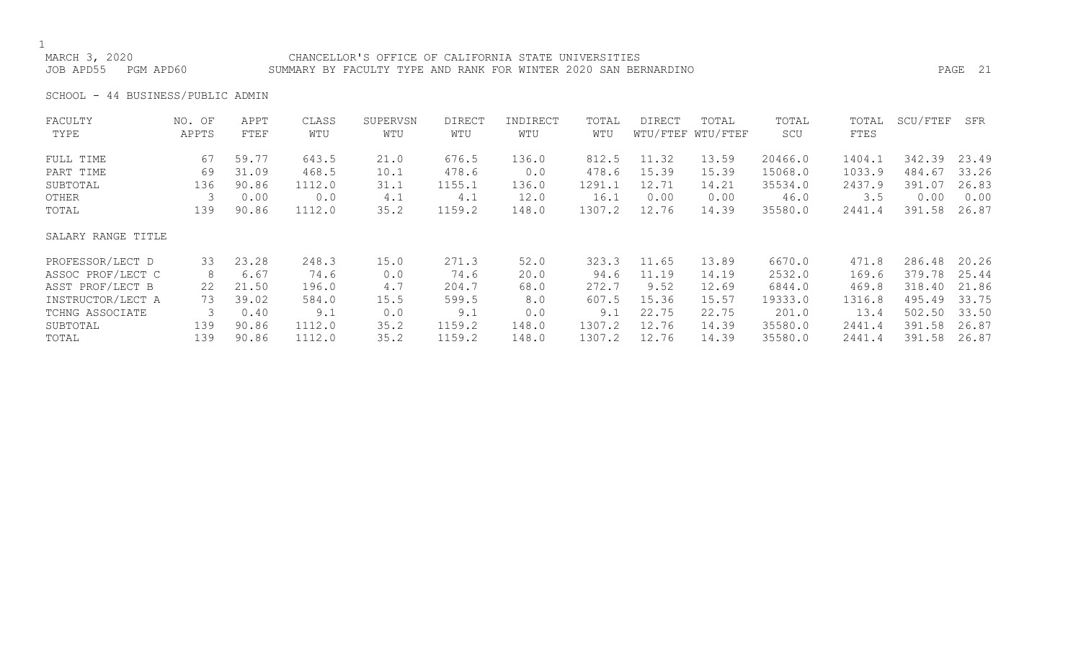### MARCH 3, 2020 CHANCELLOR'S OFFICE OF CALIFORNIA STATE UNIVERSITIES JOB APD55 PGM APD60 SUMMARY BY FACULTY TYPE AND RANK FOR WINTER 2020 SAN BERNARDINO PAGE 21

SCHOOL - 44 BUSINESS/PUBLIC ADMIN

| FACULTY            | NO. OF | APPT  | CLASS  | SUPERVSN | <b>DIRECT</b> | INDIRECT | TOTAL  | DIRECT | TOTAL             | TOTAL   | TOTAL  | SCU/FTEF | SFR   |
|--------------------|--------|-------|--------|----------|---------------|----------|--------|--------|-------------------|---------|--------|----------|-------|
| TYPE               | APPTS  | FTEF  | WTU    | WTU      | WTU           | WTU      | WTU    |        | WTU/FTEF WTU/FTEF | SCU     | FTES   |          |       |
| FULL TIME          | 67     | 59.77 | 643.5  | 21.0     | 676.5         | 136.0    | 812.5  | 11.32  | 13.59             | 20466.0 | 1404.1 | 342.39   | 23.49 |
| PART TIME          | 69     | 31.09 | 468.5  | 10.1     | 478.6         | 0.0      | 478.6  | 15.39  | 15.39             | 15068.0 | 1033.9 | 484.67   | 33.26 |
| SUBTOTAL           | 136    | 90.86 | 1112.0 | 31.1     | 1155.1        | 136.0    | 1291.1 | 12.71  | 14.21             | 35534.0 | 2437.9 | 391.07   | 26.83 |
| OTHER              |        | 0.00  | 0.0    | 4.1      | 4.1           | 12.0     | 16.1   | 0.00   | 0.00              | 46.0    | 3.5    | 0.00     | 0.00  |
| TOTAL              | 139    | 90.86 | 1112.0 | 35.2     | 1159.2        | 148.0    | 1307.2 | 12.76  | 14.39             | 35580.0 | 2441.4 | 391.58   | 26.87 |
| SALARY RANGE TITLE |        |       |        |          |               |          |        |        |                   |         |        |          |       |
| PROFESSOR/LECT D   | 33     | 23.28 | 248.3  | 15.0     | 271.3         | 52.0     | 323.3  | 11.65  | 13.89             | 6670.0  | 471.8  | 286.48   | 20.26 |
| ASSOC PROF/LECT C  | 8      | 6.67  | 74.6   | 0.0      | 74.6          | 20.0     | 94.6   | 11.19  | 14.19             | 2532.0  | 169.6  | 379.78   | 25.44 |
| ASST PROF/LECT B   | 22     | 21.50 | 196.0  | 4.7      | 204.7         | 68.0     | 272.7  | 9.52   | 12.69             | 6844.0  | 469.8  | 318.40   | 21.86 |
| INSTRUCTOR/LECT A  | 73     | 39.02 | 584.0  | 15.5     | 599.5         | 8.0      | 607.5  | 15.36  | 15.57             | 19333.0 | 1316.8 | 495.49   | 33.75 |
| TCHNG ASSOCIATE    |        | 0.40  | 9.1    | 0.0      | 9.1           | 0.0      | 9.1    | 22.75  | 22.75             | 201.0   | 13.4   | 502.50   | 33.50 |
| SUBTOTAL           | 139    | 90.86 | 1112.0 | 35.2     | 1159.2        | 148.0    | 1307.2 | 12.76  | 14.39             | 35580.0 | 2441.4 | 391.58   | 26.87 |
| TOTAL              | 139    | 90.86 | 1112.0 | 35.2     | 1159.2        | 148.0    | 1307.2 | 12.76  | 14.39             | 35580.0 | 2441.4 | 391.58   | 26.87 |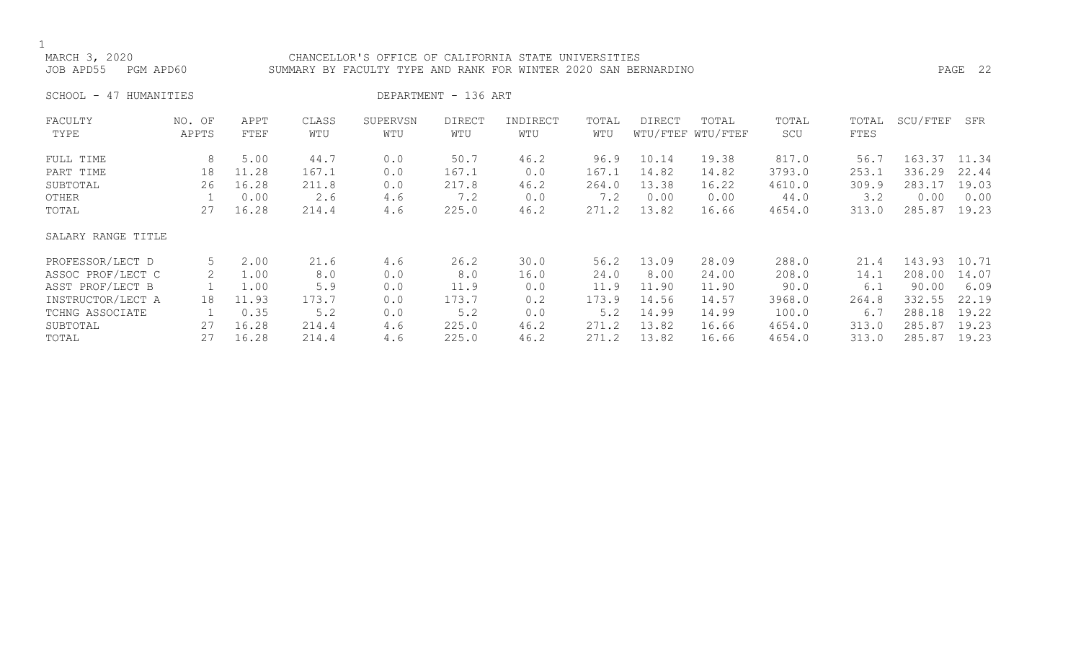### MARCH 3, 2020<br>JOB APD55 PGM APD60 SUMMARY BY FACULTY TYPE AND RANK FOR WINTER 2020 SAN BEF SUMMARY BY FACULTY TYPE AND RANK FOR WINTER 2020 SAN BERNARDINO **PAGE 22**

SCHOOL - 47 HUMANITIES DEPARTMENT - 136 ART

| FACULTY            | NO. OF | APPT  | CLASS | SUPERVSN | <b>DIRECT</b> | INDIRECT | TOTAL | DIRECT | TOTAL             | TOTAL  | TOTAL | SCU/FTEF | SFR   |
|--------------------|--------|-------|-------|----------|---------------|----------|-------|--------|-------------------|--------|-------|----------|-------|
| TYPE               | APPTS  | FTEF  | WTU   | WTU      | WTU           | WTU      | WTU   |        | WTU/FTEF WTU/FTEF | SCU    | FTES  |          |       |
| FULL TIME          | 8      | 5.00  | 44.7  | 0.0      | 50.7          | 46.2     | 96.9  | 10.14  | 19.38             | 817.0  | 56.7  | 163.37   | 11.34 |
| PART TIME          | 18     | 11.28 | 167.1 | 0.0      | 167.1         | 0.0      | 167.1 | 14.82  | 14.82             | 3793.0 | 253.1 | 336.29   | 22.44 |
| SUBTOTAL           | 26     | 16.28 | 211.8 | 0.0      | 217.8         | 46.2     | 264.0 | 13.38  | 16.22             | 4610.0 | 309.9 | 283.17   | 19.03 |
| OTHER              |        | 0.00  | 2.6   | 4.6      | 7.2           | 0.0      | 7.2   | 0.00   | 0.00              | 44.0   | 3.2   | 0.00     | 0.00  |
| TOTAL              | 27     | 16.28 | 214.4 | 4.6      | 225.0         | 46.2     | 271.2 | 13.82  | 16.66             | 4654.0 | 313.0 | 285.87   | 19.23 |
| SALARY RANGE TITLE |        |       |       |          |               |          |       |        |                   |        |       |          |       |
| PROFESSOR/LECT D   | 5      | 2.00  | 21.6  | 4.6      | 26.2          | 30.0     | 56.2  | 13.09  | 28.09             | 288.0  | 21.4  | 143.93   | 10.71 |
| ASSOC PROF/LECT C  |        | 1.00  | 8.0   | 0.0      | 8.0           | 16.0     | 24.0  | 8.00   | 24.00             | 208.0  | 14.1  | 208.00   | 14.07 |
| ASST PROF/LECT B   |        | 1.00  | 5.9   | 0.0      | 11.9          | 0.0      | 11.9  | 11.90  | 11.90             | 90.0   | 6.1   | 90.00    | 6.09  |
| INSTRUCTOR/LECT A  | 18     | 11.93 | 173.7 | 0.0      | 173.7         | 0.2      | 173.9 | 14.56  | 14.57             | 3968.0 | 264.8 | 332.55   | 22.19 |
| TCHNG ASSOCIATE    |        | 0.35  | 5.2   | 0.0      | 5.2           | 0.0      | 5.2   | 14.99  | 14.99             | 100.0  | 6.7   | 288.18   | 19.22 |
| SUBTOTAL           | 27     | 16.28 | 214.4 | 4.6      | 225.0         | 46.2     | 271.2 | 13.82  | 16.66             | 4654.0 | 313.0 | 285.87   | 19.23 |
| TOTAL              | 27     | 16.28 | 214.4 | 4.6      | 225.0         | 46.2     | 271.2 | 13.82  | 16.66             | 4654.0 | 313.0 | 285.87   | 19.23 |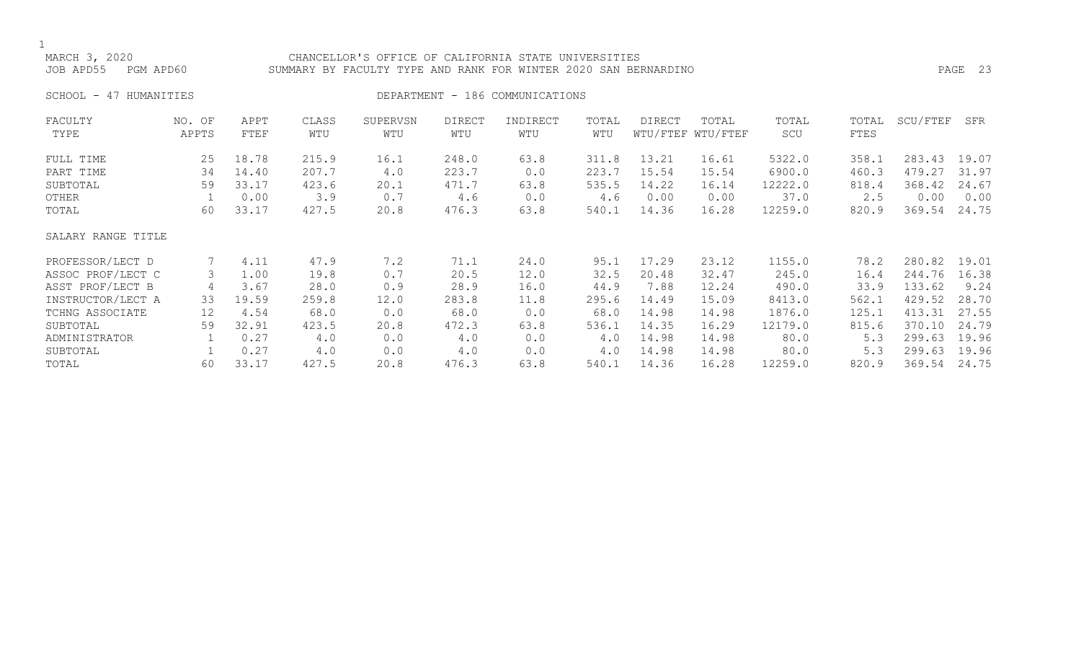MARCH 3, 2020 CHANCELLOR'S OFFICE OF CALIFORNIA STATE UNIVERSITIES JOB APD55 PGM APD60 SUMMARY BY FACULTY TYPE AND RANK FOR WINTER 2020 SAN BERNARDINO PAGE 23

SCHOOL - 47 HUMANITIES SERVICES DEPARTMENT - 186 COMMUNICATIONS

| FACULTY            | NO. OF | APPT  | CLASS | SUPERVSN | <b>DIRECT</b> | INDIRECT | TOTAL | DIRECT | TOTAL             | TOTAL   | TOTAL | SCU/FTEF | SFR   |
|--------------------|--------|-------|-------|----------|---------------|----------|-------|--------|-------------------|---------|-------|----------|-------|
| TYPE               | APPTS  | FTEF  | WTU   | WTU      | WTU           | WTU      | WTU   |        | WTU/FTEF WTU/FTEF | SCU     | FTES  |          |       |
| FULL TIME          | 25     | 18.78 | 215.9 | 16.1     | 248.0         | 63.8     | 311.8 | 13.21  | 16.61             | 5322.0  | 358.1 | 283.43   | 19.07 |
| PART TIME          | 34     | 14.40 | 207.7 | 4.0      | 223.7         | 0.0      | 223.7 | 15.54  | 15.54             | 6900.0  | 460.3 | 479.27   | 31.97 |
| SUBTOTAL           | 59     | 33.17 | 423.6 | 20.1     | 471.7         | 63.8     | 535.5 | 14.22  | 16.14             | 12222.0 | 818.4 | 368.42   | 24.67 |
| OTHER              |        | 0.00  | 3.9   | 0.7      | 4.6           | 0.0      | 4.6   | 0.00   | 0.00              | 37.0    | 2.5   | 0.00     | 0.00  |
| TOTAL              | 60     | 33.17 | 427.5 | 20.8     | 476.3         | 63.8     | 540.1 | 14.36  | 16.28             | 12259.0 | 820.9 | 369.54   | 24.75 |
| SALARY RANGE TITLE |        |       |       |          |               |          |       |        |                   |         |       |          |       |
| PROFESSOR/LECT D   |        | 4.11  | 47.9  | 7.2      | 71.1          | 24.0     | 95.1  | 17.29  | 23.12             | 1155.0  | 78.2  | 280.82   | 19.01 |
| ASSOC PROF/LECT C  | 3      | 1.00  | 19.8  | 0.7      | 20.5          | 12.0     | 32.5  | 20.48  | 32.47             | 245.0   | 16.4  | 244.76   | 16.38 |
| ASST PROF/LECT B   | 4      | 3.67  | 28.0  | 0.9      | 28.9          | 16.0     | 44.9  | 7.88   | 12.24             | 490.0   | 33.9  | 133.62   | 9.24  |
| INSTRUCTOR/LECT A  | 33     | 19.59 | 259.8 | 12.0     | 283.8         | 11.8     | 295.6 | 14.49  | 15.09             | 8413.0  | 562.1 | 429.52   | 28.70 |
| TCHNG ASSOCIATE    | 12     | 4.54  | 68.0  | 0.0      | 68.0          | 0.0      | 68.0  | 14.98  | 14.98             | 1876.0  | 125.1 | 413.31   | 27.55 |
| SUBTOTAL           | 59     | 32.91 | 423.5 | 20.8     | 472.3         | 63.8     | 536.1 | 14.35  | 16.29             | 12179.0 | 815.6 | 370.10   | 24.79 |
| ADMINISTRATOR      |        | 0.27  | 4.0   | 0.0      | 4.0           | 0.0      | 4.0   | 14.98  | 14.98             | 80.0    | 5.3   | 299.63   | 19.96 |
| SUBTOTAL           |        | 0.27  | 4.0   | 0.0      | 4.0           | 0.0      | 4.0   | 14.98  | 14.98             | 80.0    | 5.3   | 299.63   | 19.96 |
| TOTAL              | 60     | 33.17 | 427.5 | 20.8     | 476.3         | 63.8     | 540.1 | 14.36  | 16.28             | 12259.0 | 820.9 | 369.54   | 24.75 |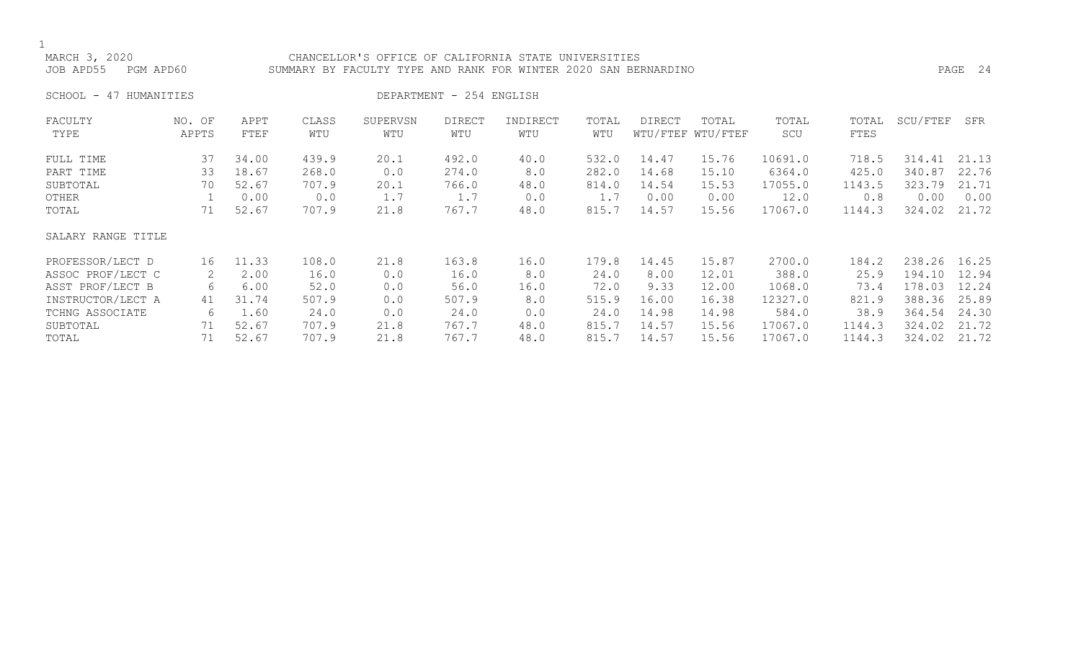### MARCH 3, 2020<br>JOB APD55 PGM APD60 SUMMARY BY FACULTY TYPE AND RANK FOR WINTER 2020 SAN BEF SUMMARY BY FACULTY TYPE AND RANK FOR WINTER 2020 SAN BERNARDINO **PAGE 24**

SCHOOL - 47 HUMANITIES DEPARTMENT - 254 ENGLISH

| FACULTY            | NO. OF | APPT  | CLASS | SUPERVSN | <b>DIRECT</b> | INDIRECT | TOTAL | <b>DIRECT</b> | TOTAL             | TOTAL   | TOTAL  | SCU/FTEF | SFR   |
|--------------------|--------|-------|-------|----------|---------------|----------|-------|---------------|-------------------|---------|--------|----------|-------|
| TYPE               | APPTS  | FTEF  | WTU   | WTU      | WTU           | WTU      | WTU   |               | WTU/FTEF WTU/FTEF | SCU     | FTES   |          |       |
| FULL TIME          | 37     | 34.00 | 439.9 | 20.1     | 492.0         | 40.0     | 532.0 | 14.47         | 15.76             | 10691.0 | 718.5  | 314.41   | 21.13 |
| PART TIME          | 33     | 18.67 | 268.0 | 0.0      | 274.0         | 8.0      | 282.0 | 14.68         | 15.10             | 6364.0  | 425.0  | 340.87   | 22.76 |
| SUBTOTAL           | 70     | 52.67 | 707.9 | 20.1     | 766.0         | 48.0     | 814.0 | 14.54         | 15.53             | 17055.0 | 1143.5 | 323.79   | 21.71 |
| OTHER              |        | 0.00  | 0.0   | 1.7      | 1.7           | 0.0      | 1.7   | 0.00          | 0.00              | 12.0    | 0.8    | 0.00     | 0.00  |
| TOTAL              | 71     | 52.67 | 707.9 | 21.8     | 767.7         | 48.0     | 815.7 | 14.57         | 15.56             | 17067.0 | 1144.3 | 324.02   | 21.72 |
| SALARY RANGE TITLE |        |       |       |          |               |          |       |               |                   |         |        |          |       |
| PROFESSOR/LECT D   | 16     | 11.33 | 108.0 | 21.8     | 163.8         | 16.0     | 179.8 | 14.45         | 15.87             | 2700.0  | 184.2  | 238.26   | 16.25 |
| ASSOC PROF/LECT C  | 2      | 2.00  | 16.0  | 0.0      | 16.0          | 8.0      | 24.0  | 8.00          | 12.01             | 388.0   | 25.9   | 194.10   | 12.94 |
| ASST PROF/LECT B   | 6      | 6.00  | 52.0  | 0.0      | 56.0          | 16.0     | 72.0  | 9.33          | 12.00             | 1068.0  | 73.4   | 178.03   | 12.24 |
| INSTRUCTOR/LECT A  | 41     | 31.74 | 507.9 | 0.0      | 507.9         | 8.0      | 515.9 | 16.00         | 16.38             | 12327.0 | 821.9  | 388.36   | 25.89 |
| TCHNG ASSOCIATE    | 6      | 1.60  | 24.0  | 0.0      | 24.0          | 0.0      | 24.0  | 14.98         | 14.98             | 584.0   | 38.9   | 364.54   | 24.30 |
| SUBTOTAL           | 71     | 52.67 | 707.9 | 21.8     | 767.7         | 48.0     | 815.7 | 14.57         | 15.56             | 17067.0 | 1144.3 | 324.02   | 21.72 |
| TOTAL              | 71     | 52.67 | 707.9 | 21.8     | 767.7         | 48.0     | 815.7 | 14.57         | 15.56             | 17067.0 | 1144.3 | 324.02   | 21.72 |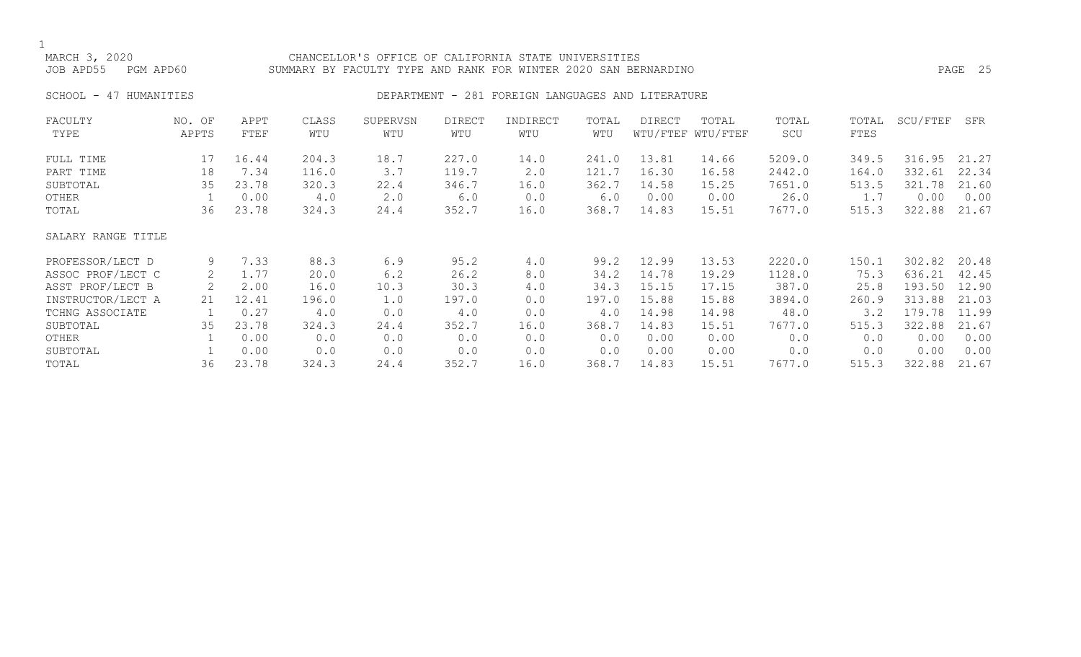### MARCH 3, 2020 CHANCELLOR'S OFFICE OF CALIFORNIA STATE UNIVERSITIES JOB APD55 PGM APD60 SUMMARY BY FACULTY TYPE AND RANK FOR WINTER 2020 SAN BERNARDINO PAGE 25

### SCHOOL - 47 HUMANITIES SERVICES DEPARTMENT - 281 FOREIGN LANGUAGES AND LITERATURE

| FACULTY            | NO. OF | APPT  | CLASS | SUPERVSN | <b>DIRECT</b> | INDIRECT | TOTAL | DIRECT | TOTAL             | TOTAL  | TOTAL | SCU/FTEF | SFR   |
|--------------------|--------|-------|-------|----------|---------------|----------|-------|--------|-------------------|--------|-------|----------|-------|
| TYPE               | APPTS  | FTEF  | WTU   | WTU      | WTU           | WTU      | WTU   |        | WTU/FTEF WTU/FTEF | SCU    | FTES  |          |       |
| FULL TIME          | 17     | 16.44 | 204.3 | 18.7     | 227.0         | 14.0     | 241.0 | 13.81  | 14.66             | 5209.0 | 349.5 | 316.95   | 21.27 |
| PART TIME          | 18     | 7.34  | 116.0 | 3.7      | 119.7         | 2.0      | 121.7 | 16.30  | 16.58             | 2442.0 | 164.0 | 332.61   | 22.34 |
| SUBTOTAL           | 35     | 23.78 | 320.3 | 22.4     | 346.7         | 16.0     | 362.7 | 14.58  | 15.25             | 7651.0 | 513.5 | 321.78   | 21.60 |
| OTHER              |        | 0.00  | 4.0   | 2.0      | 6.0           | 0.0      | 6.0   | 0.00   | 0.00              | 26.0   | 1.7   | 0.00     | 0.00  |
| TOTAL              | 36     | 23.78 | 324.3 | 24.4     | 352.7         | 16.0     | 368.7 | 14.83  | 15.51             | 7677.0 | 515.3 | 322.88   | 21.67 |
| SALARY RANGE TITLE |        |       |       |          |               |          |       |        |                   |        |       |          |       |
| PROFESSOR/LECT D   | 9      | 7.33  | 88.3  | 6.9      | 95.2          | 4.0      | 99.2  | 12.99  | 13.53             | 2220.0 | 150.1 | 302.82   | 20.48 |
| ASSOC PROF/LECT C  | 2      | 1.77  | 20.0  | 6.2      | 26.2          | 8.0      | 34.2  | 14.78  | 19.29             | 1128.0 | 75.3  | 636.21   | 42.45 |
| ASST PROF/LECT B   | 2      | 2.00  | 16.0  | 10.3     | 30.3          | 4.0      | 34.3  | 15.15  | 17.15             | 387.0  | 25.8  | 193.50   | 12.90 |
| INSTRUCTOR/LECT A  | 21     | 12.41 | 196.0 | 1.0      | 197.0         | 0.0      | 197.0 | 15.88  | 15.88             | 3894.0 | 260.9 | 313.88   | 21.03 |
| TCHNG ASSOCIATE    |        | 0.27  | 4.0   | 0.0      | 4.0           | 0.0      | 4.0   | 14.98  | 14.98             | 48.0   | 3.2   | 179.78   | 11.99 |
| SUBTOTAL           | 35     | 23.78 | 324.3 | 24.4     | 352.7         | 16.0     | 368.7 | 14.83  | 15.51             | 7677.0 | 515.3 | 322.88   | 21.67 |
| OTHER              |        | 0.00  | 0.0   | 0.0      | 0.0           | 0.0      | 0.0   | 0.00   | 0.00              | 0.0    | 0.0   | 0.00     | 0.00  |
| SUBTOTAL           |        | 0.00  | 0.0   | 0.0      | 0.0           | 0.0      | 0.0   | 0.00   | 0.00              | 0.0    | 0.0   | 0.00     | 0.00  |
| TOTAL              | 36     | 23.78 | 324.3 | 24.4     | 352.7         | 16.0     | 368.7 | 14.83  | 15.51             | 7677.0 | 515.3 | 322.88   | 21.67 |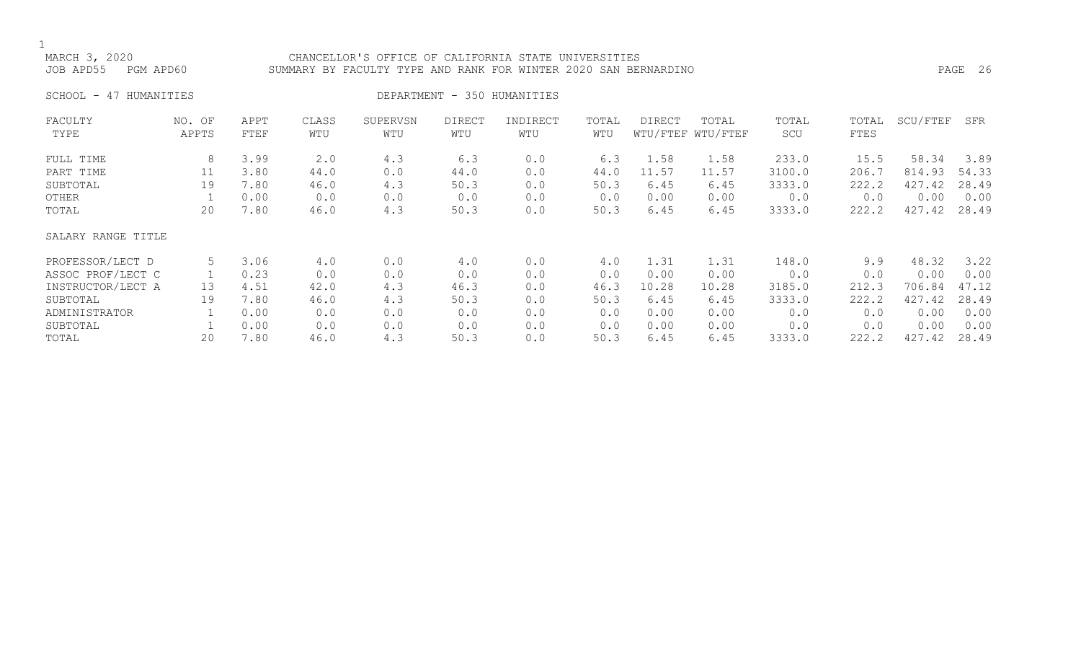### MARCH 3, 2020 CHANCELLOR'S OFFICE OF CALIFORNIA STATE UNIVERSITIES JOB APD55 PGM APD60 SUMMARY BY FACULTY TYPE AND RANK FOR WINTER 2020 SAN BERNARDINO PAGE 26

SCHOOL - 47 HUMANITIES SERIES DEPARTMENT - 350 HUMANITIES

| FACULTY            | NO. OF | APPT | CLASS | SUPERVSN | <b>DIRECT</b> | INDIRECT | TOTAL | DIRECT | TOTAL             | TOTAL  | TOTAL | SCU/FTEF | SFR   |
|--------------------|--------|------|-------|----------|---------------|----------|-------|--------|-------------------|--------|-------|----------|-------|
| TYPE               | APPTS  | FTEF | WTU   | WTU      | WTU           | WTU      | WTU   |        | WTU/FTEF WTU/FTEF | SCU    | FTES  |          |       |
| FULL TIME          | 8      | 3.99 | 2.0   | 4.3      | 6.3           | 0.0      | 6.3   | 1.58   | 1.58              | 233.0  | 15.5  | 58.34    | 3.89  |
| PART TIME          | 11     | 3.80 | 44.0  | 0.0      | 44.0          | 0.0      | 44.0  | 11.57  | 11.57             | 3100.0 | 206.7 | 814.93   | 54.33 |
| SUBTOTAL           | 19     | 7.80 | 46.0  | 4.3      | 50.3          | 0.0      | 50.3  | 6.45   | 6.45              | 3333.0 | 222.2 | 427.42   | 28.49 |
| OTHER              |        | 0.00 | 0.0   | 0.0      | 0.0           | 0.0      | 0.0   | 0.00   | 0.00              | 0.0    | 0.0   | 0.00     | 0.00  |
| TOTAL              | 20     | 7.80 | 46.0  | 4.3      | 50.3          | 0.0      | 50.3  | 6.45   | 6.45              | 3333.0 | 222.2 | 427.42   | 28.49 |
| SALARY RANGE TITLE |        |      |       |          |               |          |       |        |                   |        |       |          |       |
| PROFESSOR/LECT D   | 5      | 3.06 | 4.0   | 0.0      | 4.0           | 0.0      | 4.0   | 1.31   | 1.31              | 148.0  | 9.9   | 48.32    | 3.22  |
| ASSOC PROF/LECT C  |        | 0.23 | 0.0   | 0.0      | 0.0           | 0.0      | 0.0   | 0.00   | 0.00              | 0.0    | 0.0   | 0.00     | 0.00  |
| INSTRUCTOR/LECT A  | 13     | 4.51 | 42.0  | 4.3      | 46.3          | 0.0      | 46.3  | 10.28  | 10.28             | 3185.0 | 212.3 | 706.84   | 47.12 |
| SUBTOTAL           | 19     | 7.80 | 46.0  | 4.3      | 50.3          | 0.0      | 50.3  | 6.45   | 6.45              | 3333.0 | 222.2 | 427.42   | 28.49 |
| ADMINISTRATOR      |        | 0.00 | 0.0   | 0.0      | 0.0           | 0.0      | 0.0   | 0.00   | 0.00              | 0.0    | 0.0   | 0.00     | 0.00  |
| SUBTOTAL           |        | 0.00 | 0.0   | 0.0      | 0.0           | 0.0      | 0.0   | 0.00   | 0.00              | 0.0    | 0.0   | 0.00     | 0.00  |
| TOTAL              | 20     | 7.80 | 46.0  | 4.3      | 50.3          | 0.0      | 50.3  | 6.45   | 6.45              | 3333.0 | 222.2 | 427.42   | 28.49 |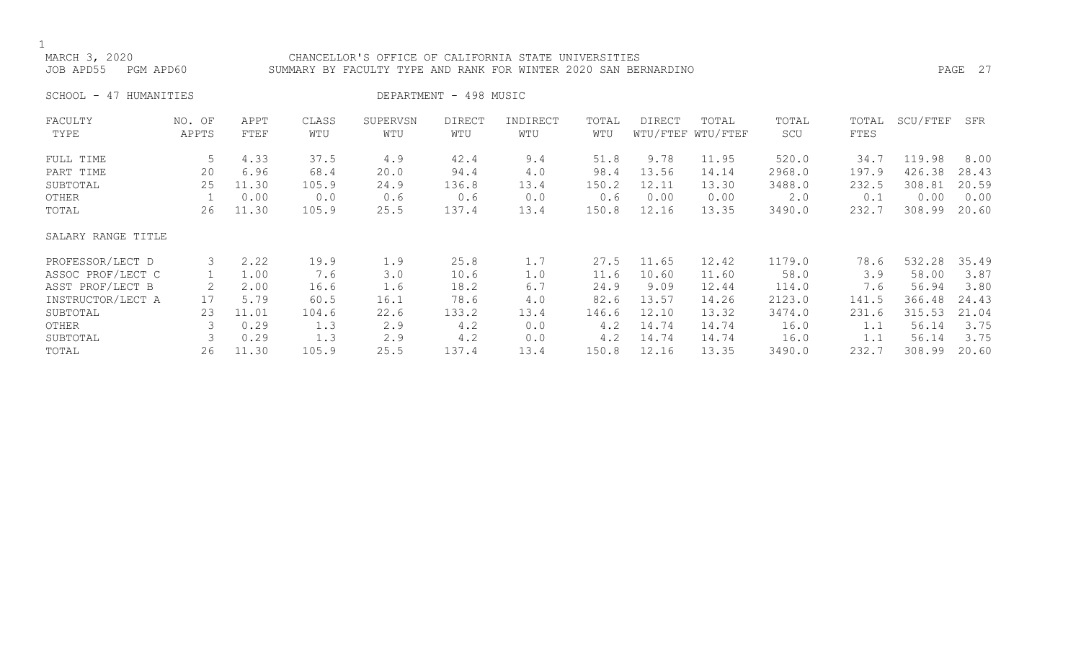### MARCH 3, 2020 CHANCELLOR'S OFFICE OF CALIFORNIA STATE UNIVERSITIES JOB APD55 PGM APD60 SUMMARY BY FACULTY TYPE AND RANK FOR WINTER 2020 SAN BERNARDINO PAGE 27

SCHOOL - 47 HUMANITIES DEPARTMENT - 498 MUSIC

| FACULTY            | NO. OF | APPT  | CLASS | SUPERVSN | <b>DIRECT</b> | INDIRECT | TOTAL | <b>DIRECT</b> | TOTAL             | TOTAL  | TOTAL | SCU/FTEF | SFR   |
|--------------------|--------|-------|-------|----------|---------------|----------|-------|---------------|-------------------|--------|-------|----------|-------|
| TYPE               | APPTS  | FTEF  | WTU   | WTU      | WTU           | WTU      | WTU   |               | WTU/FTEF WTU/FTEF | SCU    | FTES  |          |       |
| FULL TIME          | 5      | 4.33  | 37.5  | 4.9      | 42.4          | 9.4      | 51.8  | 9.78          | 11.95             | 520.0  | 34.7  | 119.98   | 8.00  |
| PART TIME          | 20     | 6.96  | 68.4  | 20.0     | 94.4          | 4.0      | 98.4  | 13.56         | 14.14             | 2968.0 | 197.9 | 426.38   | 28.43 |
| SUBTOTAL           | 25     | 11.30 | 105.9 | 24.9     | 136.8         | 13.4     | 150.2 | 12.11         | 13.30             | 3488.0 | 232.5 | 308.81   | 20.59 |
| OTHER              |        | 0.00  | 0.0   | 0.6      | 0.6           | 0.0      | 0.6   | 0.00          | 0.00              | 2.0    | 0.1   | 0.00     | 0.00  |
| TOTAL              | 26     | 11.30 | 105.9 | 25.5     | 137.4         | 13.4     | 150.8 | 12.16         | 13.35             | 3490.0 | 232.7 | 308.99   | 20.60 |
| SALARY RANGE TITLE |        |       |       |          |               |          |       |               |                   |        |       |          |       |
| PROFESSOR/LECT D   | 3      | 2.22  | 19.9  | 1.9      | 25.8          | 1.7      | 27.5  | 11.65         | 12.42             | 1179.0 | 78.6  | 532.28   | 35.49 |
| ASSOC PROF/LECT C  |        | 1.00  | 7.6   | 3.0      | 10.6          | 1.0      | 11.6  | 10.60         | 11.60             | 58.0   | 3.9   | 58.00    | 3.87  |
| ASST PROF/LECT B   |        | 2.00  | 16.6  | 1.6      | 18.2          | 6.7      | 24.9  | 9.09          | 12.44             | 114.0  | 7.6   | 56.94    | 3.80  |
| INSTRUCTOR/LECT A  | 17     | 5.79  | 60.5  | 16.1     | 78.6          | 4.0      | 82.6  | 13.57         | 14.26             | 2123.0 | 141.5 | 366.48   | 24.43 |
| SUBTOTAL           | 23     | 11.01 | 104.6 | 22.6     | 133.2         | 13.4     | 146.6 | 12.10         | 13.32             | 3474.0 | 231.6 | 315.53   | 21.04 |
| OTHER              |        | 0.29  | 1.3   | 2.9      | 4.2           | 0.0      | 4.2   | 14.74         | 14.74             | 16.0   | 1.1   | 56.14    | 3.75  |
| SUBTOTAL           |        | 0.29  | 1.3   | 2.9      | 4.2           | 0.0      | 4.2   | 14.74         | 14.74             | 16.0   |       | 56.14    | 3.75  |
| TOTAL              | 26     | 11.30 | 105.9 | 25.5     | 137.4         | 13.4     | 150.8 | 12.16         | 13.35             | 3490.0 | 232.7 | 308.99   | 20.60 |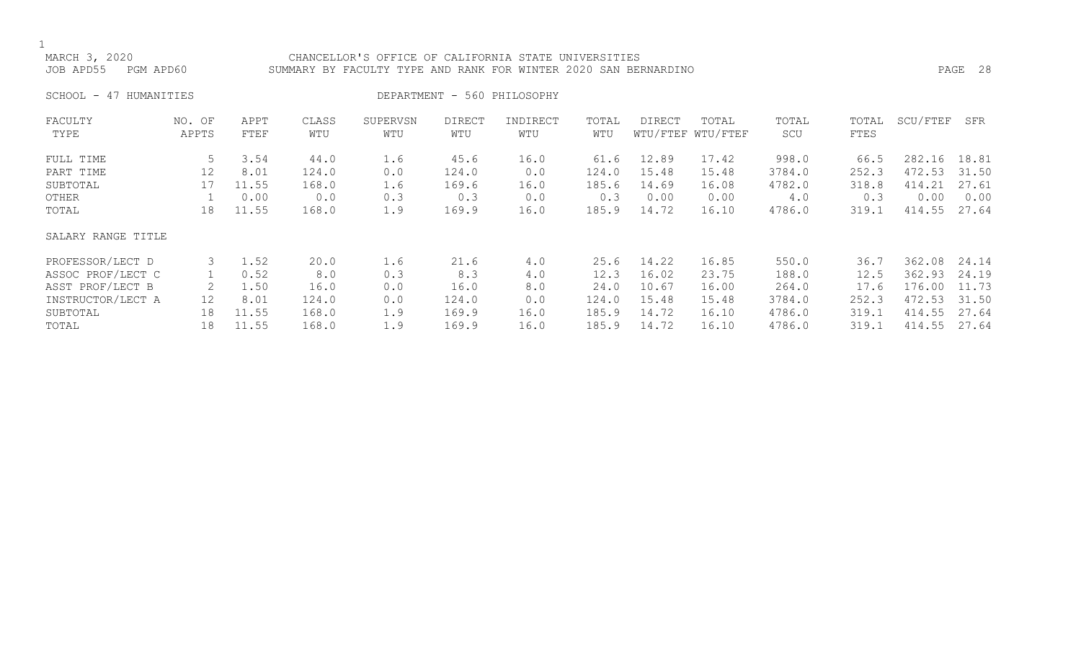### MARCH 3, 2020 CHANCELLOR'S OFFICE OF CALIFORNIA STATE UNIVERSITIES JOB APD55 PGM APD60 SUMMARY BY FACULTY TYPE AND RANK FOR WINTER 2020 SAN BERNARDINO PAGE 28

SCHOOL - 47 HUMANITIES DEPARTMENT - 560 PHILOSOPHY

| FACULTY            | NO. OF | APPT  | CLASS | SUPERVSN | <b>DIRECT</b> | INDIRECT | TOTAL | <b>DIRECT</b> | TOTAL             | TOTAL  | TOTAL | SCU/FTEF | SFR   |
|--------------------|--------|-------|-------|----------|---------------|----------|-------|---------------|-------------------|--------|-------|----------|-------|
| TYPE               | APPTS  | FTEF  | WTU   | WTU      | WTU           | WTU      | WTU   |               | WTU/FTEF WTU/FTEF | SCU    | FTES  |          |       |
| FULL TIME          | 5      | 3.54  | 44.0  | 1.6      | 45.6          | 16.0     | 61.6  | 12.89         | 17.42             | 998.0  | 66.5  | 282.16   | 18.81 |
| PART TIME          | 12     | 8.01  | 124.0 | 0.0      | 124.0         | 0.0      | 124.0 | 15.48         | 15.48             | 3784.0 | 252.3 | 472.53   | 31.50 |
| SUBTOTAL           | 17     | 11.55 | 168.0 | 1.6      | 169.6         | 16.0     | 185.6 | 14.69         | 16.08             | 4782.0 | 318.8 | 414.21   | 27.61 |
| OTHER              |        | 0.00  | 0.0   | 0.3      | 0.3           | 0.0      | 0.3   | 0.00          | 0.00              | 4.0    | 0.3   | 0.00     | 0.00  |
| TOTAL              | 18     | 11.55 | 168.0 | 1.9      | 169.9         | 16.0     | 185.9 | 14.72         | 16.10             | 4786.0 | 319.1 | 414.55   | 27.64 |
| SALARY RANGE TITLE |        |       |       |          |               |          |       |               |                   |        |       |          |       |
| PROFESSOR/LECT D   | 3      | 1.52  | 20.0  | 1.6      | 21.6          | 4.0      | 25.6  | 14.22         | 16.85             | 550.0  | 36.7  | 362.08   | 24.14 |
| ASSOC PROF/LECT C  |        | 0.52  | 8.0   | 0.3      | 8.3           | 4.0      | 12.3  | 16.02         | 23.75             | 188.0  | 12.5  | 362.93   | 24.19 |
| ASST PROF/LECT B   |        | 1.50  | 16.0  | 0.0      | 16.0          | 8.0      | 24.0  | 10.67         | 16.00             | 264.0  | 17.6  | 176.00   | 11.73 |
| INSTRUCTOR/LECT A  | 12     | 8.01  | 124.0 | 0.0      | 124.0         | 0.0      | 124.0 | 15.48         | 15.48             | 3784.0 | 252.3 | 472.53   | 31.50 |
| SUBTOTAL           | 18     | 11.55 | 168.0 | 1.9      | 169.9         | 16.0     | 185.9 | 14.72         | 16.10             | 4786.0 | 319.1 | 414.55   | 27.64 |
| TOTAL              | 18     | 11.55 | 168.0 | 1.9      | 169.9         | 16.0     | 185.9 | 14.72         | 16.10             | 4786.0 | 319.1 | 414.55   | 27.64 |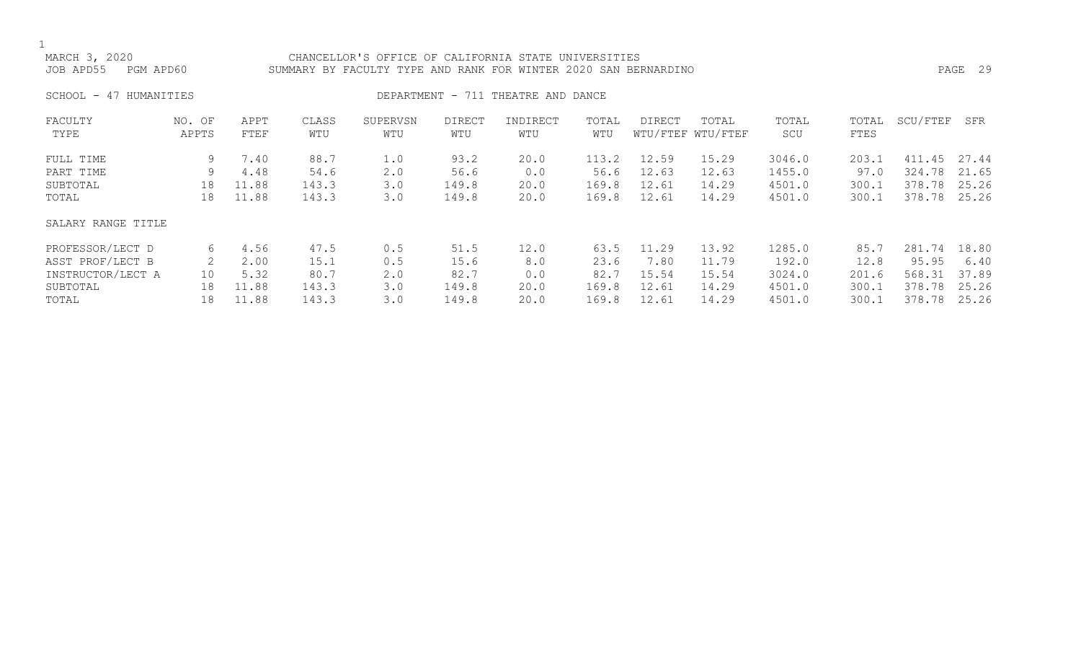| MARCH 3, 2020       | CHANCELLOR'S OFFICE OF CALIFORNIA STATE UNIVERSITIES            |         |  |
|---------------------|-----------------------------------------------------------------|---------|--|
| JOB APD55 PGM APD60 | SUMMARY BY FACULTY TYPE AND RANK FOR WINTER 2020 SAN BERNARDINO | PAGE 29 |  |

SCHOOL - 47 HUMANITIES SERVICES DEPARTMENT - 711 THEATRE AND DANCE

| FACULTY            | NO. OF | APPT  | CLASS | SUPERVSN    | <b>DIRECT</b> | INDIRECT | TOTAL | <b>DIRECT</b> | TOTAL             | TOTAL  | TOTAL | SCU/FTEF  | SFR   |
|--------------------|--------|-------|-------|-------------|---------------|----------|-------|---------------|-------------------|--------|-------|-----------|-------|
| TYPE               | APPTS  | FTEF  | WTU   | WTU         | WTU           | WTU      | WTU   |               | WTU/FTEF WTU/FTEF | SCU    | FTES  |           |       |
| FULL TIME          | 9      | 7.40  | 88.7  | 1.0         | 93.2          | 20.0     | 113.2 | 12.59         | 15.29             | 3046.0 | 203.1 | 411<br>45 | 27.44 |
| PART TIME          | 9      | 4.48  | 54.6  | $2 \cdot 0$ | 56.6          | 0.0      | 56.6  | 12.63         | 12.63             | 1455.0 | 97.0  | 324.78    | 21.65 |
| SUBTOTAL           | 18     | 11.88 | 143.3 | 3.0         | 149.8         | 20.0     | 169.8 | 12.61         | 14.29             | 4501.0 | 300.1 | 378.78    | 25.26 |
| TOTAL              | 18     | 11.88 | 143.3 | 3.0         | 149.8         | 20.0     | 169.8 | 12.61         | 14.29             | 4501.0 | 300.1 | 378.78    | 25.26 |
| SALARY RANGE TITLE |        |       |       |             |               |          |       |               |                   |        |       |           |       |
| PROFESSOR/LECT D   | 6      | 4.56  | 47.5  | 0.5         | 51.5          | 12.0     | 63.5  | 11.29         | 13.92             | 1285.0 | 85.7  | 281.74    | 18.80 |
| ASST PROF/LECT B   |        | 2.00  | 15.1  | 0.5         | 15.6          | 8.0      | 23.6  | 7.80          | 11.79             | 192.0  | 12.8  | 95.95     | 6.40  |
| INSTRUCTOR/LECT A  | 10     | 5.32  | 80.7  | $2 \cdot 0$ | 82.7          | 0.0      | 82.7  | 15.54         | 15.54             | 3024.0 | 201.6 | 568.31    | 37.89 |
| SUBTOTAL           | 18     | 11.88 | 143.3 | 3.0         | 149.8         | 20.0     | 169.8 | 12.61         | 14.29             | 4501.0 | 300.1 | 378.78    | 25.26 |
| TOTAL              | 18     | 11.88 | 143.3 | 3.0         | 149.8         | 20.0     | 169.8 | 12.61         | 14.29             | 4501.0 | 300.1 | 378.78    | 25.26 |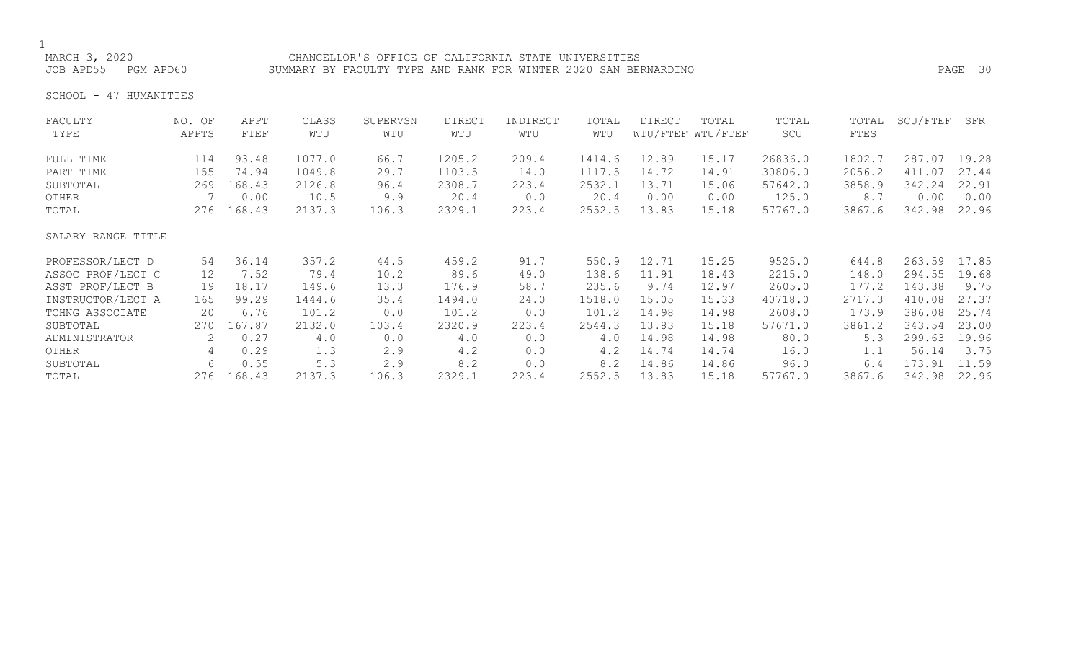## 1<br>MARCH 3, 2020

MARCH 3, 2020<br>JOB APD55 PGM APD60 SUMMARY BY FACULTY TYPE AND RANK FOR WINTER 2020 SAN BEF SUMMARY BY FACULTY TYPE AND RANK FOR WINTER 2020 SAN BERNARDINO **PAGE 30** 

SCHOOL - 47 HUMANITIES

| FACULTY            | NO. OF | APPT   | CLASS  | SUPERVSN | <b>DIRECT</b> | INDIRECT | TOTAL  | <b>DIRECT</b> | TOTAL             | TOTAL   | TOTAL  | SCU/FTEF | SFR   |
|--------------------|--------|--------|--------|----------|---------------|----------|--------|---------------|-------------------|---------|--------|----------|-------|
| TYPE               | APPTS  | FTEF   | WTU    | WTU      | WTU           | WTU      | WTU    |               | WTU/FTEF WTU/FTEF | SCU     | FTES   |          |       |
| FULL TIME          | 114    | 93.48  | 1077.0 | 66.7     | 1205.2        | 209.4    | 1414.6 | 12.89         | 15.17             | 26836.0 | 1802.7 | 287.07   | 19.28 |
| PART TIME          | 155    | 74.94  | 1049.8 | 29.7     | 1103.5        | 14.0     | 1117.5 | 14.72         | 14.91             | 30806.0 | 2056.2 | 411.07   | 27.44 |
| SUBTOTAL           | 269    | 168.43 | 2126.8 | 96.4     | 2308.7        | 223.4    | 2532.1 | 13.71         | 15.06             | 57642.0 | 3858.9 | 342.24   | 22.91 |
| OTHER              |        | 0.00   | 10.5   | 9.9      | 20.4          | 0.0      | 20.4   | 0.00          | 0.00              | 125.0   | 8.7    | 0.00     | 0.00  |
| TOTAL              | 276    | 168.43 | 2137.3 | 106.3    | 2329.1        | 223.4    | 2552.5 | 13.83         | 15.18             | 57767.0 | 3867.6 | 342.98   | 22.96 |
| SALARY RANGE TITLE |        |        |        |          |               |          |        |               |                   |         |        |          |       |
| PROFESSOR/LECT D   | 54     | 36.14  | 357.2  | 44.5     | 459.2         | 91.7     | 550.9  | 12.71         | 15.25             | 9525.0  | 644.8  | 263.59   | 17.85 |
| ASSOC PROF/LECT C  | 12     | 7.52   | 79.4   | 10.2     | 89.6          | 49.0     | 138.6  | 11.91         | 18.43             | 2215.0  | 148.0  | 294.55   | 19.68 |
| ASST PROF/LECT B   | 19     | 18.17  | 149.6  | 13.3     | 176.9         | 58.7     | 235.6  | 9.74          | 12.97             | 2605.0  | 177.2  | 143.38   | 9.75  |
| INSTRUCTOR/LECT A  | 165    | 99.29  | 1444.6 | 35.4     | 1494.0        | 24.0     | 1518.0 | 15.05         | 15.33             | 40718.0 | 2717.3 | 410.08   | 27.37 |
| TCHNG ASSOCIATE    | 20     | 6.76   | 101.2  | 0.0      | 101.2         | 0.0      | 101.2  | 14.98         | 14.98             | 2608.0  | 173.9  | 386.08   | 25.74 |
| SUBTOTAL           | 270    | 167.87 | 2132.0 | 103.4    | 2320.9        | 223.4    | 2544.3 | 13.83         | 15.18             | 57671.0 | 3861.2 | 343.54   | 23.00 |
| ADMINISTRATOR      | 2      | 0.27   | 4.0    | 0.0      | 4.0           | 0.0      | 4.0    | 14.98         | 14.98             | 80.0    | 5.3    | 299.63   | 19.96 |
| OTHER              | 4      | 0.29   | 1.3    | 2.9      | 4.2           | 0.0      | 4.2    | 14.74         | 14.74             | 16.0    | 1.1    | 56.14    | 3.75  |
| SUBTOTAL           | 6      | 0.55   | 5.3    | 2.9      | 8.2           | 0.0      | 8.2    | 14.86         | 14.86             | 96.0    | 6.4    | 173.91   | 11.59 |
| TOTAL              | 276    | 168.43 | 2137.3 | 106.3    | 2329.1        | 223.4    | 2552.5 | 13.83         | 15.18             | 57767.0 | 3867.6 | 342.98   | 22.96 |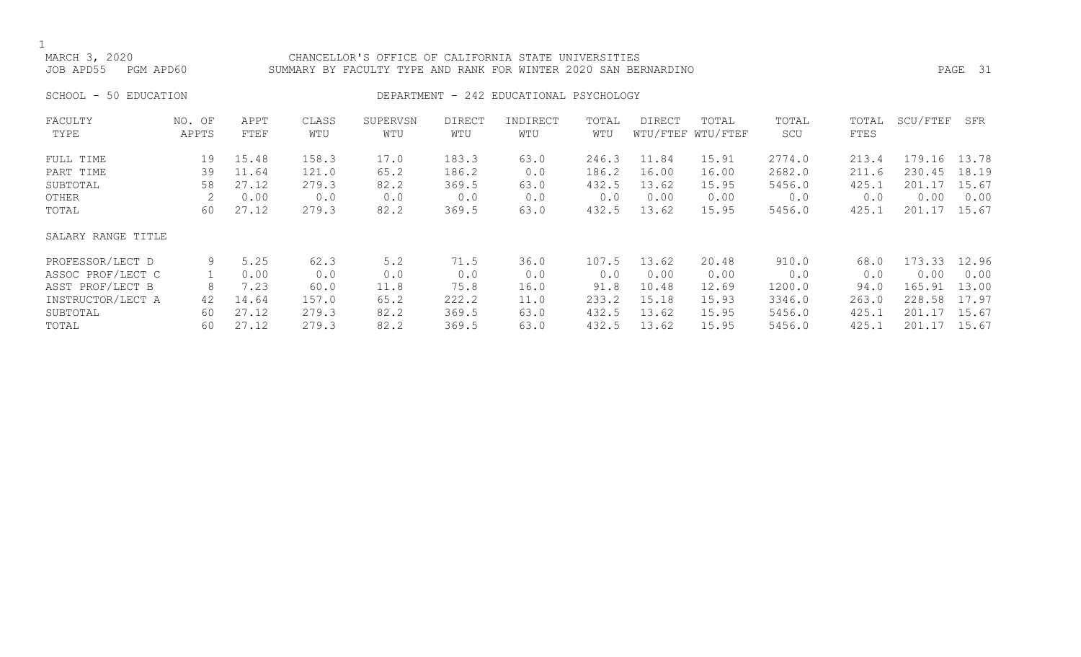### MARCH 3, 2020 CHANCELLOR'S OFFICE OF CALIFORNIA STATE UNIVERSITIES JOB APD55 PGM APD60 SUMMARY BY FACULTY TYPE AND RANK FOR WINTER 2020 SAN BERNARDINO PAGE 31

### SCHOOL - 50 EDUCATION **DEPARTMENT - 242 EDUCATIONAL PSYCHOLOGY**

| FACULTY<br>TYPE    | NO. OF<br>APPTS | APPT<br>FTEF | CLASS<br>WTU | SUPERVSN<br>WTU | <b>DIRECT</b><br>WTU | INDIRECT<br>WTU | TOTAL<br>WTU | <b>DIRECT</b> | TOTAL<br>WTU/FTEF WTU/FTEF | TOTAL<br>SCU | TOTAL<br>FTES | SCU/FTEF | SFR   |
|--------------------|-----------------|--------------|--------------|-----------------|----------------------|-----------------|--------------|---------------|----------------------------|--------------|---------------|----------|-------|
| FULL TIME          | 19              | 15.48        | 158.3        | 17.0            | 183.3                | 63.0            | 246.3        | 11.84         | 15.91                      | 2774.0       | 213.4         | 179.16   | 13.78 |
| PART TIME          | 39              | 11.64        | 121.0        | 65.2            | 186.2                | 0.0             | 186.2        | 16.00         | 16.00                      | 2682.0       | 211.6         | 230.45   | 18.19 |
| SUBTOTAL           | 58              | 27.12        | 279.3        | 82.2            | 369.5                | 63.0            | 432.5        | 13.62         | 15.95                      | 5456.0       | 425.1         | 201.17   | 15.67 |
| OTHER              | 2               | 0.00         | 0.0          | 0.0             | 0.0                  | 0.0             | 0.0          | 0.00          | 0.00                       | 0.0          | 0.0           | 0.00     | 0.00  |
| TOTAL              | 60              | 27.12        | 279.3        | 82.2            | 369.5                | 63.0            | 432.5        | 13.62         | 15.95                      | 5456.0       | 425.1         | 201.17   | 15.67 |
| SALARY RANGE TITLE |                 |              |              |                 |                      |                 |              |               |                            |              |               |          |       |
| PROFESSOR/LECT D   | 9               | 5.25         | 62.3         | 5.2             | 71.5                 | 36.0            | 107.5        | 13.62         | 20.48                      | 910.0        | 68.0          | 173.33   | 12.96 |
| ASSOC PROF/LECT C  |                 | 0.00         | 0.0          | 0.0             | 0.0                  | 0.0             | 0.0          | 0.00          | 0.00                       | 0.0          | 0.0           | 0.00     | 0.00  |
| ASST PROF/LECT B   | 8               | 7.23         | 60.0         | 11.8            | 75.8                 | 16.0            | 91.8         | 10.48         | 12.69                      | 1200.0       | 94.0          | 165.91   | 13.00 |
| INSTRUCTOR/LECT A  | 42              | 14.64        | 157.0        | 65.2            | 222.2                | 11.0            | 233.2        | 15.18         | 15.93                      | 3346.0       | 263.0         | 228.58   | 17.97 |
| SUBTOTAL           | 60              | 27.12        | 279.3        | 82.2            | 369.5                | 63.0            | 432.5        | 13.62         | 15.95                      | 5456.0       | 425.1         | 201.17   | 15.67 |
| TOTAL              | 60              | 27.12        | 279.3        | 82.2            | 369.5                | 63.0            | 432.5        | 13.62         | 15.95                      | 5456.0       | 425.1         | 201.17   | 15.67 |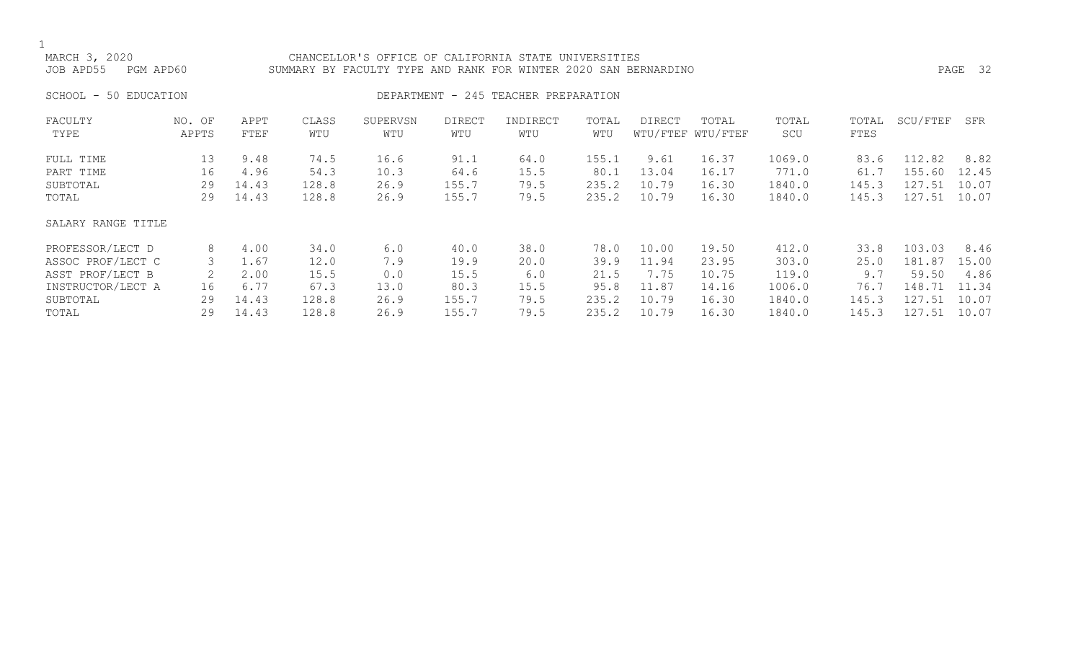MARCH 3, 2020 CHANCELLOR'S OFFICE OF CALIFORNIA STATE UNIVERSITIES JOB APD55 PGM APD60 SUMMARY BY FACULTY TYPE AND RANK FOR WINTER 2020 SAN BERNARDINO PAGE 32

### SCHOOL - 50 EDUCATION **DEPARTMENT - 245 TEACHER PREPARATION**

| FACULTY<br>TYPE    | NO. OF<br>APPTS | APPT<br>FTEF | CLASS<br>WTU | SUPERVSN<br>WTU | <b>DIRECT</b><br>WTU | INDIRECT<br>WTU | TOTAL<br>WTU | DIRECT | TOTAL<br>WTU/FTEF WTU/FTEF | TOTAL<br>SCU | TOTAL<br>FTES | SCU/FTEF | SFR   |
|--------------------|-----------------|--------------|--------------|-----------------|----------------------|-----------------|--------------|--------|----------------------------|--------------|---------------|----------|-------|
| FULL TIME          | 13              | 9.48         | 74.5         | 16.6            | 91.1                 | 64.0            | 155.1        | 9.61   | 16.37                      | 1069.0       | 83.6          | 112.82   | 8.82  |
| PART TIME          | 16              | 4.96         | 54.3         | 10.3            | 64.6                 | 15.5            | 80.1         | 13.04  | 16.17                      | 771.0        | 61.7          | 155.60   | 12.45 |
| SUBTOTAL           | 29              | 14.43        | 128.8        | 26.9            | 155.7                | 79.5            | 235.2        | 10.79  | 16.30                      | 1840.0       | 145.3         | 127.51   | 10.07 |
| TOTAL              | 29              | 14.43        | 128.8        | 26.9            | 155.7                | 79.5            | 235.2        | 10.79  | 16.30                      | 1840.0       | 145.3         | 127.51   | 10.07 |
| SALARY RANGE TITLE |                 |              |              |                 |                      |                 |              |        |                            |              |               |          |       |
| PROFESSOR/LECT D   | 8               | 4.00         | 34.0         | 6.0             | 40.0                 | 38.0            | 78.0         | 10.00  | 19.50                      | 412.0        | 33.8          | 103.03   | 8.46  |
| ASSOC PROF/LECT C  | 3               | 1.67         | 12.0         | 7.9             | 19.9                 | 20.0            | 39.9         | 11.94  | 23.95                      | 303.0        | 25.0          | 181.87   | 15.00 |
| ASST PROF/LECT B   | 2               | 2.00         | 15.5         | 0.0             | 15.5                 | 6.0             | 21.5         | 7.75   | 10.75                      | 119.0        | 9.7           | 59.50    | 4.86  |
| INSTRUCTOR/LECT A  | 16              | 6.77         | 67.3         | 13.0            | 80.3                 | 15.5            | 95.8         | 11.87  | 14.16                      | 1006.0       | 76.7          | 148.71   | 11.34 |
| SUBTOTAL           | 29              | 14.43        | 128.8        | 26.9            | 155.7                | 79.5            | 235.2        | 10.79  | 16.30                      | 1840.0       | 145.3         | 127.51   | 10.07 |
| TOTAL              | 29              | 14.43        | 128.8        | 26.9            | 155.7                | 79.5            | 235.2        | 10.79  | 16.30                      | 1840.0       | 145.3         | 127.51   | 10.07 |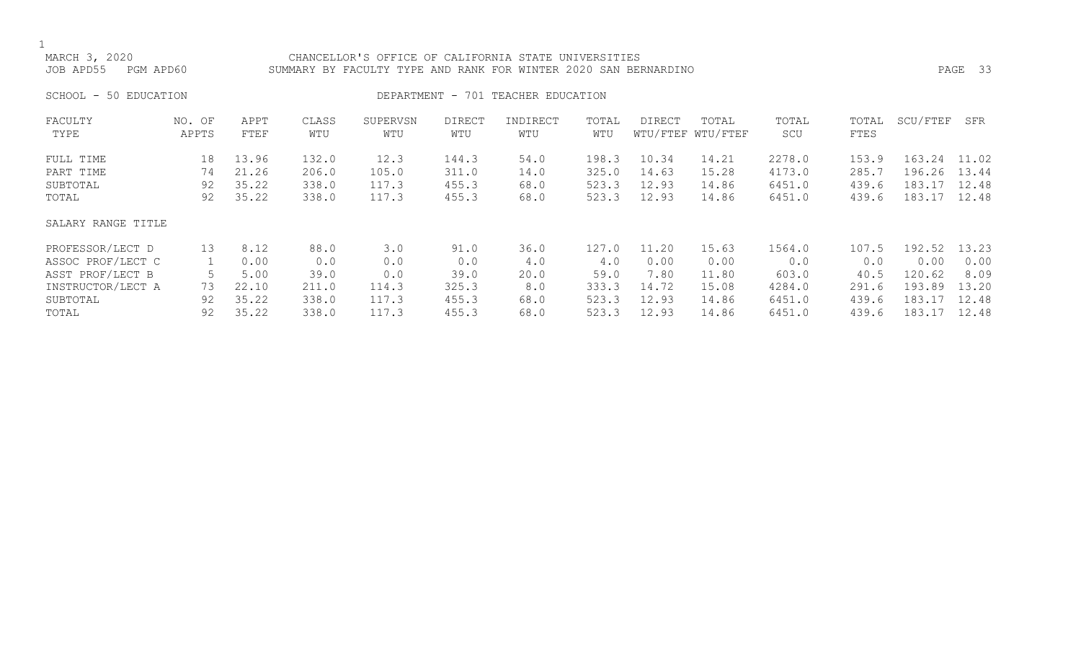### MARCH 3, 2020 CHANCELLOR'S OFFICE OF CALIFORNIA STATE UNIVERSITIES JOB APD55 PGM APD60 SUMMARY BY FACULTY TYPE AND RANK FOR WINTER 2020 SAN BERNARDINO PAGE 33

SCHOOL - 50 EDUCATION **DEPARTMENT** - 701 TEACHER EDUCATION

| FACULTY<br>TYPE    | NO. OF<br>APPTS | APPT<br>FTEF | CLASS<br>WTU | SUPERVSN<br>WTU | <b>DIRECT</b><br>WTU | INDIRECT<br>WTU | TOTAL<br>WTU | DIRECT | TOTAL<br>WTU/FTEF WTU/FTEF | TOTAL<br>SCU | TOTAL<br>FTES | SCU/FTEF | SFR   |
|--------------------|-----------------|--------------|--------------|-----------------|----------------------|-----------------|--------------|--------|----------------------------|--------------|---------------|----------|-------|
|                    |                 |              |              |                 |                      |                 |              |        |                            |              |               |          |       |
| FULL TIME          | 18              | 13.96        | 132.0        | 12.3            | 144.3                | 54.0            | 198.3        | 10.34  | 14.21                      | 2278.0       | 153.9         | 163.24   | 11.02 |
| PART TIME          | 74              | 21.26        | 206.0        | 105.0           | 311.0                | 14.0            | 325.0        | 14.63  | 15.28                      | 4173.0       | 285.7         | 196.26   | 13.44 |
| SUBTOTAL           | 92              | 35.22        | 338.0        | 117.3           | 455.3                | 68.0            | 523.3        | 12.93  | 14.86                      | 6451.0       | 439.6         | 183.17   | 12.48 |
| TOTAL              | 92              | 35.22        | 338.0        | 117.3           | 455.3                | 68.0            | 523.3        | 12.93  | 14.86                      | 6451.0       | 439.6         | 183.17   | 12.48 |
| SALARY RANGE TITLE |                 |              |              |                 |                      |                 |              |        |                            |              |               |          |       |
| PROFESSOR/LECT D   | 13              | 8.12         | 88.0         | 3.0             | 91.0                 | 36.0            | 127.0        | 11.20  | 15.63                      | 1564.0       | 107.5         | 192.52   | 13.23 |
| ASSOC PROF/LECT C  |                 | 0.00         | 0.0          | 0.0             | 0.0                  | 4.0             | 4.0          | 0.00   | 0.00                       | 0.0          | 0.0           | 0.00     | 0.00  |
| ASST PROF/LECT B   |                 | 5.00         | 39.0         | 0.0             | 39.0                 | 20.0            | 59.0         | 7.80   | 11.80                      | 603.0        | 40.5          | 120.62   | 8.09  |
| INSTRUCTOR/LECT A  | 73              | 22.10        | 211.0        | 114.3           | 325.3                | 8.0             | 333.3        | 14.72  | 15.08                      | 4284.0       | 291.6         | 193.89   | 13.20 |
| SUBTOTAL           | 92              | 35.22        | 338.0        | 117.3           | 455.3                | 68.0            | 523.3        | 12.93  | 14.86                      | 6451.0       | 439.6         | 183.17   | 12.48 |
| TOTAL              | 92              | 35.22        | 338.0        | 117.3           | 455.3                | 68.0            | 523.3        | 12.93  | 14.86                      | 6451.0       | 439.6         | 183.17   | 12.48 |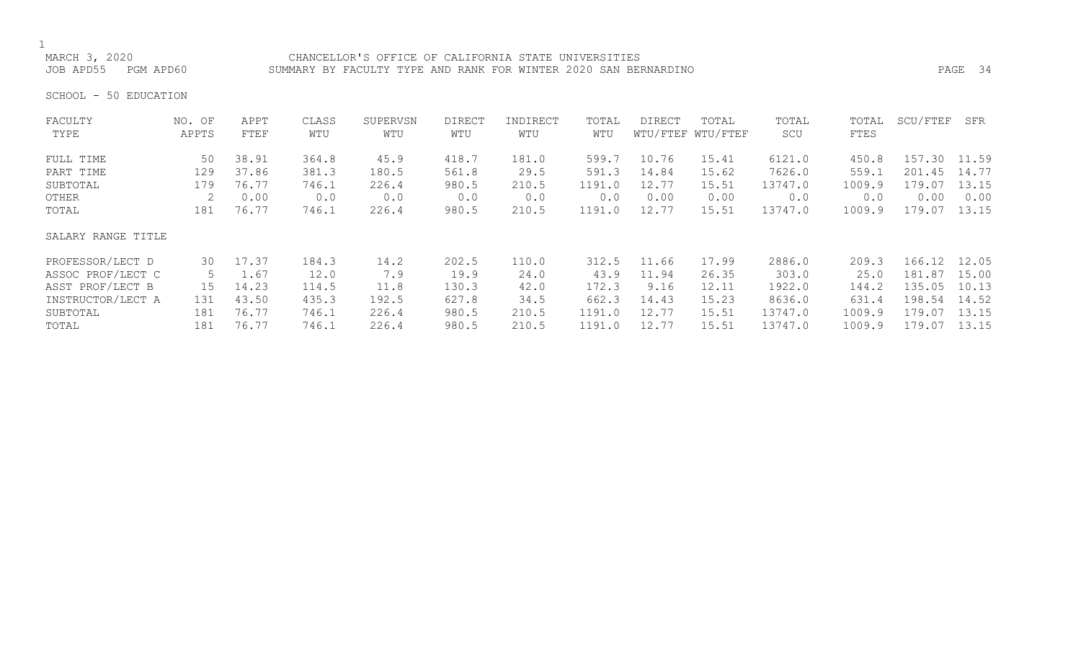# 1<br>MARCH 3, 2020

CHANCELLOR'S OFFICE OF CALIFORNIA STATE UNIVERSITIES JOB APD55 PGM APD60 SUMMARY BY FACULTY TYPE AND RANK FOR WINTER 2020 SAN BERNARDINO PAGE 34

SCHOOL - 50 EDUCATION

| FACULTY            | NO. OF | APPT  | CLASS | SUPERVSN | <b>DIRECT</b> | INDIRECT | TOTAL  | <b>DIRECT</b> | TOTAL             | TOTAL   | TOTAL  | SCU/FTEF | SFR   |
|--------------------|--------|-------|-------|----------|---------------|----------|--------|---------------|-------------------|---------|--------|----------|-------|
| TYPE               | APPTS  | FTEF  | WTU   | WTU      | WTU           | WTU      | WTU    |               | WTU/FTEF WTU/FTEF | SCU     | FTES   |          |       |
| FULL TIME          | 50     | 38.91 | 364.8 | 45.9     | 418.7         | 181.0    | 599.7  | 10.76         | 15.41             | 6121.0  | 450.8  | 157.30   | 11.59 |
| PART TIME          | 129    | 37.86 | 381.3 | 180.5    | 561.8         | 29.5     | 591.3  | 14.84         | 15.62             | 7626.0  | 559.1  | 201.45   | 14.77 |
| SUBTOTAL           | 179    | 76.77 | 746.1 | 226.4    | 980.5         | 210.5    | 1191.0 | 12.77         | 15.51             | 13747.0 | 1009.9 | 179.07   | 13.15 |
| OTHER              | 2      | 0.00  | 0.0   | 0.0      | 0.0           | 0.0      | 0.0    | 0.00          | 0.00              | 0.0     | 0.0    | 0.00     | 0.00  |
| TOTAL              | 181    | 76.77 | 746.1 | 226.4    | 980.5         | 210.5    | 1191.0 | 12.77         | 15.51             | 13747.0 | 1009.9 | 179.07   | 13.15 |
| SALARY RANGE TITLE |        |       |       |          |               |          |        |               |                   |         |        |          |       |
| PROFESSOR/LECT D   | 30     | 17.37 | 184.3 | 14.2     | 202.5         | 110.0    | 312.5  | 11.66         | 17.99             | 2886.0  | 209.3  | 166.12   | 12.05 |
| ASSOC PROF/LECT C  | 5      | 1.67  | 12.0  | 7.9      | 19.9          | 24.0     | 43.9   | 11.94         | 26.35             | 303.0   | 25.0   | 181.87   | 15.00 |
| ASST PROF/LECT B   | 15     | 14.23 | 114.5 | 11.8     | 130.3         | 42.0     | 172.3  | 9.16          | 12.11             | 1922.0  | 144.2  | 135.05   | 10.13 |
| INSTRUCTOR/LECT A  | 131    | 43.50 | 435.3 | 192.5    | 627.8         | 34.5     | 662.3  | 14.43         | 15.23             | 8636.0  | 631.4  | 198.54   | 14.52 |
| SUBTOTAL           | 181    | 76.77 | 746.1 | 226.4    | 980.5         | 210.5    | 1191.0 | 12.77         | 15.51             | 13747.0 | 1009.9 | 179.07   | 13.15 |
| TOTAL              | 181    | 76.77 | 746.1 | 226.4    | 980.5         | 210.5    | 1191.0 | 12.77         | 15.51             | 13747.0 | 1009.9 | 179.07   | 13.15 |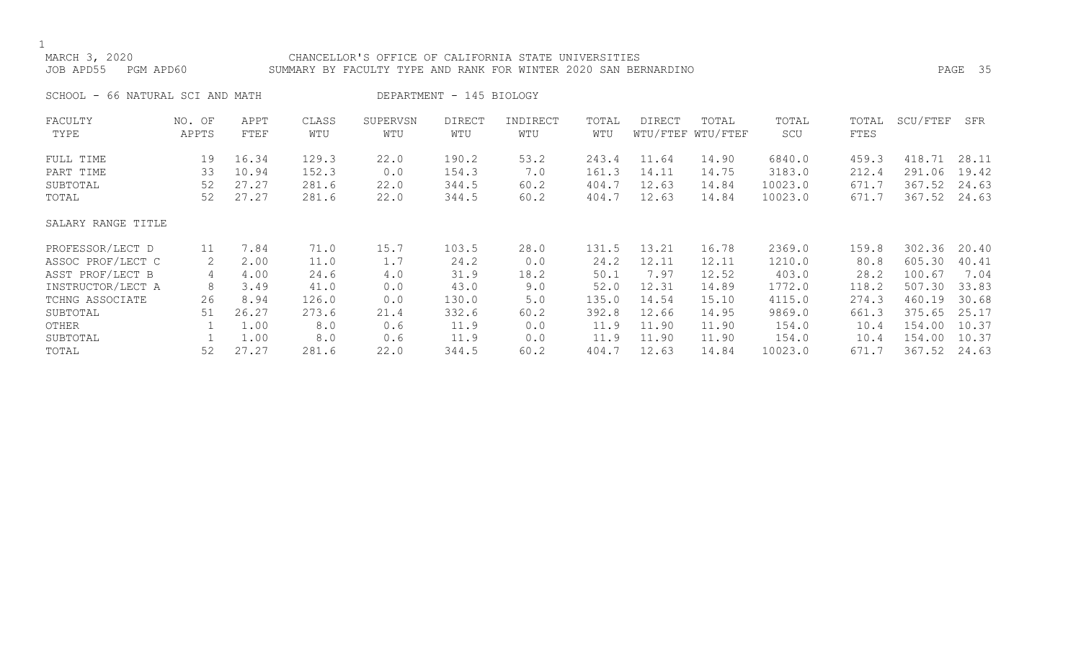## MARCH 3, 2020 CHANCELLOR'S OFFICE OF CALIFORNIA STATE UNIVERSITIES JOB APD55 PGM APD60 SUMMARY BY FACULTY TYPE AND RANK FOR WINTER 2020 SAN BERNARDINO PAGE 35 SCHOOL - 66 NATURAL SCI AND MATH DEPARTMENT - 145 BIOLOGY

| FACULTY<br>TYPE        | NO. OF<br>APPTS | APPT<br>FTEF   | CLASS<br>WTU   | SUPERVSN<br>WTU | <b>DIRECT</b><br>WTU | INDIRECT<br>WTU | TOTAL<br>WTU   | <b>DIRECT</b>  | TOTAL<br>WTU/FTEF WTU/FTEF | TOTAL<br>SCU       | TOTAL<br>FTES  | SCU/FTEF         | SFR            |
|------------------------|-----------------|----------------|----------------|-----------------|----------------------|-----------------|----------------|----------------|----------------------------|--------------------|----------------|------------------|----------------|
| FULL TIME<br>PART TIME | 19<br>33        | 16.34<br>10.94 | 129.3<br>152.3 | 22.0<br>0.0     | 190.2<br>154.3       | 53.2<br>7.0     | 243.4<br>161.3 | 11.64<br>14.11 | 14.90<br>14.75             | 6840.0<br>3183.0   | 459.3<br>212.4 | 418.71<br>291.06 | 28.11<br>19.42 |
| SUBTOTAL<br>TOTAL      | 52<br>52        | 27.27<br>27.27 | 281.6<br>281.6 | 22.0<br>22.0    | 344.5<br>344.5       | 60.2<br>60.2    | 404.7<br>404.7 | 12.63<br>12.63 | 14.84<br>14.84             | 10023.0<br>10023.0 | 671.7<br>671.7 | 367.52<br>367.52 | 24.63<br>24.63 |
| SALARY RANGE TITLE     |                 |                |                |                 |                      |                 |                |                |                            |                    |                |                  |                |
| PROFESSOR/LECT D       | 11              | 7.84           | 71.0           | 15.7            | 103.5                | 28.0            | 131.5          | 13.21          | 16.78                      | 2369.0             | 159.8          | 302.36           | 20.40          |
| ASSOC PROF/LECT C      | 2               | 2.00           | 11.0           | 1.7             | 24.2                 | 0.0             | 24.2           | 12.11          | 12.11                      | 1210.0             | 80.8           | 605.30           | 40.41          |
| ASST PROF/LECT B       | 4               | 4.00           | 24.6           | 4.0             | 31.9                 | 18.2            | 50.1           | 7.97           | 12.52                      | 403.0              | 28.2           | 100.67           | 7.04           |
| INSTRUCTOR/LECT A      | 8               | 3.49           | 41.0           | 0.0             | 43.0                 | 9.0             | 52.0           | 12.31          | 14.89                      | 1772.0             | 118.2          | 507.30           | 33.83          |
| TCHNG ASSOCIATE        | 26              | 8.94           | 126.0          | 0.0             | 130.0                | 5.0             | 135.0          | 14.54          | 15.10                      | 4115.0             | 274.3          | 460.19           | 30.68          |
| SUBTOTAL               | 51              | 26.27          | 273.6          | 21.4            | 332.6                | 60.2            | 392.8          | 12.66          | 14.95                      | 9869.0             | 661.3          | 375.65           | 25.17          |
| OTHER                  |                 | 1.00           | 8.0            | 0.6             | 11.9                 | 0.0             | 11.9           | 11.90          | 11.90                      | 154.0              | 10.4           | 154.00           | 10.37          |
| SUBTOTAL               |                 | 1.00           | 8.0            | 0.6             | 11.9                 | 0.0             | 11.9           | 11.90          | 11.90                      | 154.0              | 10.4           | 154.00           | 10.37          |
| TOTAL                  | 52              | 27.27          | 281.6          | 22.0            | 344.5                | 60.2            | 404.7          | 12.63          | 14.84                      | 10023.0            | 671.7          | 367.52           | 24.63          |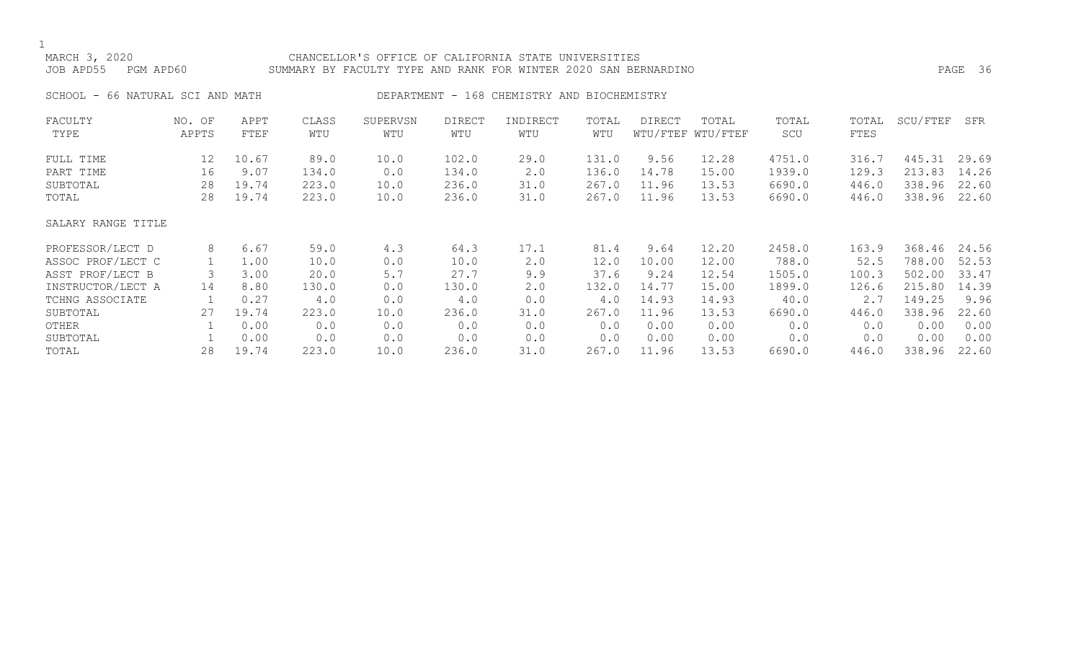### MARCH 3, 2020 CHANCELLOR'S OFFICE OF CALIFORNIA STATE UNIVERSITIES JOB APD55 PGM APD60 SUMMARY BY FACULTY TYPE AND RANK FOR WINTER 2020 SAN BERNARDINO PAGE 36

SCHOOL - 66 NATURAL SCI AND MATH DEPARTMENT - 168 CHEMISTRY AND BIOCHEMISTRY

| FACULTY            | NO. OF | APPT  | CLASS | SUPERVSN | <b>DIRECT</b> | INDIRECT | TOTAL | DIRECT | TOTAL             | TOTAL  | TOTAL | SCU/FTEF | SFR   |
|--------------------|--------|-------|-------|----------|---------------|----------|-------|--------|-------------------|--------|-------|----------|-------|
| TYPE               | APPTS  | FTEF  | WTU   | WTU      | WTU           | WTU      | WTU   |        | WTU/FTEF WTU/FTEF | SCU    | FTES  |          |       |
| FULL TIME          | 12     | 10.67 | 89.0  | 10.0     | 102.0         | 29.0     | 131.0 | 9.56   | 12.28             | 4751.0 | 316.7 | 445.31   | 29.69 |
| PART TIME          | 16     | 9.07  | 134.0 | 0.0      | 134.0         | 2.0      | 136.0 | 14.78  | 15.00             | 1939.0 | 129.3 | 213.83   | 14.26 |
| SUBTOTAL           | 28     | 19.74 | 223.0 | 10.0     | 236.0         | 31.0     | 267.0 | 11.96  | 13.53             | 6690.0 | 446.0 | 338.96   | 22.60 |
| TOTAL              | 28     | 19.74 | 223.0 | 10.0     | 236.0         | 31.0     | 267.0 | 11.96  | 13.53             | 6690.0 | 446.0 | 338.96   | 22.60 |
| SALARY RANGE TITLE |        |       |       |          |               |          |       |        |                   |        |       |          |       |
| PROFESSOR/LECT D   | 8      | 6.67  | 59.0  | 4.3      | 64.3          | 17.1     | 81.4  | 9.64   | 12.20             | 2458.0 | 163.9 | 368.46   | 24.56 |
| ASSOC PROF/LECT C  |        | 1.00  | 10.0  | 0.0      | 10.0          | 2.0      | 12.0  | 10.00  | 12.00             | 788.0  | 52.5  | 788.00   | 52.53 |
| ASST PROF/LECT B   |        | 3.00  | 20.0  | 5.7      | 27.7          | 9.9      | 37.6  | 9.24   | 12.54             | 1505.0 | 100.3 | 502.00   | 33.47 |
| INSTRUCTOR/LECT A  | 14     | 8.80  | 130.0 | 0.0      | 130.0         | 2.0      | 132.0 | 14.77  | 15.00             | 1899.0 | 126.6 | 215.80   | 14.39 |
| TCHNG ASSOCIATE    |        | 0.27  | 4.0   | 0.0      | 4.0           | 0.0      | 4.0   | 14.93  | 14.93             | 40.0   | 2.7   | 149.25   | 9.96  |
| SUBTOTAL           | 27     | 19.74 | 223.0 | 10.0     | 236.0         | 31.0     | 267.0 | 11.96  | 13.53             | 6690.0 | 446.0 | 338.96   | 22.60 |
| OTHER              |        | 0.00  | 0.0   | 0.0      | 0.0           | 0.0      | 0.0   | 0.00   | 0.00              | 0.0    | 0.0   | 0.00     | 0.00  |
| SUBTOTAL           |        | 0.00  | 0.0   | 0.0      | 0.0           | 0.0      | 0.0   | 0.00   | 0.00              | 0.0    | 0.0   | 0.00     | 0.00  |
| TOTAL              | 28     | 19.74 | 223.0 | 10.0     | 236.0         | 31.0     | 267.0 | 11.96  | 13.53             | 6690.0 | 446.0 | 338.96   | 22.60 |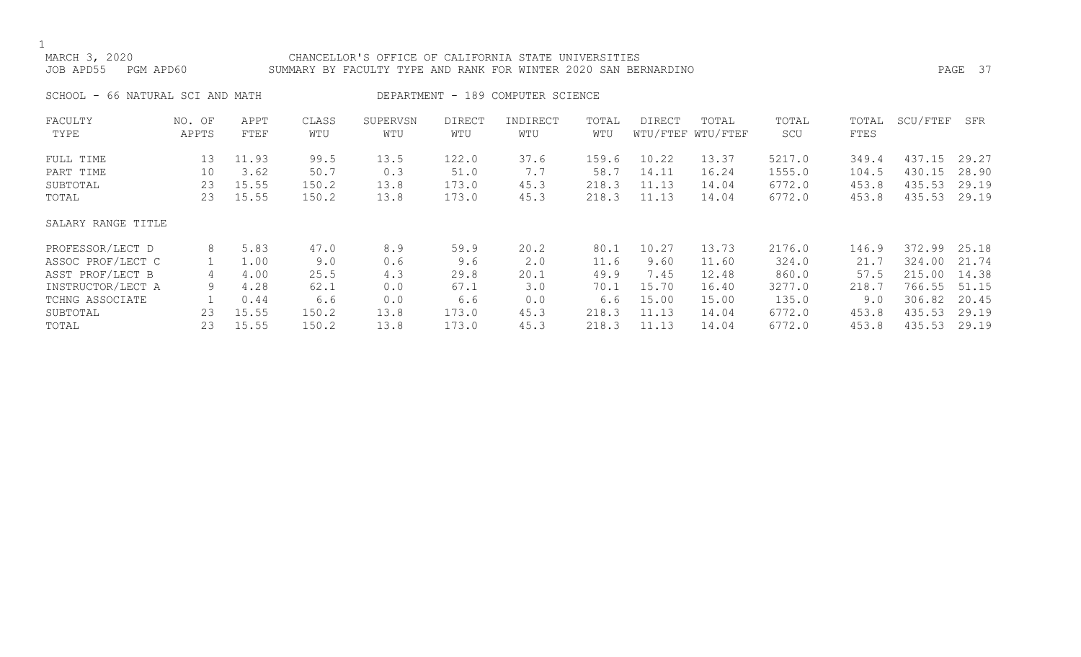### MARCH 3, 2020 CHANCELLOR'S OFFICE OF CALIFORNIA STATE UNIVERSITIES JOB APD55 PGM APD60 SUMMARY BY FACULTY TYPE AND RANK FOR WINTER 2020 SAN BERNARDINO PAGE 37

SCHOOL - 66 NATURAL SCI AND MATH DEPARTMENT - 189 COMPUTER SCIENCE

| FACULTY            | NO. OF | APPT  | CLASS | SUPERVSN | <b>DIRECT</b> | INDIRECT | TOTAL | DIRECT | TOTAL             | TOTAL  | TOTAL | SCU/FTEF | SFR   |
|--------------------|--------|-------|-------|----------|---------------|----------|-------|--------|-------------------|--------|-------|----------|-------|
| TYPE               | APPTS  | FTEF  | WTU   | WTU      | WTU           | WTU      | WTU   |        | WTU/FTEF WTU/FTEF | SCU    | FTES  |          |       |
| FULL TIME          | 13     | 11.93 | 99.5  | 13.5     | 122.0         | 37.6     | 159.6 | 10.22  | 13.37             | 5217.0 | 349.4 | 437.15   | 29.27 |
| PART TIME          | 10     | 3.62  | 50.7  | 0.3      | 51.0          | 7.7      | 58.7  | 14.11  | 16.24             | 1555.0 | 104.5 | 430.15   | 28.90 |
| SUBTOTAL           | 23     | 15.55 | 150.2 | 13.8     | 173.0         | 45.3     | 218.3 | 11.13  | 14.04             | 6772.0 | 453.8 | 435.53   | 29.19 |
| TOTAL              | 23     | 15.55 | 150.2 | 13.8     | 173.0         | 45.3     | 218.3 | 11.13  | 14.04             | 6772.0 | 453.8 | 435.53   | 29.19 |
| SALARY RANGE TITLE |        |       |       |          |               |          |       |        |                   |        |       |          |       |
| PROFESSOR/LECT D   | 8      | 5.83  | 47.0  | 8.9      | 59.9          | 20.2     | 80.1  | 10.27  | 13.73             | 2176.0 | 146.9 | 372.99   | 25.18 |
| ASSOC PROF/LECT C  |        | 1.00  | 9.0   | 0.6      | 9.6           | 2.0      | 11.6  | 9.60   | 11.60             | 324.0  | 21.7  | 324.00   | 21.74 |
| ASST PROF/LECT B   | 4      | 4.00  | 25.5  | 4.3      | 29.8          | 20.1     | 49.9  | 7.45   | 12.48             | 860.0  | 57.5  | 215.00   | 14.38 |
| INSTRUCTOR/LECT A  | 9      | 4.28  | 62.1  | 0.0      | 67.1          | 3.0      | 70.1  | 15.70  | 16.40             | 3277.0 | 218.7 | 766.55   | 51.15 |
| TCHNG ASSOCIATE    |        | 0.44  | 6.6   | 0.0      | 6.6           | 0.0      | 6.6   | 15.00  | 15.00             | 135.0  | 9.0   | 306.82   | 20.45 |
| SUBTOTAL           | 23     | 15.55 | 150.2 | 13.8     | 173.0         | 45.3     | 218.3 | 11.13  | 14.04             | 6772.0 | 453.8 | 435.53   | 29.19 |
| TOTAL              | 23     | 15.55 | 150.2 | 13.8     | 173.0         | 45.3     | 218.3 | 11.13  | 14.04             | 6772.0 | 453.8 | 435.53   | 29.19 |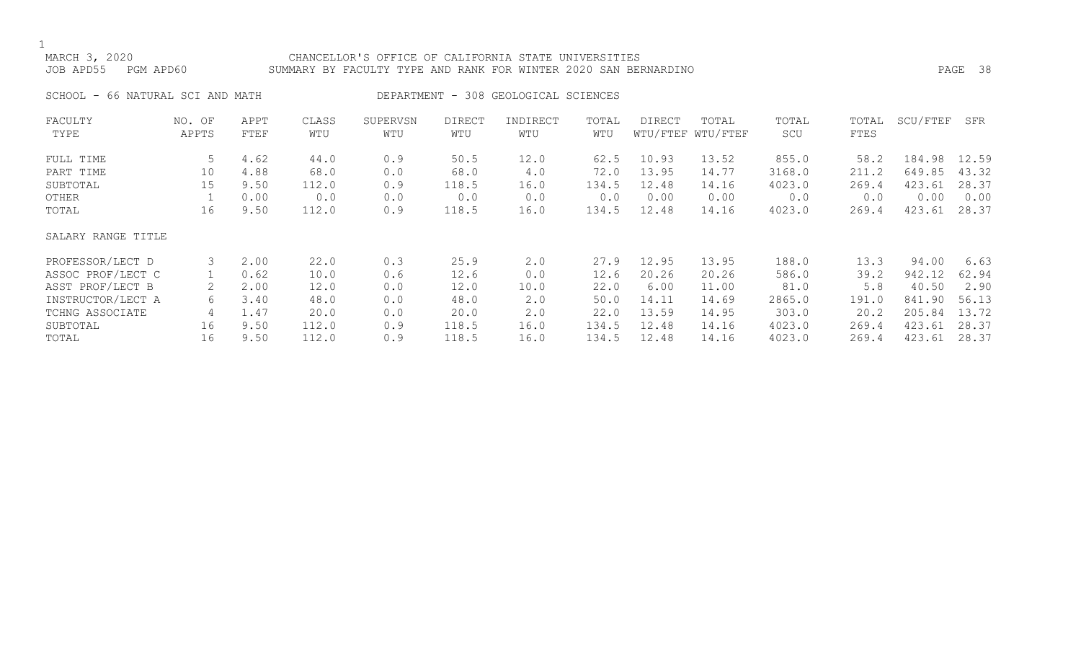### MARCH 3, 2020 CHANCELLOR'S OFFICE OF CALIFORNIA STATE UNIVERSITIES JOB APD55 PGM APD60 SUMMARY BY FACULTY TYPE AND RANK FOR WINTER 2020 SAN BERNARDINO PAGE 38

SCHOOL - 66 NATURAL SCI AND MATH DEPARTMENT - 308 GEOLOGICAL SCIENCES

| FACULTY            | NO. OF | APPT | CLASS | SUPERVSN | <b>DIRECT</b> | INDIRECT | TOTAL | DIRECT | TOTAL             | TOTAL  | TOTAL | SCU/FTEF | SFR   |
|--------------------|--------|------|-------|----------|---------------|----------|-------|--------|-------------------|--------|-------|----------|-------|
| TYPE               | APPTS  | FTEF | WTU   | WTU      | WTU           | WTU      | WTU   |        | WTU/FTEF WTU/FTEF | SCU    | FTES  |          |       |
| FULL TIME          | 5      | 4.62 | 44.0  | 0.9      | 50.5          | 12.0     | 62.5  | 10.93  | 13.52             | 855.0  | 58.2  | 184.98   | 12.59 |
| PART TIME          | 10     | 4.88 | 68.0  | 0.0      | 68.0          | 4.0      | 72.0  | 13.95  | 14.77             | 3168.0 | 211.2 | 649.85   | 43.32 |
| SUBTOTAL           | 15     | 9.50 | 112.0 | 0.9      | 118.5         | 16.0     | 134.5 | 12.48  | 14.16             | 4023.0 | 269.4 | 423.61   | 28.37 |
| OTHER              |        | 0.00 | 0.0   | 0.0      | 0.0           | 0.0      | 0.0   | 0.00   | 0.00              | 0.0    | 0.0   | 0.00     | 0.00  |
| TOTAL              | 16     | 9.50 | 112.0 | 0.9      | 118.5         | 16.0     | 134.5 | 12.48  | 14.16             | 4023.0 | 269.4 | 423.61   | 28.37 |
| SALARY RANGE TITLE |        |      |       |          |               |          |       |        |                   |        |       |          |       |
| PROFESSOR/LECT D   | 3      | 2.00 | 22.0  | 0.3      | 25.9          | 2.0      | 27.9  | 12.95  | 13.95             | 188.0  | 13.3  | 94.00    | 6.63  |
| ASSOC PROF/LECT C  |        | 0.62 | 10.0  | 0.6      | 12.6          | 0.0      | 12.6  | 20.26  | 20.26             | 586.0  | 39.2  | 942.12   | 62.94 |
| ASST PROF/LECT B   | 2      | 2.00 | 12.0  | 0.0      | 12.0          | 10.0     | 22.0  | 6.00   | 11.00             | 81.0   | 5.8   | 40.50    | 2.90  |
| INSTRUCTOR/LECT A  | 6      | 3.40 | 48.0  | 0.0      | 48.0          | 2.0      | 50.0  | 14.11  | 14.69             | 2865.0 | 191.0 | 841.90   | 56.13 |
| TCHNG ASSOCIATE    | 4      | 1.47 | 20.0  | 0.0      | 20.0          | 2.0      | 22.0  | 13.59  | 14.95             | 303.0  | 20.2  | 205.84   | 13.72 |
| SUBTOTAL           | 16     | 9.50 | 112.0 | 0.9      | 118.5         | 16.0     | 134.5 | 12.48  | 14.16             | 4023.0 | 269.4 | 423.61   | 28.37 |
| TOTAL              | 16     | 9.50 | 112.0 | 0.9      | 118.5         | 16.0     | 134.5 | 12.48  | 14.16             | 4023.0 | 269.4 | 423.61   | 28.37 |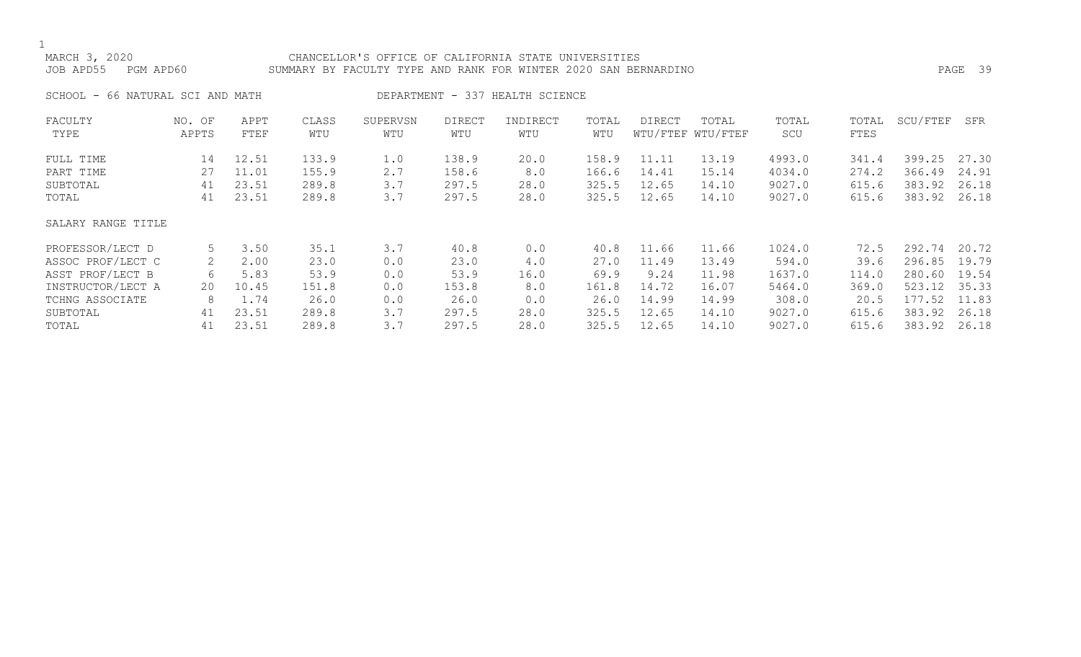### MARCH 3, 2020 CHANCELLOR'S OFFICE OF CALIFORNIA STATE UNIVERSITIES JOB APD55 PGM APD60 SUMMARY BY FACULTY TYPE AND RANK FOR WINTER 2020 SAN BERNARDINO PAGE 39

SCHOOL - 66 NATURAL SCI AND MATH DEPARTMENT - 337 HEALTH SCIENCE

| FACULTY            | NO. OF | APPT  | CLASS | SUPERVSN | <b>DIRECT</b> | INDIRECT | TOTAL | DIRECT | TOTAL             | TOTAL  | TOTAL | SCU/FTEF | SFR   |
|--------------------|--------|-------|-------|----------|---------------|----------|-------|--------|-------------------|--------|-------|----------|-------|
| TYPE               | APPTS  | FTEF  | WTU   | WTU      | WTU           | WTU      | WTU   |        | WTU/FTEF WTU/FTEF | SCU    | FTES  |          |       |
| FULL TIME          | 14     | 12.51 | 133.9 | 1.0      | 138.9         | 20.0     | 158.9 | 11.11  | 13.19             | 4993.0 | 341.4 | 399.25   | 27.30 |
| PART TIME          | 27     | 11.01 | 155.9 | 2.7      | 158.6         | 8.0      | 166.6 | 14.41  | 15.14             | 4034.0 | 274.2 | 366.49   | 24.91 |
| SUBTOTAL           | 41     | 23.51 | 289.8 | 3.7      | 297.5         | 28.0     | 325.5 | 12.65  | 14.10             | 9027.0 | 615.6 | 383.92   | 26.18 |
| TOTAL              | 41     | 23.51 | 289.8 | 3.7      | 297.5         | 28.0     | 325.5 | 12.65  | 14.10             | 9027.0 | 615.6 | 383.92   | 26.18 |
| SALARY RANGE TITLE |        |       |       |          |               |          |       |        |                   |        |       |          |       |
| PROFESSOR/LECT D   | 5      | 3.50  | 35.1  | 3.7      | 40.8          | 0.0      | 40.8  | 11.66  | 11.66             | 1024.0 | 72.5  | 292.74   | 20.72 |
| ASSOC PROF/LECT C  | 2      | 2.00  | 23.0  | 0.0      | 23.0          | 4.0      | 27.0  | 11.49  | 13.49             | 594.0  | 39.6  | 296.85   | 19.79 |
| ASST PROF/LECT B   | 6      | 5.83  | 53.9  | 0.0      | 53.9          | 16.0     | 69.9  | 9.24   | 11.98             | 1637.0 | 114.0 | 280.60   | 19.54 |
| INSTRUCTOR/LECT A  | 20     | 10.45 | 151.8 | 0.0      | 153.8         | 8.0      | 161.8 | 14.72  | 16.07             | 5464.0 | 369.0 | 523.12   | 35.33 |
| TCHNG ASSOCIATE    | 8      | 1.74  | 26.0  | 0.0      | 26.0          | 0.0      | 26.0  | 14.99  | 14.99             | 308.0  | 20.5  | 177.52   | 11.83 |
| SUBTOTAL           | 41     | 23.51 | 289.8 | 3.7      | 297.5         | 28.0     | 325.5 | 12.65  | 14.10             | 9027.0 | 615.6 | 383.92   | 26.18 |
| TOTAL              | 41     | 23.51 | 289.8 | 3.7      | 297.5         | 28.0     | 325.5 | 12.65  | 14.10             | 9027.0 | 615.6 | 383.92   | 26.18 |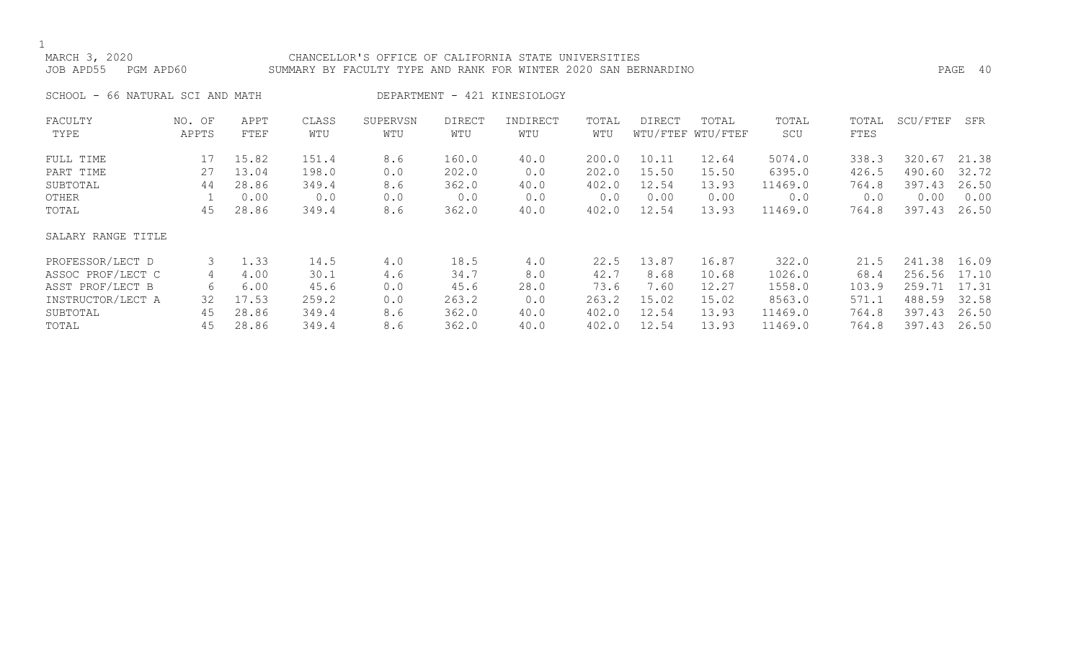### MARCH 3, 2020 CHANCELLOR'S OFFICE OF CALIFORNIA STATE UNIVERSITIES JOB APD55 PGM APD60 SUMMARY BY FACULTY TYPE AND RANK FOR WINTER 2020 SAN BERNARDINO PAGE 40

SCHOOL - 66 NATURAL SCI AND MATH DEPARTMENT - 421 KINESIOLOGY

| FACULTY            | NO. OF | APPT  | CLASS | SUPERVSN | <b>DIRECT</b> | INDIRECT | TOTAL | DIRECT | TOTAL             | TOTAL   | TOTAL | SCU/FTEF | SFR   |
|--------------------|--------|-------|-------|----------|---------------|----------|-------|--------|-------------------|---------|-------|----------|-------|
| TYPE               | APPTS  | FTEF  | WTU   | WTU      | WTU           | WTU      | WTU   |        | WTU/FTEF WTU/FTEF | SCU     | FTES  |          |       |
| FULL TIME          | 17     | 15.82 | 151.4 | 8.6      | 160.0         | 40.0     | 200.0 | 10.11  | 12.64             | 5074.0  | 338.3 | 320.67   | 21.38 |
| PART TIME          | 27     | 13.04 | 198.0 | 0.0      | 202.0         | 0.0      | 202.0 | 15.50  | 15.50             | 6395.0  | 426.5 | 490.60   | 32.72 |
| SUBTOTAL           | 44     | 28.86 | 349.4 | 8.6      | 362.0         | 40.0     | 402.0 | 12.54  | 13.93             | 11469.0 | 764.8 | 397.43   | 26.50 |
| OTHER              |        | 0.00  | 0.0   | 0.0      | 0.0           | 0.0      | 0.0   | 0.00   | 0.00              | 0.0     | 0.0   | 0.00     | 0.00  |
| TOTAL              | 45     | 28.86 | 349.4 | 8.6      | 362.0         | 40.0     | 402.0 | 12.54  | 13.93             | 11469.0 | 764.8 | 397.43   | 26.50 |
| SALARY RANGE TITLE |        |       |       |          |               |          |       |        |                   |         |       |          |       |
| PROFESSOR/LECT D   | 3      | 1.33  | 14.5  | 4.0      | 18.5          | 4.0      | 22.5  | 13.87  | 16.87             | 322.0   | 21.5  | 241.38   | 16.09 |
| ASSOC PROF/LECT C  | 4      | 4.00  | 30.1  | 4.6      | 34.7          | 8.0      | 42.7  | 8.68   | 10.68             | 1026.0  | 68.4  | 256.56   | 17.10 |
| ASST PROF/LECT B   | 6      | 6.00  | 45.6  | 0.0      | 45.6          | 28.0     | 73.6  | 7.60   | 12.27             | 1558.0  | 103.9 | 259.71   | 17.31 |
| INSTRUCTOR/LECT A  | 32     | 17.53 | 259.2 | 0.0      | 263.2         | 0.0      | 263.2 | 15.02  | 15.02             | 8563.0  | 571.1 | 488.59   | 32.58 |
| SUBTOTAL           | 45     | 28.86 | 349.4 | 8.6      | 362.0         | 40.0     | 402.0 | 12.54  | 13.93             | 11469.0 | 764.8 | 397.43   | 26.50 |
| TOTAL              | 45     | 28.86 | 349.4 | 8.6      | 362.0         | 40.0     | 402.0 | 12.54  | 13.93             | 11469.0 | 764.8 | 397.43   | 26.50 |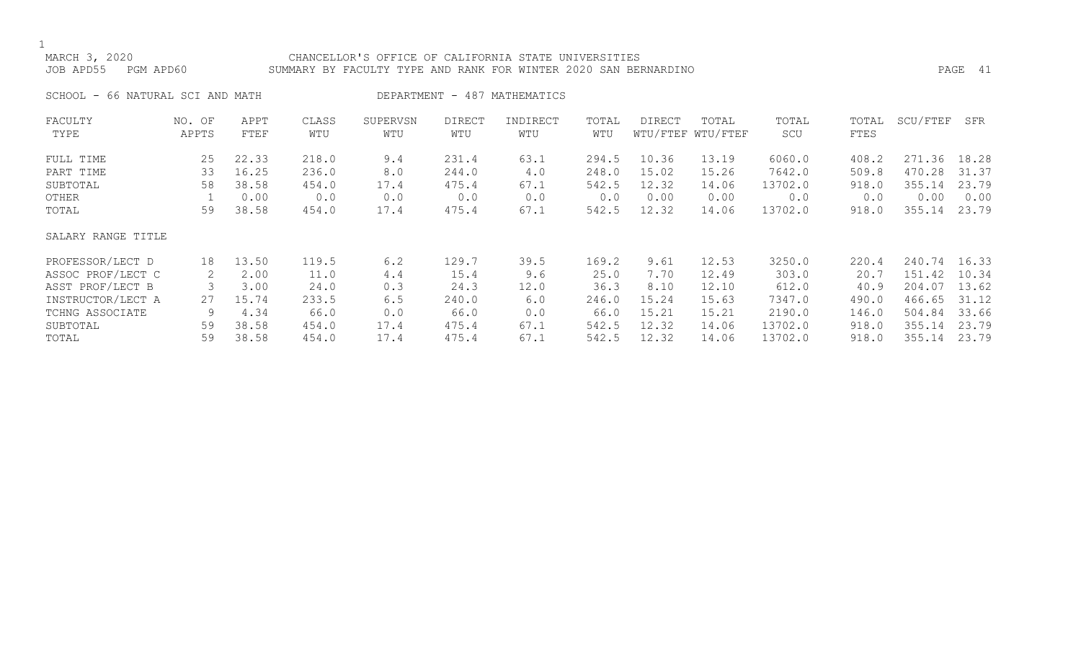### MARCH 3, 2020 CHANCELLOR'S OFFICE OF CALIFORNIA STATE UNIVERSITIES JOB APD55 PGM APD60 SUMMARY BY FACULTY TYPE AND RANK FOR WINTER 2020 SAN BERNARDINO PAGE 41

SCHOOL - 66 NATURAL SCI AND MATH DEPARTMENT - 487 MATHEMATICS

| FACULTY            | NO. OF | APPT  | CLASS | SUPERVSN | <b>DIRECT</b> | INDIRECT | TOTAL | DIRECT | TOTAL             | TOTAL   | TOTAL | SCU/FTEF     | SFR   |
|--------------------|--------|-------|-------|----------|---------------|----------|-------|--------|-------------------|---------|-------|--------------|-------|
| TYPE               | APPTS  | FTEF  | WTU   | WTU      | WTU           | WTU      | WTU   |        | WTU/FTEF WTU/FTEF | SCU     | FTES  |              |       |
| FULL TIME          | 25     | 22.33 | 218.0 | 9.4      | 231.4         | 63.1     | 294.5 | 10.36  | 13.19             | 6060.0  | 408.2 | 271.36       | 18.28 |
| PART TIME          | 33     | 16.25 | 236.0 | 8.0      | 244.0         | 4.0      | 248.0 | 15.02  | 15.26             | 7642.0  | 509.8 | 470.28       | 31.37 |
| SUBTOTAL           | 58     | 38.58 | 454.0 | 17.4     | 475.4         | 67.1     | 542.5 | 12.32  | 14.06             | 13702.0 | 918.0 | 355.14       | 23.79 |
| OTHER              |        | 0.00  | 0.0   | 0.0      | 0.0           | 0.0      | 0.0   | 0.00   | 0.00              | 0.0     | 0.0   | 0.00         | 0.00  |
| TOTAL              | 59     | 38.58 | 454.0 | 17.4     | 475.4         | 67.1     | 542.5 | 12.32  | 14.06             | 13702.0 | 918.0 | 355.14       | 23.79 |
| SALARY RANGE TITLE |        |       |       |          |               |          |       |        |                   |         |       |              |       |
| PROFESSOR/LECT D   | 18     | 13.50 | 119.5 | 6.2      | 129.7         | 39.5     | 169.2 | 9.61   | 12.53             | 3250.0  | 220.4 | 240.74 16.33 |       |
| ASSOC PROF/LECT C  | 2      | 2.00  | 11.0  | 4.4      | 15.4          | 9.6      | 25.0  | 7.70   | 12.49             | 303.0   | 20.7  | 151.42       | 10.34 |
| ASST PROF/LECT B   |        | 3.00  | 24.0  | 0.3      | 24.3          | 12.0     | 36.3  | 8.10   | 12.10             | 612.0   | 40.9  | 204.07       | 13.62 |
| INSTRUCTOR/LECT A  | 27     | 15.74 | 233.5 | 6.5      | 240.0         | 6.0      | 246.0 | 15.24  | 15.63             | 7347.0  | 490.0 | 466.65       | 31.12 |
| TCHNG ASSOCIATE    | 9      | 4.34  | 66.0  | 0.0      | 66.0          | 0.0      | 66.0  | 15.21  | 15.21             | 2190.0  | 146.0 | 504.84       | 33.66 |
| SUBTOTAL           | 59     | 38.58 | 454.0 | 17.4     | 475.4         | 67.1     | 542.5 | 12.32  | 14.06             | 13702.0 | 918.0 | 355.14       | 23.79 |
| TOTAL              | 59     | 38.58 | 454.0 | 17.4     | 475.4         | 67.1     | 542.5 | 12.32  | 14.06             | 13702.0 | 918.0 | 355.14       | 23.79 |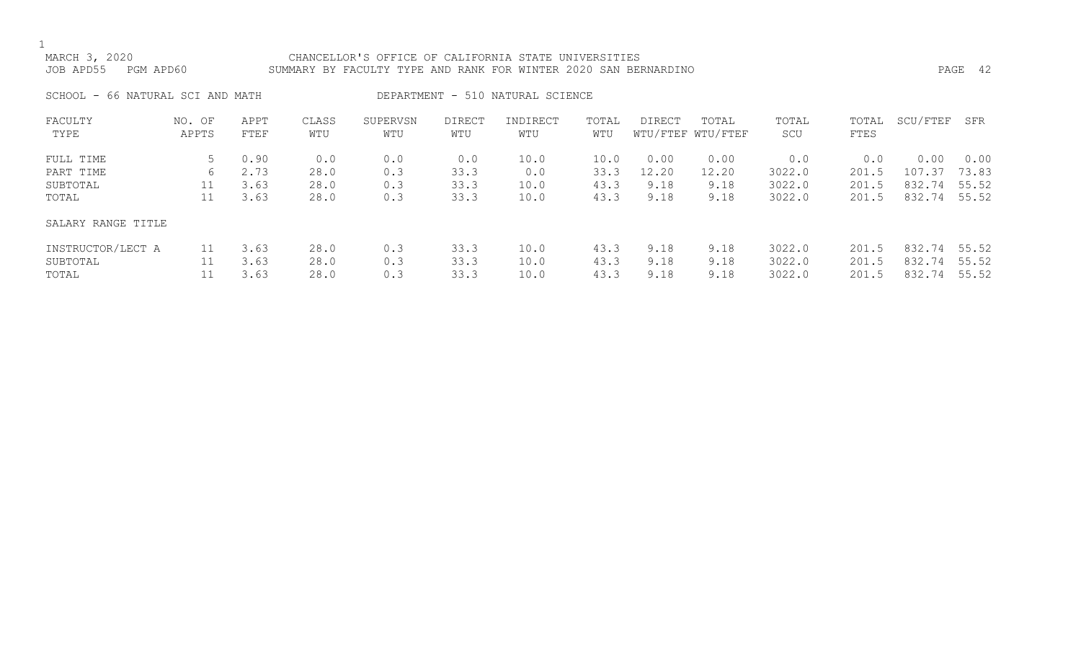MARCH 3, 2020 CHANCELLOR'S OFFICE OF CALIFORNIA STATE UNIVERSITIES JOB APD55 PGM APD60 SUMMARY BY FACULTY TYPE AND RANK FOR WINTER 2020 SAN BERNARDINO PAGE 42

SCHOOL - 66 NATURAL SCI AND MATH DEPARTMENT - 510 NATURAL SCIENCE

| FACULTY<br>TYPE                        | NO. OF<br>APPTS | APPT<br>FTEF         | CLASS<br>WTU         | SUPERVSN<br>WTU   | <b>DIRECT</b><br>WTU | INDIRECT<br>WTU      | TOTAL<br>WTU         | <b>DIRECT</b>         | TOTAL<br>WTU/FTEF WTU/FTEF | TOTAL<br>SCU               | TOTAL<br>FTES           | SCU/FTEF                   | SFR                     |
|----------------------------------------|-----------------|----------------------|----------------------|-------------------|----------------------|----------------------|----------------------|-----------------------|----------------------------|----------------------------|-------------------------|----------------------------|-------------------------|
| FULL TIME<br>PART TIME<br>SUBTOTAL     | 6               | 0.90<br>2.73<br>3.63 | 0.0<br>28.0<br>28.0  | 0.0<br>0.3<br>0.3 | 0.0<br>33.3<br>33.3  | 10.0<br>0.0<br>10.0  | 10.0<br>33.3<br>43.3 | 0.00<br>12.20<br>9.18 | 0.00<br>12.20<br>9.18      | 0.0<br>3022.0<br>3022.0    | 0.0<br>201.5<br>201.5   | 0.00<br>107.37<br>832.74   | 0.00<br>73.83<br>55.52  |
| TOTAL                                  | 11              | 3.63                 | 28.0                 | 0.3               | 33.3                 | 10.0                 | 43.3                 | 9.18                  | 9.18                       | 3022.0                     | 201.5                   | 832.74                     | 55.52                   |
| SALARY RANGE TITLE                     |                 |                      |                      |                   |                      |                      |                      |                       |                            |                            |                         |                            |                         |
| INSTRUCTOR/LECT A<br>SUBTOTAL<br>TOTAL | 11              | 3.63<br>3.63<br>3.63 | 28.0<br>28.0<br>28.0 | 0.3<br>0.3<br>0.3 | 33.3<br>33.3<br>33.3 | 10.0<br>10.0<br>10.0 | 43.3<br>43.3<br>43.3 | 9.18<br>9.18<br>9.18  | 9.18<br>9.18<br>9.18       | 3022.0<br>3022.0<br>3022.0 | 201.5<br>201.5<br>201.5 | 832.74<br>832.74<br>832.74 | 55.52<br>55.52<br>55.52 |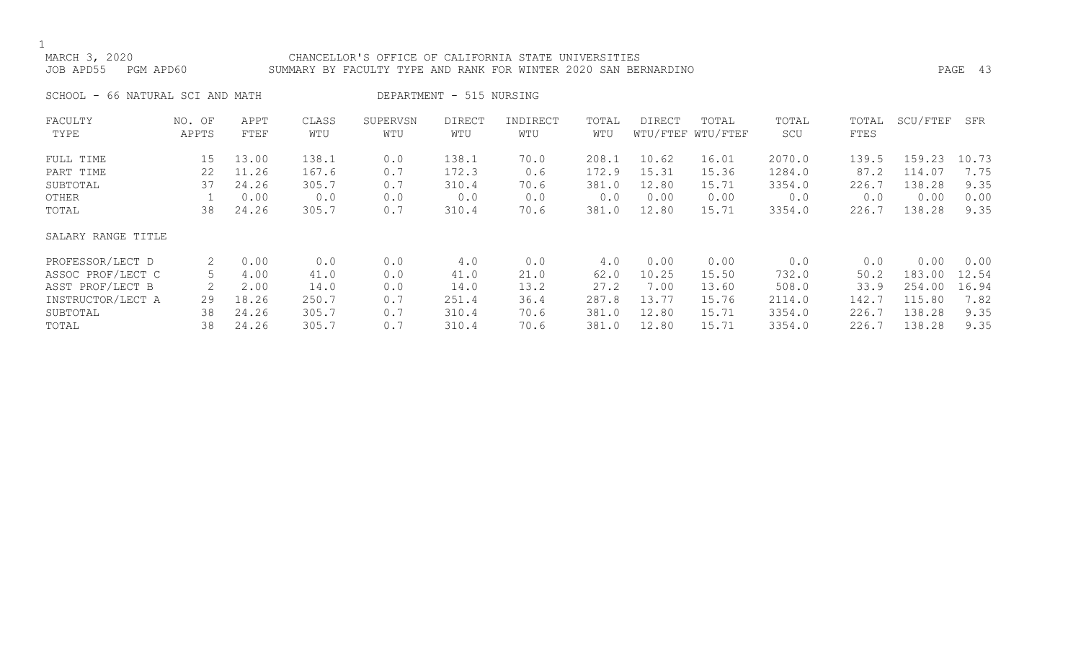MARCH 3, 2020 CHANCELLOR'S OFFICE OF CALIFORNIA STATE UNIVERSITIES JOB APD55 PGM APD60 SUMMARY BY FACULTY TYPE AND RANK FOR WINTER 2020 SAN BERNARDINO PAGE 43

SCHOOL - 66 NATURAL SCI AND MATH DEPARTMENT - 515 NURSING

| FACULTY            | NO. OF | APPT  | CLASS | SUPERVSN | <b>DIRECT</b> | INDIRECT | TOTAL | <b>DIRECT</b> | TOTAL             | TOTAL  | TOTAL | SCU/FTEF | SFR   |
|--------------------|--------|-------|-------|----------|---------------|----------|-------|---------------|-------------------|--------|-------|----------|-------|
| TYPE               | APPTS  | FTEF  | WTU   | WTU      | WTU           | WTU      | WTU   |               | WTU/FTEF WTU/FTEF | SCU    | FTES  |          |       |
| FULL TIME          | 15     | 13.00 | 138.1 | 0.0      | 138.1         | 70.0     | 208.1 | 10.62         | 16.01             | 2070.0 | 139.5 | 159.23   | 10.73 |
| PART TIME          | 22     | 11.26 | 167.6 | 0.7      | 172.3         | 0.6      | 172.9 | 15.31         | 15.36             | 1284.0 | 87.2  | 114.07   | 7.75  |
| SUBTOTAL           | 37     | 24.26 | 305.7 | 0.7      | 310.4         | 70.6     | 381.0 | 12.80         | 15.71             | 3354.0 | 226.7 | 138.28   | 9.35  |
| OTHER              |        | 0.00  | 0.0   | 0.0      | 0.0           | 0.0      | 0.0   | 0.00          | 0.00              | 0.0    | 0.0   | 0.00     | 0.00  |
| TOTAL              | 38     | 24.26 | 305.7 | 0.7      | 310.4         | 70.6     | 381.0 | 12.80         | 15.71             | 3354.0 | 226.7 | 138.28   | 9.35  |
| SALARY RANGE TITLE |        |       |       |          |               |          |       |               |                   |        |       |          |       |
| PROFESSOR/LECT D   | 2      | 0.00  | 0.0   | 0.0      | 4.0           | 0.0      | 4.0   | 0.00          | 0.00              | 0.0    | 0.0   | 0.00     | 0.00  |
| ASSOC PROF/LECT C  | .5     | 4.00  | 41.0  | 0.0      | 41.0          | 21.0     | 62.0  | 10.25         | 15.50             | 732.0  | 50.2  | 183.00   | 12.54 |
| ASST PROF/LECT B   |        | 2.00  | 14.0  | 0.0      | 14.0          | 13.2     | 27.2  | 7.00          | 13.60             | 508.0  | 33.9  | 254.00   | 16.94 |
| INSTRUCTOR/LECT A  | 29     | 18.26 | 250.7 | 0.7      | 251.4         | 36.4     | 287.8 | 13.77         | 15.76             | 2114.0 | 142.7 | 115.80   | 7.82  |
| SUBTOTAL           | 38     | 24.26 | 305.7 | 0.7      | 310.4         | 70.6     | 381.0 | 12.80         | 15.71             | 3354.0 | 226.7 | 138.28   | 9.35  |
| TOTAL              | 38     | 24.26 | 305.7 | 0.7      | 310.4         | 70.6     | 381.0 | 12.80         | 15.71             | 3354.0 | 226.7 | 138.28   | 9.35  |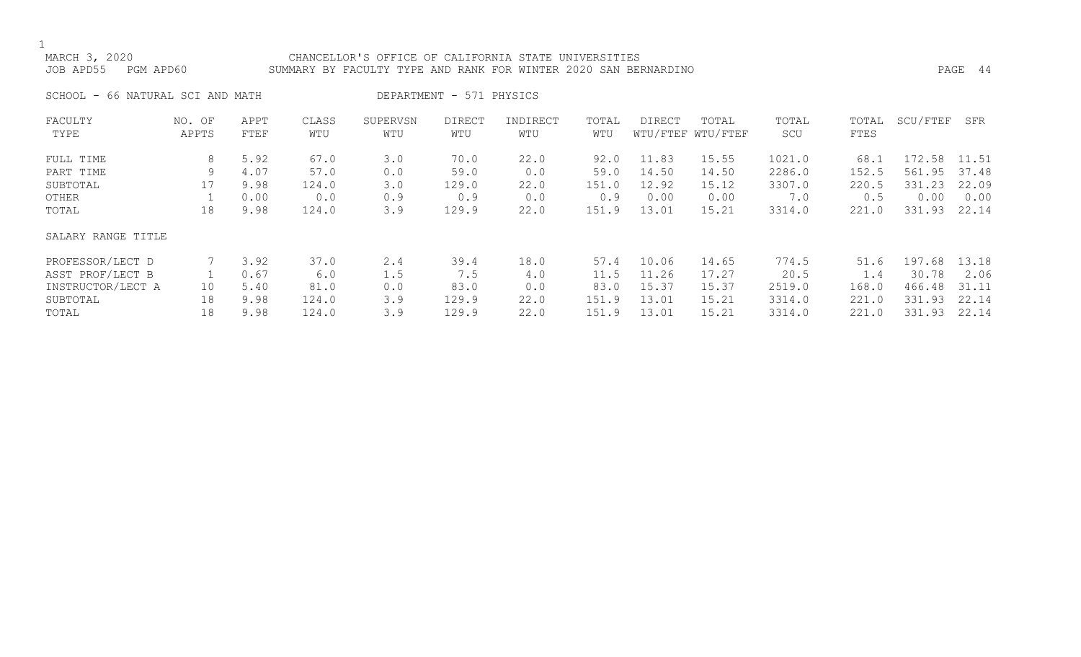### MARCH 3, 2020 CHANCELLOR'S OFFICE OF CALIFORNIA STATE UNIVERSITIES JOB APD55 PGM APD60 SUMMARY BY FACULTY TYPE AND RANK FOR WINTER 2020 SAN BERNARDINO PAGE 44

SCHOOL - 66 NATURAL SCI AND MATH DEPARTMENT - 571 PHYSICS

| FACULTY            | NO. OF | APPT | CLASS | SUPERVSN | <b>DIRECT</b> | INDIRECT | TOTAL | DIRECT | TOTAL             | TOTAL  | TOTAL | SCU/FTEF | SFR   |
|--------------------|--------|------|-------|----------|---------------|----------|-------|--------|-------------------|--------|-------|----------|-------|
| TYPE               | APPTS  | FTEF | WTU   | WTU      | WTU           | WTU      | WTU   |        | WTU/FTEF WTU/FTEF | SCU    | FTES  |          |       |
| FULL TIME          | 8      | 5.92 | 67.0  | 3.0      | 70.0          | 22.0     | 92.0  | 11.83  | 15.55             | 1021.0 | 68.1  | 172.58   | 11.51 |
| PART TIME          | 9      | 4.07 | 57.0  | 0.0      | 59.0          | 0.0      | 59.0  | 14.50  | 14.50             | 2286.0 | 152.5 | 561.95   | 37.48 |
| SUBTOTAL           |        | 9.98 | 124.0 | 3.0      | 129.0         | 22.0     | 151.0 | 12.92  | 15.12             | 3307.0 | 220.5 | 331.23   | 22.09 |
| OTHER              |        | 0.00 | 0.0   | 0.9      | 0.9           | 0.0      | 0.9   | 0.00   | 0.00              | 7.0    | 0.5   | 0.00     | 0.00  |
| TOTAL              | 18     | 9.98 | 124.0 | 3.9      | 129.9         | 22.0     | 151.9 | 13.01  | 15.21             | 3314.0 | 221.0 | 331.93   | 22.14 |
| SALARY RANGE TITLE |        |      |       |          |               |          |       |        |                   |        |       |          |       |
| PROFESSOR/LECT D   |        | 3.92 | 37.0  | 2.4      | 39.4          | 18.0     | 57.4  | 10.06  | 14.65             | 774.5  | 51.6  | 197.68   | 13.18 |
| ASST PROF/LECT B   |        | 0.67 | 6.0   | 1.5      | 7.5           | 4.0      | 11.5  | 11.26  | 17.27             | 20.5   | 1.4   | 30.78    | 2.06  |
| INSTRUCTOR/LECT A  | 10     | 5.40 | 81.0  | 0.0      | 83.0          | 0.0      | 83.0  | 15.37  | 15.37             | 2519.0 | 168.0 | 466.48   | 31.11 |
| SUBTOTAL           | 18     | 9.98 | 124.0 | 3.9      | 129.9         | 22.0     | 151.9 | 13.01  | 15.21             | 3314.0 | 221.0 | 331.93   | 22.14 |
| TOTAL              | 18     | 9.98 | 124.0 | 3.9      | 129.9         | 22.0     | 151.9 | 13.01  | 15.21             | 3314.0 | 221.0 | 331.93   | 22.14 |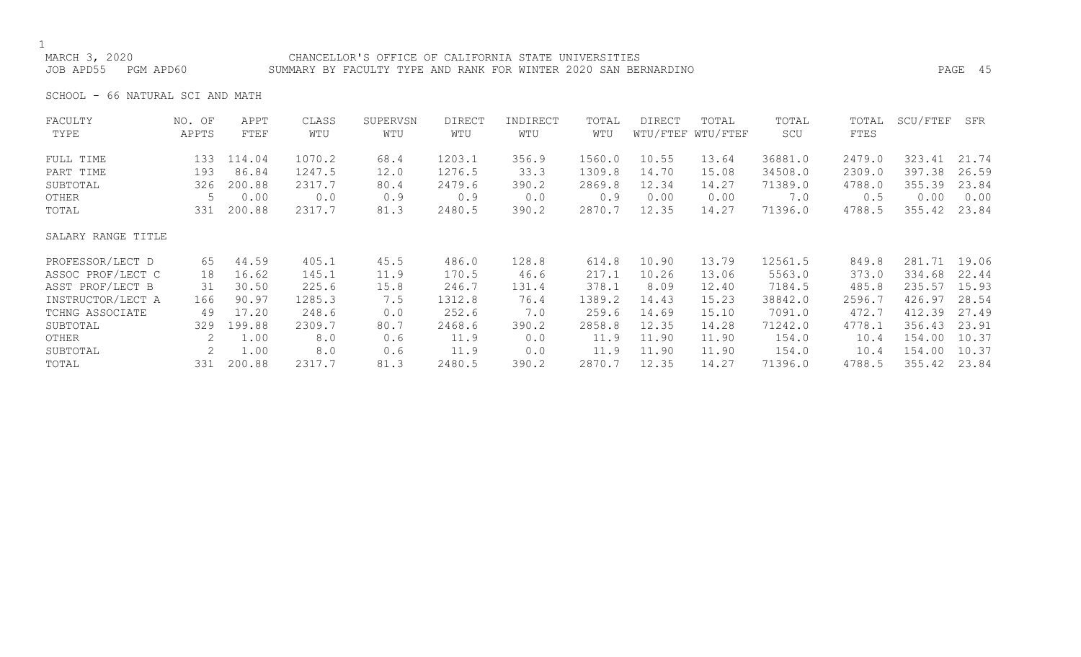### MARCH 3, 2020 CHANCELLOR'S OFFICE OF CALIFORNIA STATE UNIVERSITIES JOB APD55 PGM APD60 SUMMARY BY FACULTY TYPE AND RANK FOR WINTER 2020 SAN BERNARDINO PAGE 45

SCHOOL - 66 NATURAL SCI AND MATH

| FACULTY            | NO. OF | APPT   | CLASS  | SUPERVSN | <b>DIRECT</b> | INDIRECT | TOTAL  | DIRECT | TOTAL             | TOTAL   | TOTAL  | SCU/FTEF     | SFR   |
|--------------------|--------|--------|--------|----------|---------------|----------|--------|--------|-------------------|---------|--------|--------------|-------|
| TYPE               | APPTS  | FTEF   | WTU    | WTU      | WTU           | WTU      | WTU    |        | WTU/FTEF WTU/FTEF | SCU     | FTES   |              |       |
| FULL TIME          | 133    | 114.04 | 1070.2 | 68.4     | 1203.1        | 356.9    | 1560.0 | 10.55  | 13.64             | 36881.0 | 2479.0 | 323.41       | 21.74 |
| PART TIME          | 193    | 86.84  | 1247.5 | 12.0     | 1276.5        | 33.3     | 1309.8 | 14.70  | 15.08             | 34508.0 | 2309.0 | 397.38       | 26.59 |
| SUBTOTAL           | 326    | 200.88 | 2317.7 | 80.4     | 2479.6        | 390.2    | 2869.8 | 12.34  | 14.27             | 71389.0 | 4788.0 | 355.39       | 23.84 |
| OTHER              | 5      | 0.00   | 0.0    | 0.9      | 0.9           | 0.0      | 0.9    | 0.00   | 0.00              | 7.0     | 0.5    | 0.00         | 0.00  |
| TOTAL              | 331    | 200.88 | 2317.7 | 81.3     | 2480.5        | 390.2    | 2870.7 | 12.35  | 14.27             | 71396.0 | 4788.5 | 355.42       | 23.84 |
| SALARY RANGE TITLE |        |        |        |          |               |          |        |        |                   |         |        |              |       |
| PROFESSOR/LECT D   | 65     | 44.59  | 405.1  | 45.5     | 486.0         | 128.8    | 614.8  | 10.90  | 13.79             | 12561.5 | 849.8  | 281.71 19.06 |       |
| ASSOC PROF/LECT C  | 18     | 16.62  | 145.1  | 11.9     | 170.5         | 46.6     | 217.1  | 10.26  | 13.06             | 5563.0  | 373.0  | 334.68       | 22.44 |
| ASST PROF/LECT B   | 31     | 30.50  | 225.6  | 15.8     | 246.7         | 131.4    | 378.1  | 8.09   | 12.40             | 7184.5  | 485.8  | 235.57       | 15.93 |
| INSTRUCTOR/LECT A  | 166    | 90.97  | 1285.3 | 7.5      | 1312.8        | 76.4     | 1389.2 | 14.43  | 15.23             | 38842.0 | 2596.7 | 426.97       | 28.54 |
| TCHNG ASSOCIATE    | 49     | 17.20  | 248.6  | 0.0      | 252.6         | 7.0      | 259.6  | 14.69  | 15.10             | 7091.0  | 472.7  | 412.39       | 27.49 |
| SUBTOTAL           | 329    | 199.88 | 2309.7 | 80.7     | 2468.6        | 390.2    | 2858.8 | 12.35  | 14.28             | 71242.0 | 4778.1 | 356.43       | 23.91 |
| OTHER              | 2      | 1.00   | 8.0    | 0.6      | 11.9          | 0.0      | 11.9   | 11.90  | 11.90             | 154.0   | 10.4   | 154.00       | 10.37 |
| SUBTOTAL           | 2      | 1.00   | 8.0    | 0.6      | 11.9          | 0.0      | 11.9   | 11.90  | 11.90             | 154.0   | 10.4   | 154.00       | 10.37 |
| TOTAL              | 331    | 200.88 | 2317.7 | 81.3     | 2480.5        | 390.2    | 2870.7 | 12.35  | 14.27             | 71396.0 | 4788.5 | 355.42       | 23.84 |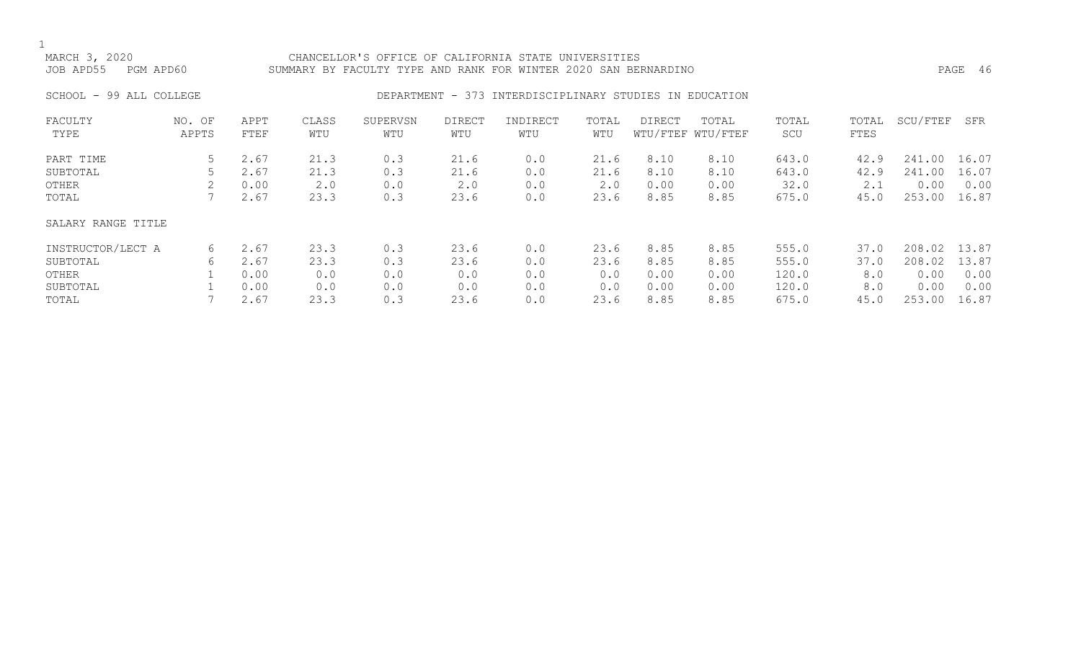### MARCH 3, 2020 CHANCELLOR'S OFFICE OF CALIFORNIA STATE UNIVERSITIES JOB APD55 PGM APD60 SUMMARY BY FACULTY TYPE AND RANK FOR WINTER 2020 SAN BERNARDINO PAGE 46

### SCHOOL - 99 ALL COLLEGE **DEPARTMENT - 373 INTERDISCIPLINARY STUDIES IN EDUCATION**

| FACULTY<br>TYPE    | NO. OF<br>APPTS | APPT<br>FTEF | CLASS<br>WTU | SUPERVSN<br>WTU | <b>DIRECT</b><br>WTU | INDIRECT<br>WTU | TOTAL<br>WTU | DIRECT | TOTAL<br>WTU/FTEF WTU/FTEF | TOTAL<br>SCU | TOTAL<br>FTES | SCU/FTEF   | SFR   |
|--------------------|-----------------|--------------|--------------|-----------------|----------------------|-----------------|--------------|--------|----------------------------|--------------|---------------|------------|-------|
| PART TIME          | 5               | 2.67         | 21.3         | 0.3             | 21.6                 | 0.0             | 21.6         | 8.10   | 8.10                       | 643.0        | 42.9          | 241<br>.00 | 16.07 |
| SUBTOTAL           |                 | 2.67         | 21.3         | 0.3             | 21.6                 | 0.0             | 21.6         | 8.10   | 8.10                       | 643.0        | 42.9          | 241<br>.00 | 16.07 |
| OTHER              |                 | 0.00         | 2.0          | 0.0             | 2.0                  | 0.0             | 2.0          | 0.00   | 0.00                       | 32.0         | 2.1           | 0.00       | 0.00  |
| TOTAL              |                 | 2.67         | 23.3         | 0.3             | 23.6                 | 0.0             | 23.6         | 8.85   | 8.85                       | 675.0        | 45.0          | 253.00     | 16.87 |
| SALARY RANGE TITLE |                 |              |              |                 |                      |                 |              |        |                            |              |               |            |       |
| INSTRUCTOR/LECT A  | 6               | 2.67         | 23.3         | 0.3             | 23.6                 | 0.0             | 23.6         | 8.85   | 8.85                       | 555.0        | 37.0          | 208.02     | 13.87 |
| SUBTOTAL           | 6               | 2.67         | 23.3         | 0.3             | 23.6                 | 0.0             | 23.6         | 8.85   | 8.85                       | 555.0        | 37.0          | 208.02     | 13.87 |
| OTHER              |                 | 0.00         | 0.0          | 0.0             | 0.0                  | 0.0             | 0.0          | 0.00   | 0.00                       | 120.0        | 8.0           | 0.00       | 0.00  |
| SUBTOTAL           |                 | 0.00         | 0.0          | 0.0             | 0.0                  | 0.0             | 0.0          | 0.00   | 0.00                       | 120.0        | 8.0           | 0.00       | 0.00  |
| TOTAL              |                 | 2.67         | 23.3         | 0.3             | 23.6                 | 0.0             | 23.6         | 8.85   | 8.85                       | 675.0        | 45.0          | 253.00     | 16.87 |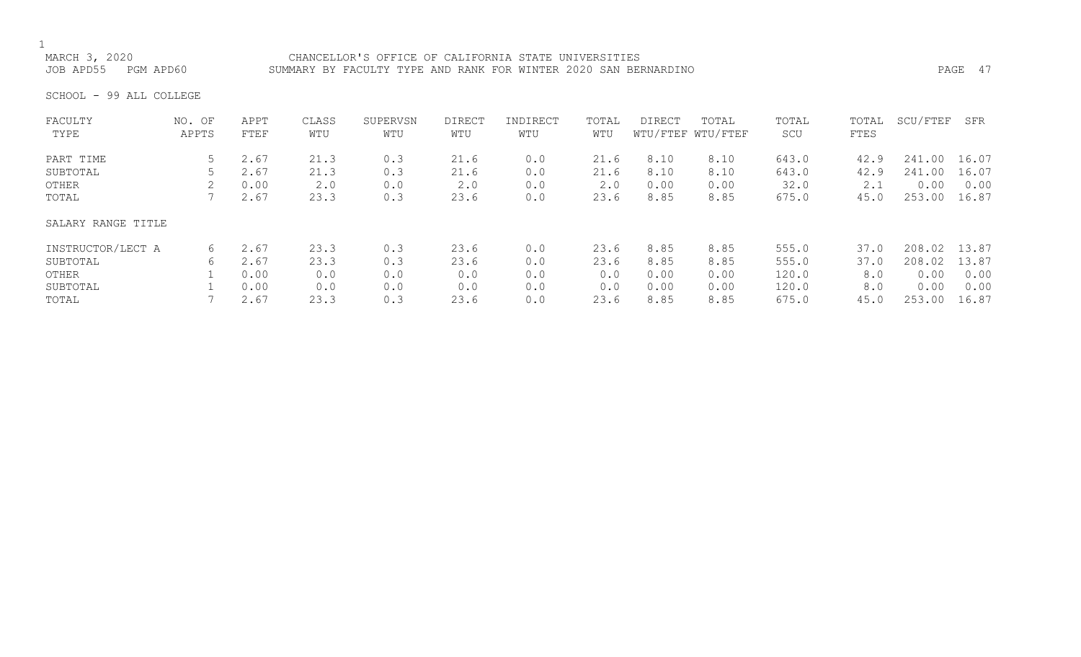## 1<br>MARCH 3, 2020

MARCH 3, 2020<br>JOB APD55 PGM APD60 SUMMARY BY FACULTY TYPE AND RANK FOR WINTER 2020 SAN BEI SUMMARY BY FACULTY TYPE AND RANK FOR WINTER 2020 SAN BERNARDINO **PAGE 17** PAGE 47

SCHOOL - 99 ALL COLLEGE

| FACULTY<br>TYPE    | NO. OF<br>APPTS | APPT<br>FTEF | CLASS<br>WTU | SUPERVSN<br>WTU | DIRECT<br>WTU | INDIRECT<br>WTU | TOTAL<br>WTU | <b>DIRECT</b> | TOTAL<br>WTU/FTEF WTU/FTEF | TOTAL<br>SCU | TOTAL<br>FTES | SCU/FTEF | SFR   |
|--------------------|-----------------|--------------|--------------|-----------------|---------------|-----------------|--------------|---------------|----------------------------|--------------|---------------|----------|-------|
| PART TIME          | 5.              | 2.67         | 21.3         | 0.3             | 21.6          | 0.0             | 21.6         | 8.10          | 8.10                       | 643.0        | 42.9          | 241.00   | 16.07 |
| SUBTOTAL           |                 | 2.67         | 21.3         | 0.3             | 21.6          | 0.0             | 21.6         | 8.10          | 8.10                       | 643.0        | 42.9          | 241.00   | 16.07 |
| OTHER              |                 | 0.00         | 2.0          | 0.0             | 2.0           | 0.0             | 2.0          | 0.00          | 0.00                       | 32.0         | 2.1           | 0.00     | 0.00  |
| TOTAL              |                 | 2.67         | 23.3         | 0.3             | 23.6          | 0.0             | 23.6         | 8.85          | 8.85                       | 675.0        | 45.0          | 253.00   | 16.87 |
| SALARY RANGE TITLE |                 |              |              |                 |               |                 |              |               |                            |              |               |          |       |
| INSTRUCTOR/LECT A  | 6               | 2.67         | 23.3         | 0.3             | 23.6          | 0.0             | 23.6         | 8.85          | 8.85                       | 555.0        | 37.0          | 208.02   | 13.87 |
| SUBTOTAL           | 6               | 2.67         | 23.3         | 0.3             | 23.6          | 0.0             | 23.6         | 8.85          | 8.85                       | 555.0        | 37.0          | 208.02   | 13.87 |
| OTHER              |                 | 0.00         | 0.0          | 0.0             | 0.0           | 0.0             | 0.0          | 0.00          | 0.00                       | 120.0        | 8.0           | 0.00     | 0.00  |
| SUBTOTAL           |                 | 0.00         | 0.0          | 0.0             | 0.0           | 0.0             | 0.0          | 0.00          | 0.00                       | 120.0        | 8.0           | 0.00     | 0.00  |
| TOTAL              |                 | 2.67         | 23.3         | 0.3             | 23.6          | 0.0             | 23.6         | 8.85          | 8.85                       | 675.0        | 45.0          | 253.00   | 16.87 |